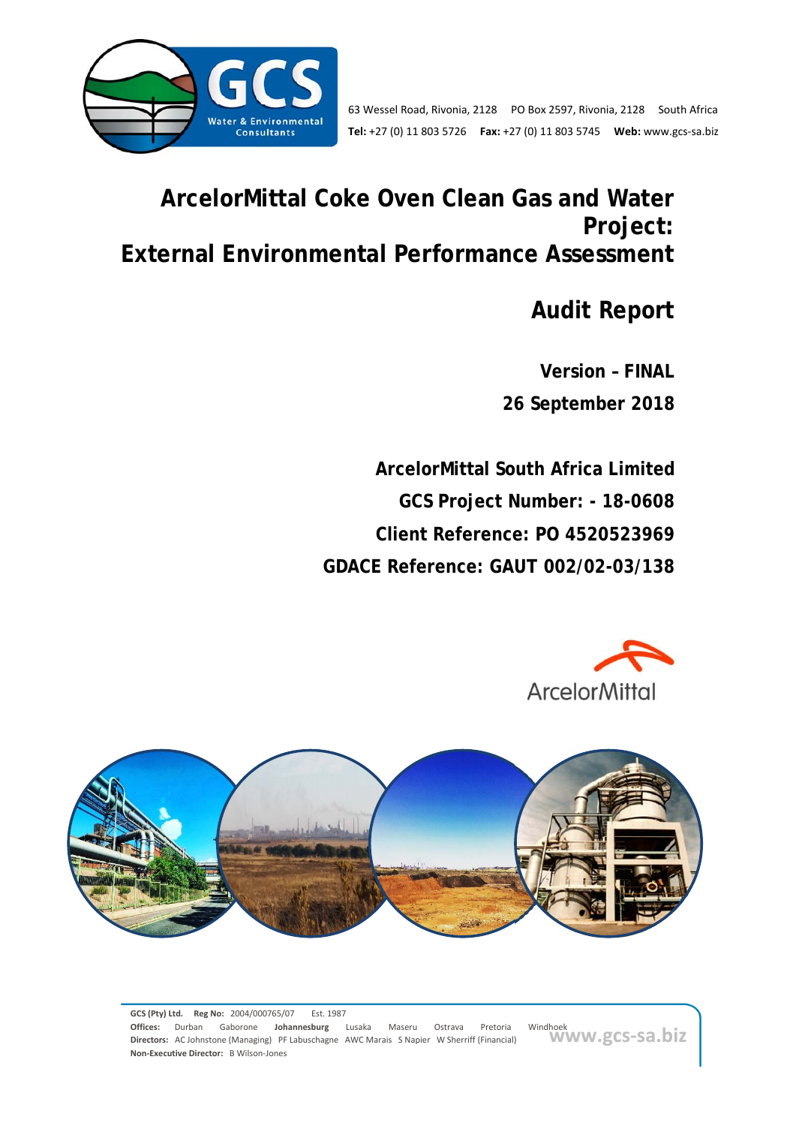

# **ArcelorMittal Coke Oven Clean Gas and Water Project: External Environmental Performance Assessment**

**Audit Report** 

**Version – FINAL 26 September 2018** 

**ArcelorMittal South Africa Limited GCS Project Number: - 18-0608 Client Reference: PO 4520523969 GDACE Reference: GAUT 002/02-03/138** 





windhoek<br>WWW.gcs-sa.biz **GCS (Pty) Ltd. Reg No:** 2004/000765/07 Est. 1987 **Offices:** Durban Gaborone **Johannesburg** Lusaka Maseru Ostrava Pretoria Windhoek **Directors:** AC Johnstone (Managing) PF Labuschagne AWC Marais S Napier W Sherriff (Financial) **Non‐Executive Director:** B Wilson‐Jones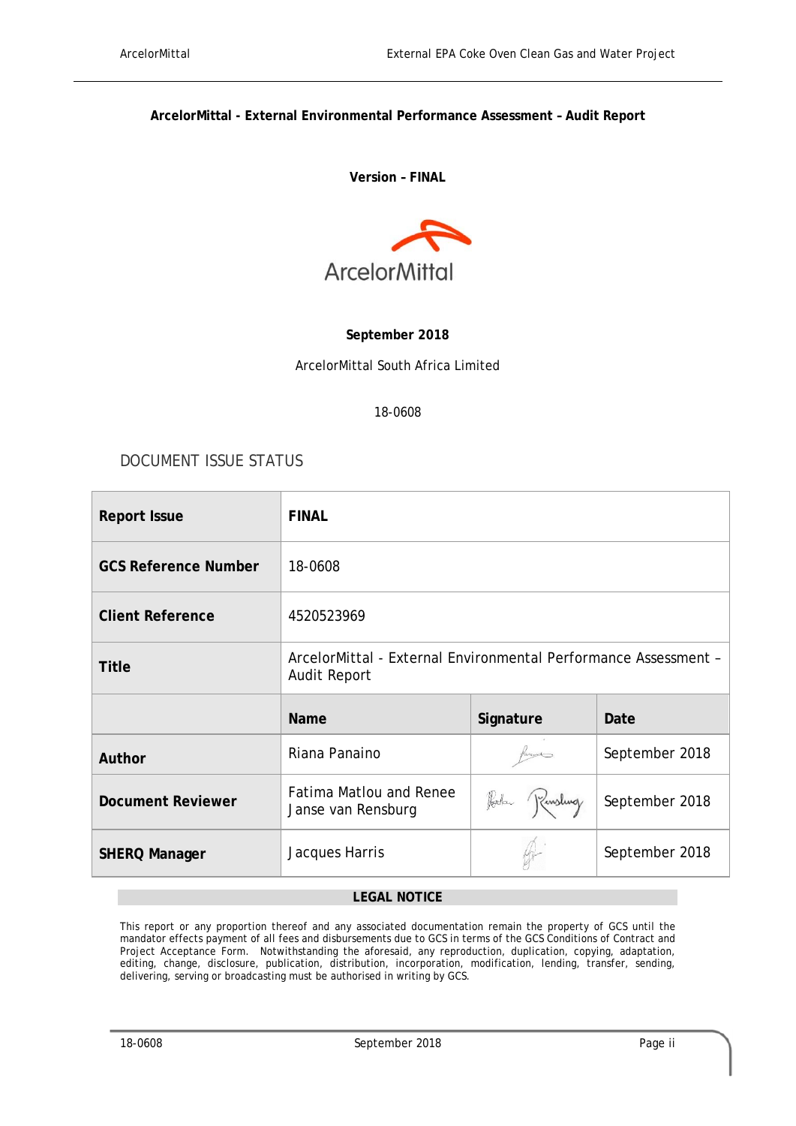#### **ArcelorMittal - External Environmental Performance Assessment – Audit Report**

#### **Version – FINAL**



#### **September 2018**

ArcelorMittal South Africa Limited

#### 18-0608

### DOCUMENT ISSUE STATUS

| <b>Report Issue</b>         | <b>FINAL</b>                                                                           |           |                |  |
|-----------------------------|----------------------------------------------------------------------------------------|-----------|----------------|--|
| <b>GCS Reference Number</b> | 18-0608                                                                                |           |                |  |
| <b>Client Reference</b>     | 4520523969                                                                             |           |                |  |
| Title                       | ArcelorMittal - External Environmental Performance Assessment -<br><b>Audit Report</b> |           |                |  |
|                             | <b>Name</b>                                                                            | Signature | Date           |  |
| Author                      | Riana Panaino                                                                          |           | September 2018 |  |
| <b>Document Reviewer</b>    | <b>Fatima Matlou and Renee</b><br>Harlan Kinsling<br>Janse van Rensburg                |           | September 2018 |  |
| <b>SHERQ Manager</b>        | September 2018<br>Jacques Harris                                                       |           |                |  |

#### **LEGAL NOTICE**

This report or any proportion thereof and any associated documentation remain the property of GCS until the mandator effects payment of all fees and disbursements due to GCS in terms of the GCS Conditions of Contract and Project Acceptance Form. Notwithstanding the aforesaid, any reproduction, duplication, copying, adaptation, editing, change, disclosure, publication, distribution, incorporation, modification, lending, transfer, sending, delivering, serving or broadcasting must be authorised in writing by GCS.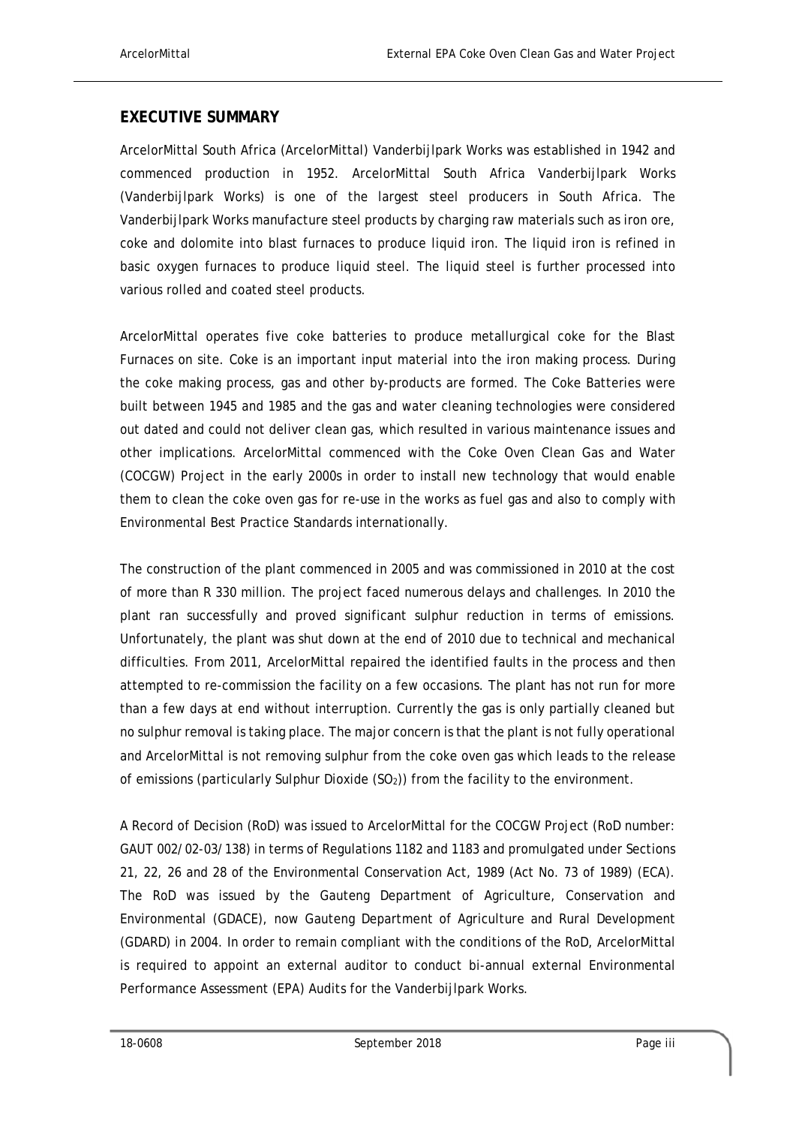#### **EXECUTIVE SUMMARY**

ArcelorMittal South Africa (ArcelorMittal) Vanderbijlpark Works was established in 1942 and commenced production in 1952. ArcelorMittal South Africa Vanderbijlpark Works (Vanderbijlpark Works) is one of the largest steel producers in South Africa. The Vanderbijlpark Works manufacture steel products by charging raw materials such as iron ore, coke and dolomite into blast furnaces to produce liquid iron. The liquid iron is refined in basic oxygen furnaces to produce liquid steel. The liquid steel is further processed into various rolled and coated steel products.

ArcelorMittal operates five coke batteries to produce metallurgical coke for the Blast Furnaces on site. Coke is an important input material into the iron making process. During the coke making process, gas and other by-products are formed. The Coke Batteries were built between 1945 and 1985 and the gas and water cleaning technologies were considered out dated and could not deliver clean gas, which resulted in various maintenance issues and other implications. ArcelorMittal commenced with the Coke Oven Clean Gas and Water (COCGW) Project in the early 2000s in order to install new technology that would enable them to clean the coke oven gas for re-use in the works as fuel gas and also to comply with Environmental Best Practice Standards internationally.

The construction of the plant commenced in 2005 and was commissioned in 2010 at the cost of more than R 330 million. The project faced numerous delays and challenges. In 2010 the plant ran successfully and proved significant sulphur reduction in terms of emissions. Unfortunately, the plant was shut down at the end of 2010 due to technical and mechanical difficulties. From 2011, ArcelorMittal repaired the identified faults in the process and then attempted to re-commission the facility on a few occasions. The plant has not run for more than a few days at end without interruption. Currently the gas is only partially cleaned but no sulphur removal is taking place. The major concern is that the plant is not fully operational and ArcelorMittal is not removing sulphur from the coke oven gas which leads to the release of emissions (particularly Sulphur Dioxide  $(SO<sub>2</sub>)$ ) from the facility to the environment.

A Record of Decision (RoD) was issued to ArcelorMittal for the COCGW Project (RoD number: GAUT 002/02-03/138) in terms of Regulations 1182 and 1183 and promulgated under Sections 21, 22, 26 and 28 of the Environmental Conservation Act, 1989 (Act No. 73 of 1989) (ECA). The RoD was issued by the Gauteng Department of Agriculture, Conservation and Environmental (GDACE), now Gauteng Department of Agriculture and Rural Development (GDARD) in 2004. In order to remain compliant with the conditions of the RoD, ArcelorMittal is required to appoint an external auditor to conduct bi-annual external Environmental Performance Assessment (EPA) Audits for the Vanderbijlpark Works.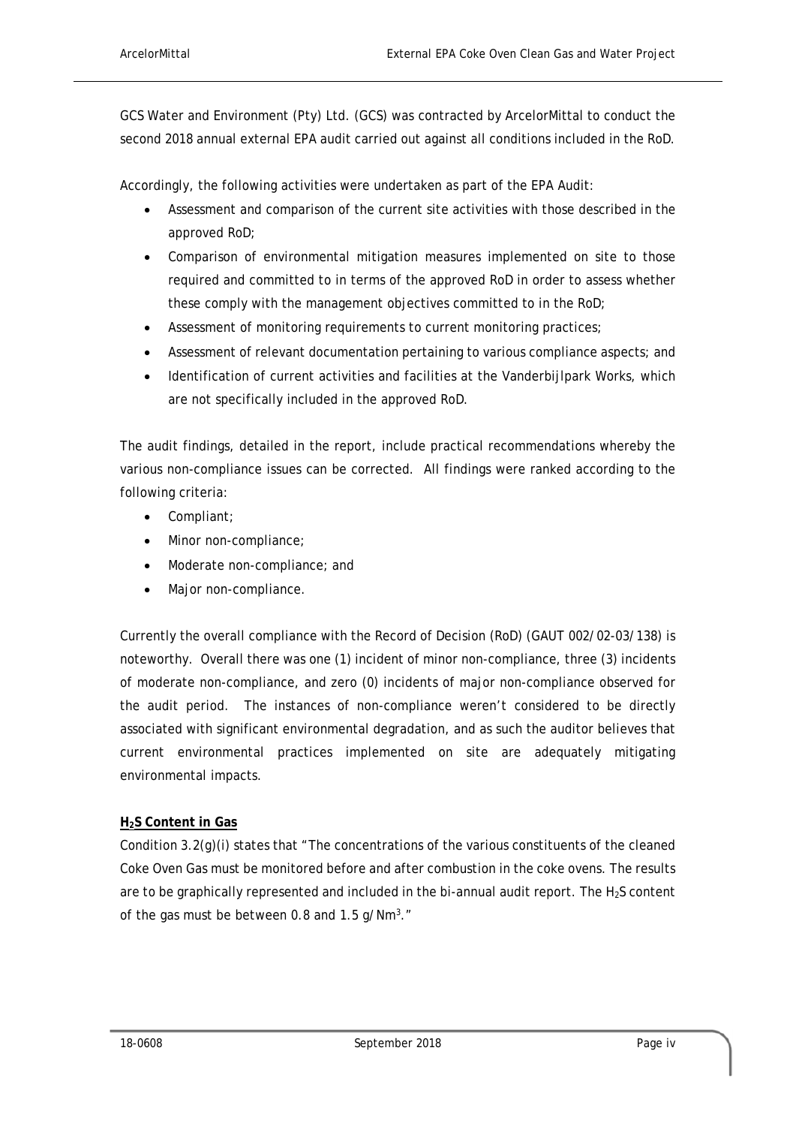GCS Water and Environment (Pty) Ltd. (GCS) was contracted by ArcelorMittal to conduct the second 2018 annual external EPA audit carried out against all conditions included in the RoD.

Accordingly, the following activities were undertaken as part of the EPA Audit:

- Assessment and comparison of the current site activities with those described in the approved RoD;
- Comparison of environmental mitigation measures implemented on site to those required and committed to in terms of the approved RoD in order to assess whether these comply with the management objectives committed to in the RoD;
- Assessment of monitoring requirements to current monitoring practices;
- Assessment of relevant documentation pertaining to various compliance aspects; and
- Identification of current activities and facilities at the Vanderbijlpark Works, which are not specifically included in the approved RoD.

The audit findings, detailed in the report, include practical recommendations whereby the various non-compliance issues can be corrected. All findings were ranked according to the following criteria:

- Compliant;
- Minor non-compliance;
- Moderate non-compliance: and
- Major non-compliance.

Currently the overall compliance with the Record of Decision (RoD) (GAUT 002/02-03/138) is noteworthy. Overall there was one (1) incident of minor non-compliance, three (3) incidents of moderate non-compliance, and zero (0) incidents of major non-compliance observed for the audit period. The instances of non-compliance weren't considered to be directly associated with significant environmental degradation, and as such the auditor believes that current environmental practices implemented on site are adequately mitigating environmental impacts.

#### **H2S Content in Gas**

Condition 3.2(g)(i) states that "The concentrations of the various constituents of the cleaned Coke Oven Gas must be monitored before and after combustion in the coke ovens. The results are to be graphically represented and included in the bi-annual audit report. The H<sub>2</sub>S content of the gas must be between 0.8 and 1.5  $g/Nm<sup>3</sup>$ ."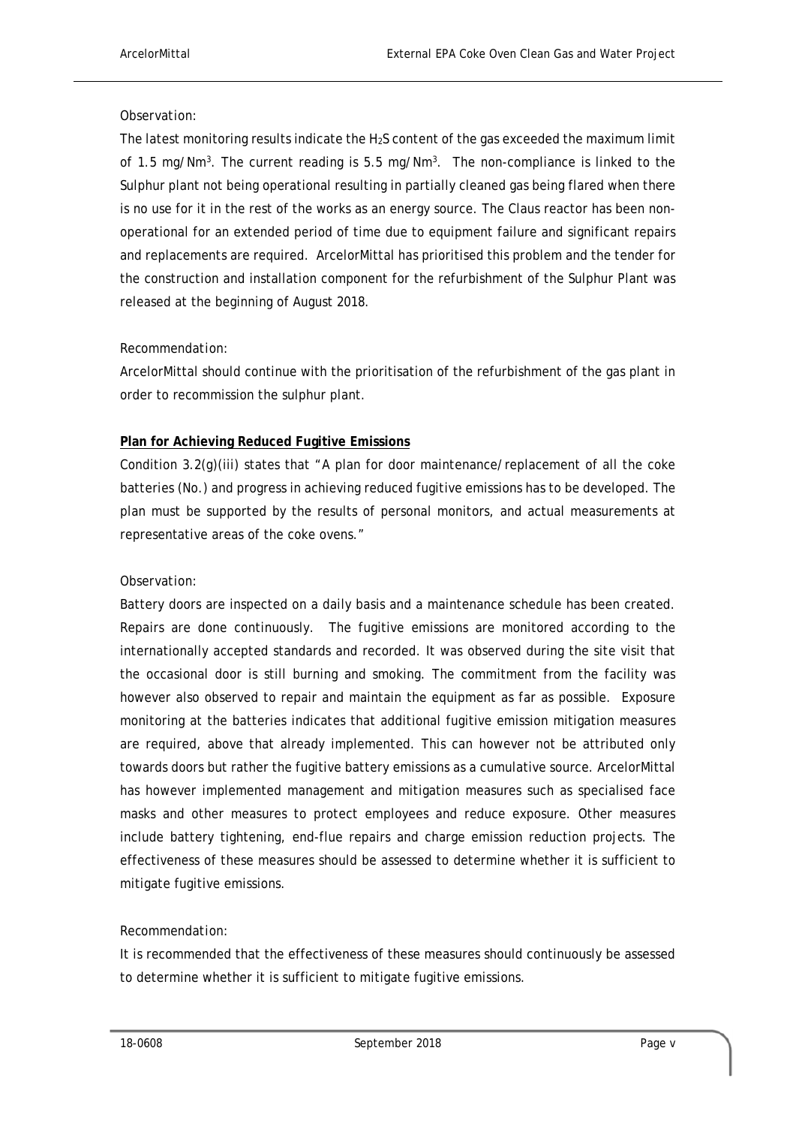#### *Observation:*

The latest monitoring results indicate the  $H_2S$  content of the gas exceeded the maximum limit of 1.5 mg/Nm<sup>3</sup>. The current reading is 5.5 mg/Nm<sup>3</sup>. The non-compliance is linked to the Sulphur plant not being operational resulting in partially cleaned gas being flared when there is no use for it in the rest of the works as an energy source. The Claus reactor has been nonoperational for an extended period of time due to equipment failure and significant repairs and replacements are required. ArcelorMittal has prioritised this problem and the tender for the construction and installation component for the refurbishment of the Sulphur Plant was released at the beginning of August 2018.

#### *Recommendation:*

ArcelorMittal should continue with the prioritisation of the refurbishment of the gas plant in order to recommission the sulphur plant.

#### **Plan for Achieving Reduced Fugitive Emissions**

Condition 3.2(g)(iii) states that "A plan for door maintenance/replacement of all the coke batteries (No.) and progress in achieving reduced fugitive emissions has to be developed. The plan must be supported by the results of personal monitors, and actual measurements at representative areas of the coke ovens."

#### *Observation:*

Battery doors are inspected on a daily basis and a maintenance schedule has been created. Repairs are done continuously. The fugitive emissions are monitored according to the internationally accepted standards and recorded. It was observed during the site visit that the occasional door is still burning and smoking. The commitment from the facility was however also observed to repair and maintain the equipment as far as possible. Exposure monitoring at the batteries indicates that additional fugitive emission mitigation measures are required, above that already implemented. This can however not be attributed only towards doors but rather the fugitive battery emissions as a cumulative source. ArcelorMittal has however implemented management and mitigation measures such as specialised face masks and other measures to protect employees and reduce exposure. Other measures include battery tightening, end-flue repairs and charge emission reduction projects. The effectiveness of these measures should be assessed to determine whether it is sufficient to mitigate fugitive emissions.

#### *Recommendation:*

It is recommended that the effectiveness of these measures should continuously be assessed to determine whether it is sufficient to mitigate fugitive emissions.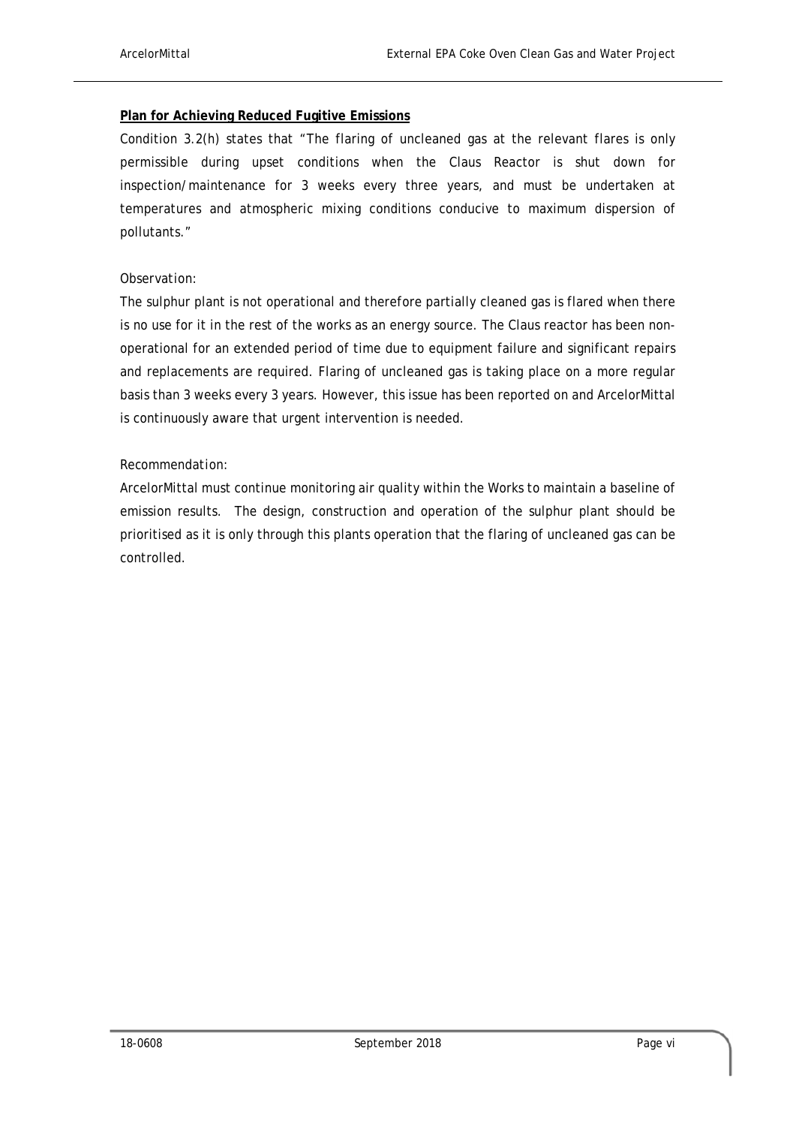#### **Plan for Achieving Reduced Fugitive Emissions**

Condition 3.2(h) states that "The flaring of uncleaned gas at the relevant flares is only permissible during upset conditions when the Claus Reactor is shut down for inspection/maintenance for 3 weeks every three years, and must be undertaken at temperatures and atmospheric mixing conditions conducive to maximum dispersion of pollutants."

#### *Observation:*

The sulphur plant is not operational and therefore partially cleaned gas is flared when there is no use for it in the rest of the works as an energy source. The Claus reactor has been nonoperational for an extended period of time due to equipment failure and significant repairs and replacements are required. Flaring of uncleaned gas is taking place on a more regular basis than 3 weeks every 3 years. However, this issue has been reported on and ArcelorMittal is continuously aware that urgent intervention is needed.

#### *Recommendation:*

ArcelorMittal must continue monitoring air quality within the Works to maintain a baseline of emission results. The design, construction and operation of the sulphur plant should be prioritised as it is only through this plants operation that the flaring of uncleaned gas can be controlled.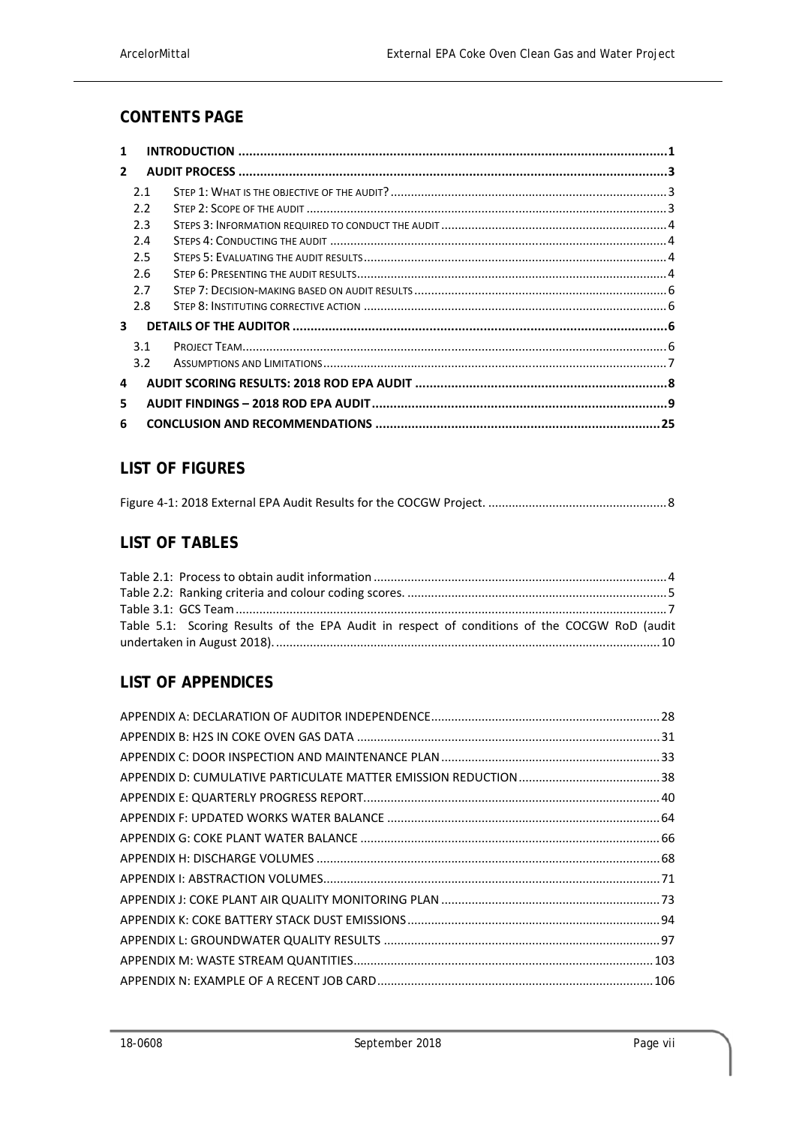## **CONTENTS PAGE**

| 1            |               |  |
|--------------|---------------|--|
| $\mathbf{2}$ |               |  |
|              | 2.1           |  |
|              | 2.2           |  |
|              | 2.3           |  |
|              | 2.4           |  |
|              | 2.5           |  |
|              | 2.6           |  |
|              | 2.7           |  |
|              | 2.8           |  |
| 3            |               |  |
|              | 3.1           |  |
|              | $3.2^{\circ}$ |  |
| 4            |               |  |
| 5            |               |  |
| 6            |               |  |

## **LIST OF FIGURES**

### **LIST OF TABLES**

| Table 5.1: Scoring Results of the EPA Audit in respect of conditions of the COCGW RoD (audit |  |
|----------------------------------------------------------------------------------------------|--|
|                                                                                              |  |

## **LIST OF APPENDICES**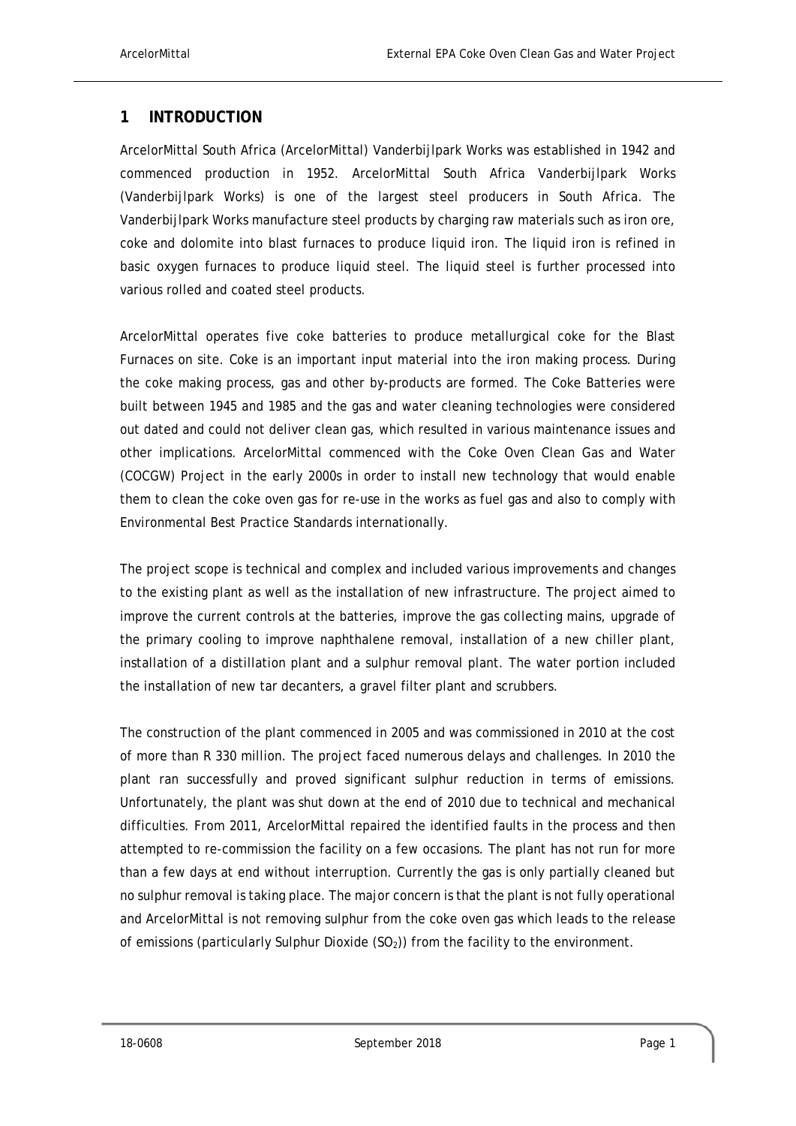### **1 INTRODUCTION**

ArcelorMittal South Africa (ArcelorMittal) Vanderbijlpark Works was established in 1942 and commenced production in 1952. ArcelorMittal South Africa Vanderbijlpark Works (Vanderbijlpark Works) is one of the largest steel producers in South Africa. The Vanderbijlpark Works manufacture steel products by charging raw materials such as iron ore, coke and dolomite into blast furnaces to produce liquid iron. The liquid iron is refined in basic oxygen furnaces to produce liquid steel. The liquid steel is further processed into various rolled and coated steel products.

ArcelorMittal operates five coke batteries to produce metallurgical coke for the Blast Furnaces on site. Coke is an important input material into the iron making process. During the coke making process, gas and other by-products are formed. The Coke Batteries were built between 1945 and 1985 and the gas and water cleaning technologies were considered out dated and could not deliver clean gas, which resulted in various maintenance issues and other implications. ArcelorMittal commenced with the Coke Oven Clean Gas and Water (COCGW) Project in the early 2000s in order to install new technology that would enable them to clean the coke oven gas for re-use in the works as fuel gas and also to comply with Environmental Best Practice Standards internationally.

The project scope is technical and complex and included various improvements and changes to the existing plant as well as the installation of new infrastructure. The project aimed to improve the current controls at the batteries, improve the gas collecting mains, upgrade of the primary cooling to improve naphthalene removal, installation of a new chiller plant, installation of a distillation plant and a sulphur removal plant. The water portion included the installation of new tar decanters, a gravel filter plant and scrubbers.

The construction of the plant commenced in 2005 and was commissioned in 2010 at the cost of more than R 330 million. The project faced numerous delays and challenges. In 2010 the plant ran successfully and proved significant sulphur reduction in terms of emissions. Unfortunately, the plant was shut down at the end of 2010 due to technical and mechanical difficulties. From 2011, ArcelorMittal repaired the identified faults in the process and then attempted to re-commission the facility on a few occasions. The plant has not run for more than a few days at end without interruption. Currently the gas is only partially cleaned but no sulphur removal is taking place. The major concern is that the plant is not fully operational and ArcelorMittal is not removing sulphur from the coke oven gas which leads to the release of emissions (particularly Sulphur Dioxide  $(SO<sub>2</sub>)$ ) from the facility to the environment.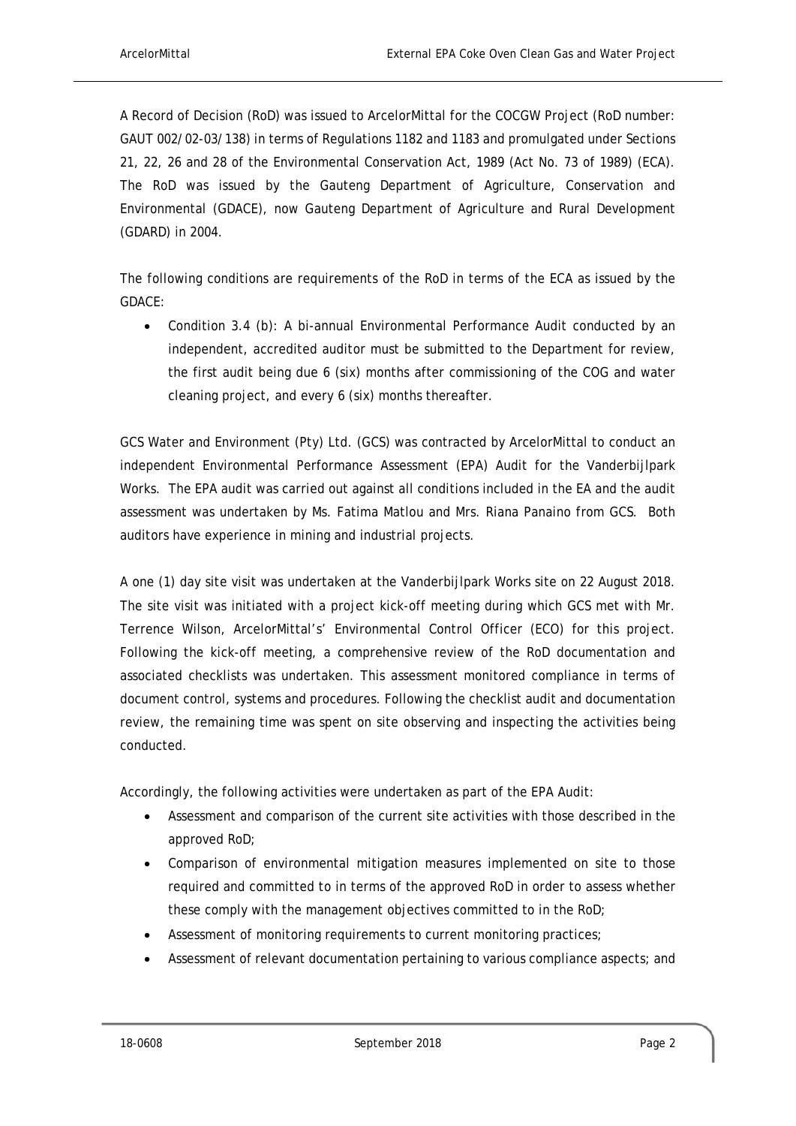A Record of Decision (RoD) was issued to ArcelorMittal for the COCGW Project (RoD number: GAUT 002/02-03/138) in terms of Regulations 1182 and 1183 and promulgated under Sections 21, 22, 26 and 28 of the Environmental Conservation Act, 1989 (Act No. 73 of 1989) (ECA). The RoD was issued by the Gauteng Department of Agriculture, Conservation and Environmental (GDACE), now Gauteng Department of Agriculture and Rural Development (GDARD) in 2004.

The following conditions are requirements of the RoD in terms of the ECA as issued by the GDACE:

 Condition 3.4 (b): A bi-annual Environmental Performance Audit conducted by an independent, accredited auditor must be submitted to the Department for review, the first audit being due 6 (six) months after commissioning of the COG and water cleaning project, and every 6 (six) months thereafter.

GCS Water and Environment (Pty) Ltd. (GCS) was contracted by ArcelorMittal to conduct an independent Environmental Performance Assessment (EPA) Audit for the Vanderbijlpark Works. The EPA audit was carried out against all conditions included in the EA and the audit assessment was undertaken by Ms. Fatima Matlou and Mrs. Riana Panaino from GCS. Both auditors have experience in mining and industrial projects.

A one (1) day site visit was undertaken at the Vanderbijlpark Works site on 22 August 2018. The site visit was initiated with a project kick-off meeting during which GCS met with Mr. Terrence Wilson, ArcelorMittal's' Environmental Control Officer (ECO) for this project. Following the kick-off meeting, a comprehensive review of the RoD documentation and associated checklists was undertaken. This assessment monitored compliance in terms of document control, systems and procedures. Following the checklist audit and documentation review, the remaining time was spent on site observing and inspecting the activities being conducted.

Accordingly, the following activities were undertaken as part of the EPA Audit:

- Assessment and comparison of the current site activities with those described in the approved RoD;
- Comparison of environmental mitigation measures implemented on site to those required and committed to in terms of the approved RoD in order to assess whether these comply with the management objectives committed to in the RoD;
- Assessment of monitoring requirements to current monitoring practices;
- Assessment of relevant documentation pertaining to various compliance aspects; and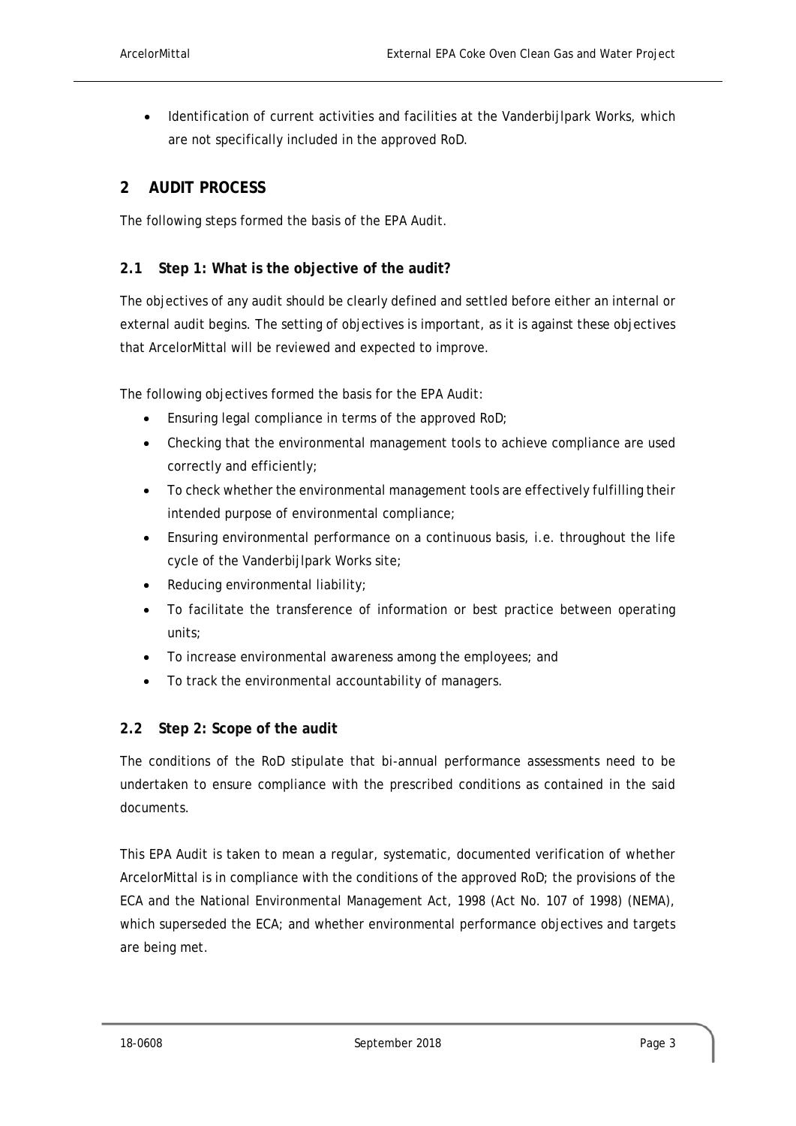Identification of current activities and facilities at the Vanderbijlpark Works, which are not specifically included in the approved RoD.

#### **2 AUDIT PROCESS**

The following steps formed the basis of the EPA Audit.

#### **2.1 Step 1: What is the objective of the audit?**

The objectives of any audit should be clearly defined and settled before either an internal or external audit begins. The setting of objectives is important, as it is against these objectives that ArcelorMittal will be reviewed and expected to improve.

The following objectives formed the basis for the EPA Audit:

- **Ensuring legal compliance in terms of the approved RoD;**
- Checking that the environmental management tools to achieve compliance are used correctly and efficiently;
- To check whether the environmental management tools are effectively fulfilling their intended purpose of environmental compliance;
- Ensuring environmental performance on a continuous basis, i.e. throughout the life cycle of the Vanderbijlpark Works site;
- Reducing environmental liability;
- To facilitate the transference of information or best practice between operating units;
- To increase environmental awareness among the employees; and
- To track the environmental accountability of managers.

#### **2.2 Step 2: Scope of the audit**

The conditions of the RoD stipulate that bi-annual performance assessments need to be undertaken to ensure compliance with the prescribed conditions as contained in the said documents.

This EPA Audit is taken to mean a regular, systematic, documented verification of whether ArcelorMittal is in compliance with the conditions of the approved RoD; the provisions of the ECA and the National Environmental Management Act, 1998 (Act No. 107 of 1998) (NEMA), which superseded the ECA; and whether environmental performance objectives and targets are being met.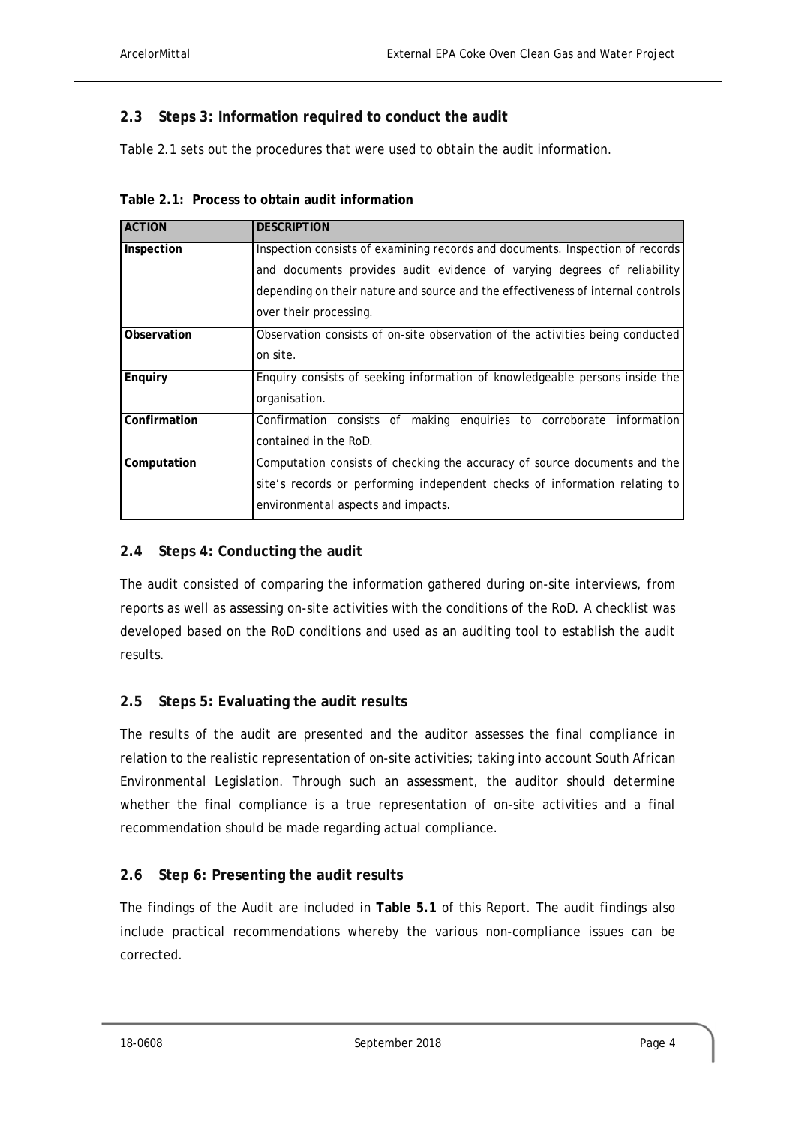### **2.3 Steps 3: Information required to conduct the audit**

Table 2.1 sets out the procedures that were used to obtain the audit information.

| <b>ACTION</b> | <b>DESCRIPTION</b>                                                              |
|---------------|---------------------------------------------------------------------------------|
| Inspection    | Inspection consists of examining records and documents. Inspection of records   |
|               | and documents provides audit evidence of varying degrees of reliability         |
|               | depending on their nature and source and the effectiveness of internal controls |
|               | over their processing.                                                          |
| Observation   | Observation consists of on-site observation of the activities being conducted   |
|               | on site.                                                                        |
| Enquiry       | Enquiry consists of seeking information of knowledgeable persons inside the     |
|               | organisation.                                                                   |
| Confirmation  | Confirmation consists of making enguiries to corroborate information            |
|               | contained in the RoD.                                                           |
| Computation   | Computation consists of checking the accuracy of source documents and the       |
|               | site's records or performing independent checks of information relating to      |
|               | environmental aspects and impacts.                                              |

#### **2.4 Steps 4: Conducting the audit**

The audit consisted of comparing the information gathered during on-site interviews, from reports as well as assessing on-site activities with the conditions of the RoD. A checklist was developed based on the RoD conditions and used as an auditing tool to establish the audit results.

#### **2.5 Steps 5: Evaluating the audit results**

The results of the audit are presented and the auditor assesses the final compliance in relation to the realistic representation of on-site activities; taking into account South African Environmental Legislation. Through such an assessment, the auditor should determine whether the final compliance is a true representation of on-site activities and a final recommendation should be made regarding actual compliance.

### **2.6 Step 6: Presenting the audit results**

The findings of the Audit are included in **Table 5.1** of this Report. The audit findings also include practical recommendations whereby the various non-compliance issues can be corrected.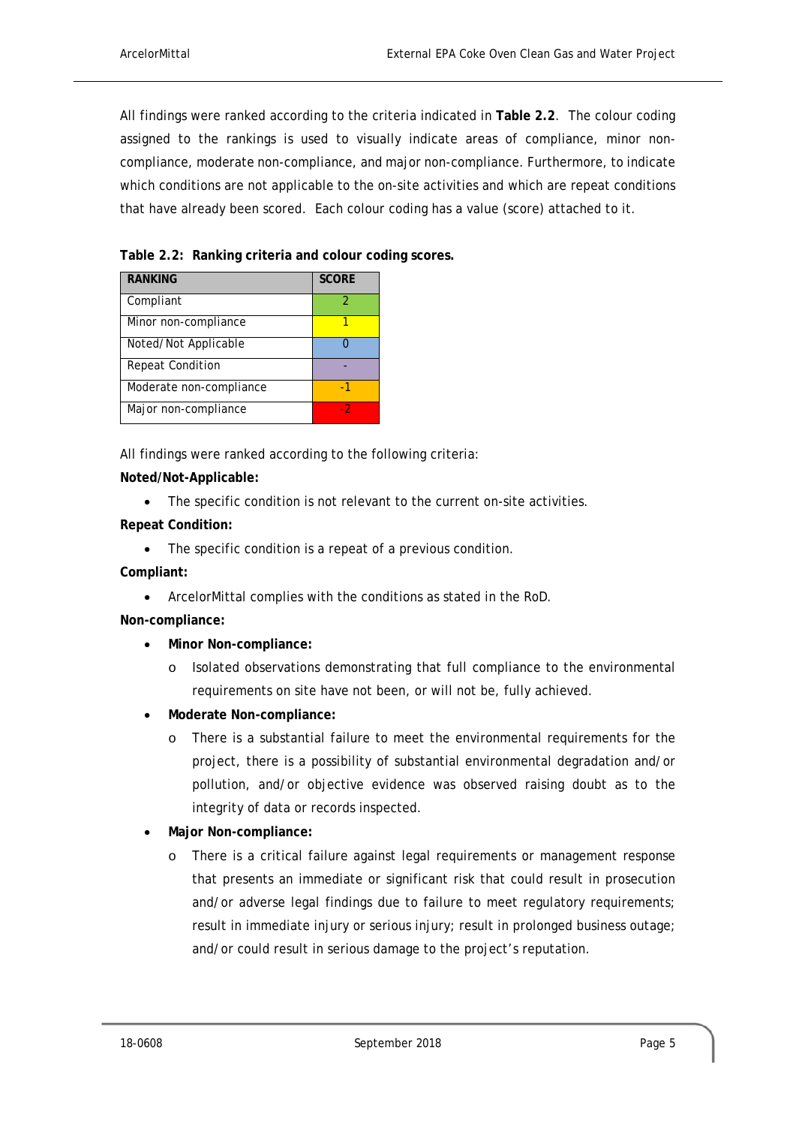All findings were ranked according to the criteria indicated in **Table 2.2**. The colour coding assigned to the rankings is used to visually indicate areas of compliance, minor noncompliance, moderate non-compliance, and major non-compliance. Furthermore, to indicate which conditions are not applicable to the on-site activities and which are repeat conditions that have already been scored. Each colour coding has a value (score) attached to it.

**Table 2.2: Ranking criteria and colour coding scores.** 

| <b>RANKING</b>          | <b>SCORE</b> |
|-------------------------|--------------|
| Compliant               | 2            |
| Minor non-compliance    |              |
| Noted/Not Applicable    |              |
| <b>Repeat Condition</b> |              |
| Moderate non-compliance | -1           |
| Major non-compliance    | - 2          |

All findings were ranked according to the following criteria:

#### **Noted/Not-Applicable:**

The specific condition is not relevant to the current on-site activities.

#### **Repeat Condition:**

• The specific condition is a repeat of a previous condition.

**Compliant:** 

ArcelorMittal complies with the conditions as stated in the RoD.

**Non-compliance:** 

- **Minor Non-compliance:** 
	- o Isolated observations demonstrating that full compliance to the environmental requirements on site have not been, or will not be, fully achieved.
- **Moderate Non-compliance:** 
	- o There is a substantial failure to meet the environmental requirements for the project, there is a possibility of substantial environmental degradation and/or pollution, and/or objective evidence was observed raising doubt as to the integrity of data or records inspected.
- **Major Non-compliance:** 
	- o There is a critical failure against legal requirements or management response that presents an immediate or significant risk that could result in prosecution and/or adverse legal findings due to failure to meet regulatory requirements; result in immediate injury or serious injury; result in prolonged business outage; and/or could result in serious damage to the project's reputation.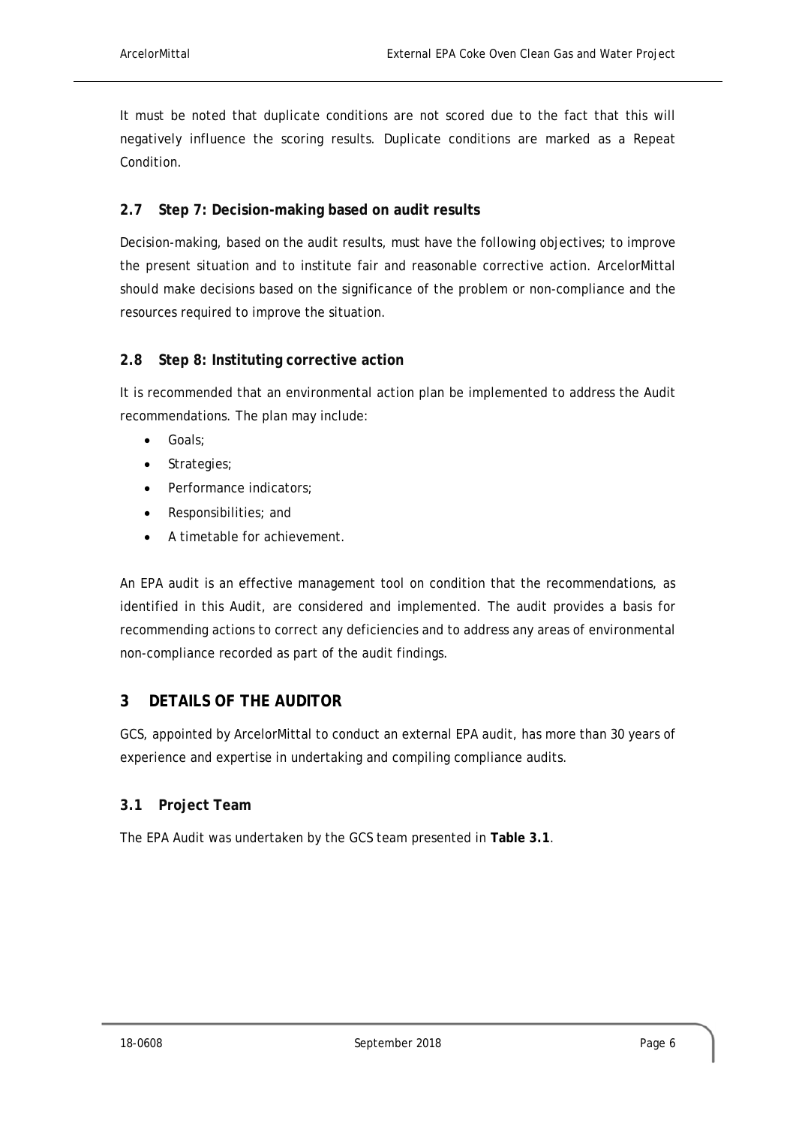It must be noted that duplicate conditions are not scored due to the fact that this will negatively influence the scoring results. Duplicate conditions are marked as a Repeat Condition.

#### **2.7 Step 7: Decision-making based on audit results**

Decision-making, based on the audit results, must have the following objectives; to improve the present situation and to institute fair and reasonable corrective action. ArcelorMittal should make decisions based on the significance of the problem or non-compliance and the resources required to improve the situation.

#### **2.8 Step 8: Instituting corrective action**

It is recommended that an environmental action plan be implemented to address the Audit recommendations. The plan may include:

- Goals;
- Strategies;
- Performance indicators;
- Responsibilities; and
- A timetable for achievement.

An EPA audit is an effective management tool on condition that the recommendations, as identified in this Audit, are considered and implemented. The audit provides a basis for recommending actions to correct any deficiencies and to address any areas of environmental non-compliance recorded as part of the audit findings.

### **3 DETAILS OF THE AUDITOR**

GCS, appointed by ArcelorMittal to conduct an external EPA audit, has more than 30 years of experience and expertise in undertaking and compiling compliance audits.

#### **3.1 Project Team**

The EPA Audit was undertaken by the GCS team presented in **Table 3.1**.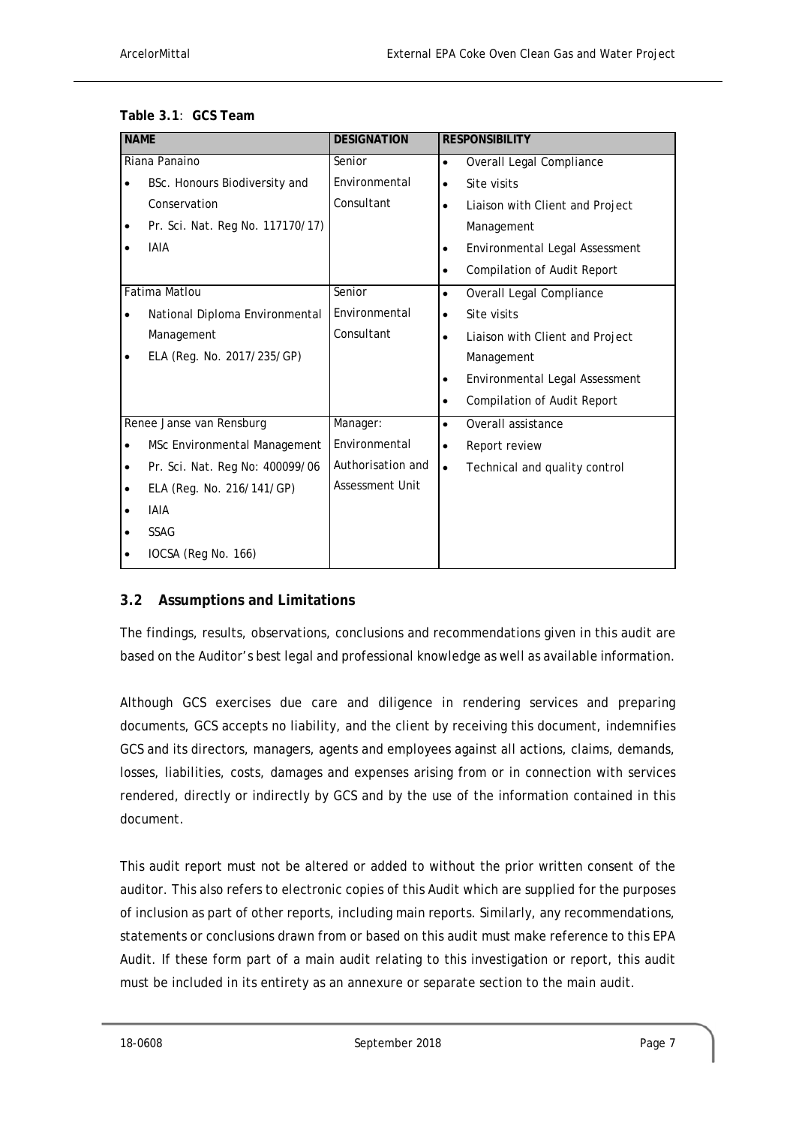| <b>NAME</b> |                                  | <b>DESIGNATION</b>     | <b>RESPONSIBILITY</b>                           |
|-------------|----------------------------------|------------------------|-------------------------------------------------|
|             | Riana Panaino                    | Senior                 | Overall Legal Compliance<br>$\bullet$           |
|             | BSc. Honours Biodiversity and    | Environmental          | Site visits<br>$\bullet$                        |
|             | Conservation                     | Consultant             | Liaison with Client and Project<br>$\bullet$    |
| ٠           | Pr. Sci. Nat. Reg No. 117170/17) |                        | Management                                      |
|             | <b>IAIA</b>                      |                        | Environmental Legal Assessment                  |
|             |                                  |                        | <b>Compilation of Audit Report</b><br>$\bullet$ |
|             | Fatima Matlou                    | Senior                 | Overall Legal Compliance<br>$\bullet$           |
| $\bullet$   | National Diploma Environmental   | Environmental          | Site visits<br>$\bullet$                        |
|             | Management                       | Consultant             | Liaison with Client and Project<br>$\bullet$    |
|             | ELA (Reg. No. 2017/235/GP)       |                        | Management                                      |
|             |                                  |                        | Environmental Legal Assessment                  |
|             |                                  |                        | <b>Compilation of Audit Report</b><br>$\bullet$ |
|             | Renee Janse van Rensburg         | Manager:               | Overall assistance<br>$\bullet$                 |
| $\bullet$   | MSc Environmental Management     | Environmental          | Report review<br>$\bullet$                      |
| ٠           | Pr. Sci. Nat. Reg No: 400099/06  | Authorisation and      | Technical and quality control<br>$\bullet$      |
| $\bullet$   | ELA (Reg. No. 216/141/GP)        | <b>Assessment Unit</b> |                                                 |
| $\bullet$   | <b>IAIA</b>                      |                        |                                                 |
|             | <b>SSAG</b>                      |                        |                                                 |
|             | IOCSA (Reg No. 166)              |                        |                                                 |

| Table 3.1: GCS Team |  |
|---------------------|--|
|---------------------|--|

### **3.2 Assumptions and Limitations**

The findings, results, observations, conclusions and recommendations given in this audit are based on the Auditor's best legal and professional knowledge as well as available information.

Although GCS exercises due care and diligence in rendering services and preparing documents, GCS accepts no liability, and the client by receiving this document, indemnifies GCS and its directors, managers, agents and employees against all actions, claims, demands, losses, liabilities, costs, damages and expenses arising from or in connection with services rendered, directly or indirectly by GCS and by the use of the information contained in this document.

This audit report must not be altered or added to without the prior written consent of the auditor. This also refers to electronic copies of this Audit which are supplied for the purposes of inclusion as part of other reports, including main reports. Similarly, any recommendations, statements or conclusions drawn from or based on this audit must make reference to this EPA Audit. If these form part of a main audit relating to this investigation or report, this audit must be included in its entirety as an annexure or separate section to the main audit.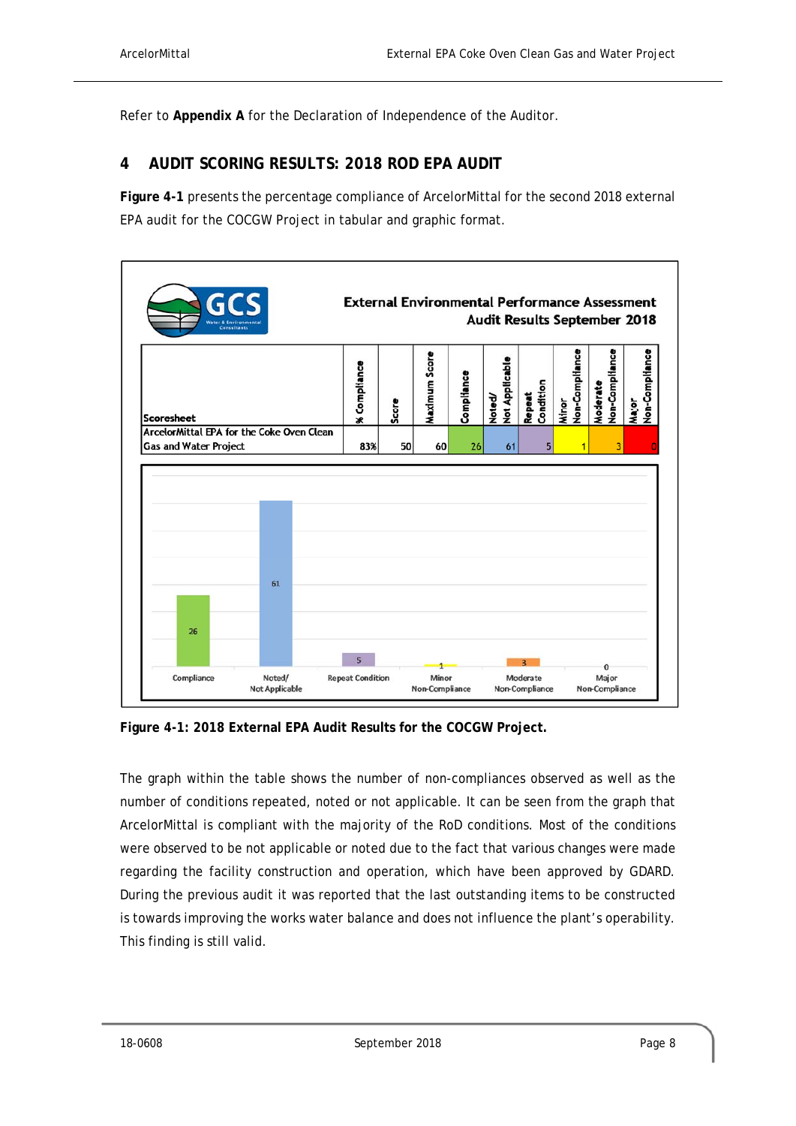Refer to **Appendix A** for the Declaration of Independence of the Auditor.

## **4 AUDIT SCORING RESULTS: 2018 ROD EPA AUDIT**

**Figure 4-1** presents the percentage compliance of ArcelorMittal for the second 2018 external EPA audit for the COCGW Project in tabular and graphic format.



**Figure 4-1: 2018 External EPA Audit Results for the COCGW Project.** 

The graph within the table shows the number of non-compliances observed as well as the number of conditions repeated, noted or not applicable. It can be seen from the graph that ArcelorMittal is compliant with the majority of the RoD conditions. Most of the conditions were observed to be not applicable or noted due to the fact that various changes were made regarding the facility construction and operation, which have been approved by GDARD. During the previous audit it was reported that the last outstanding items to be constructed is towards improving the works water balance and does not influence the plant's operability. This finding is still valid.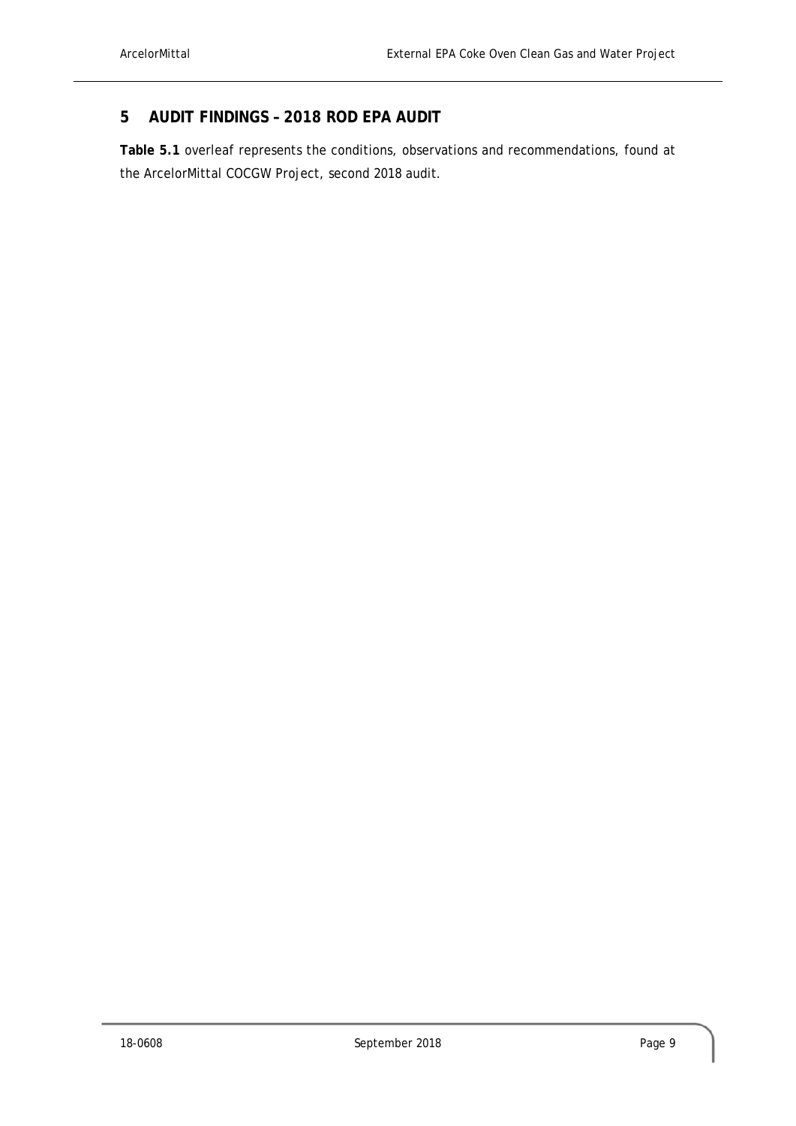### **5 AUDIT FINDINGS – 2018 ROD EPA AUDIT**

**Table 5.1** overleaf represents the conditions, observations and recommendations, found at the ArcelorMittal COCGW Project, second 2018 audit.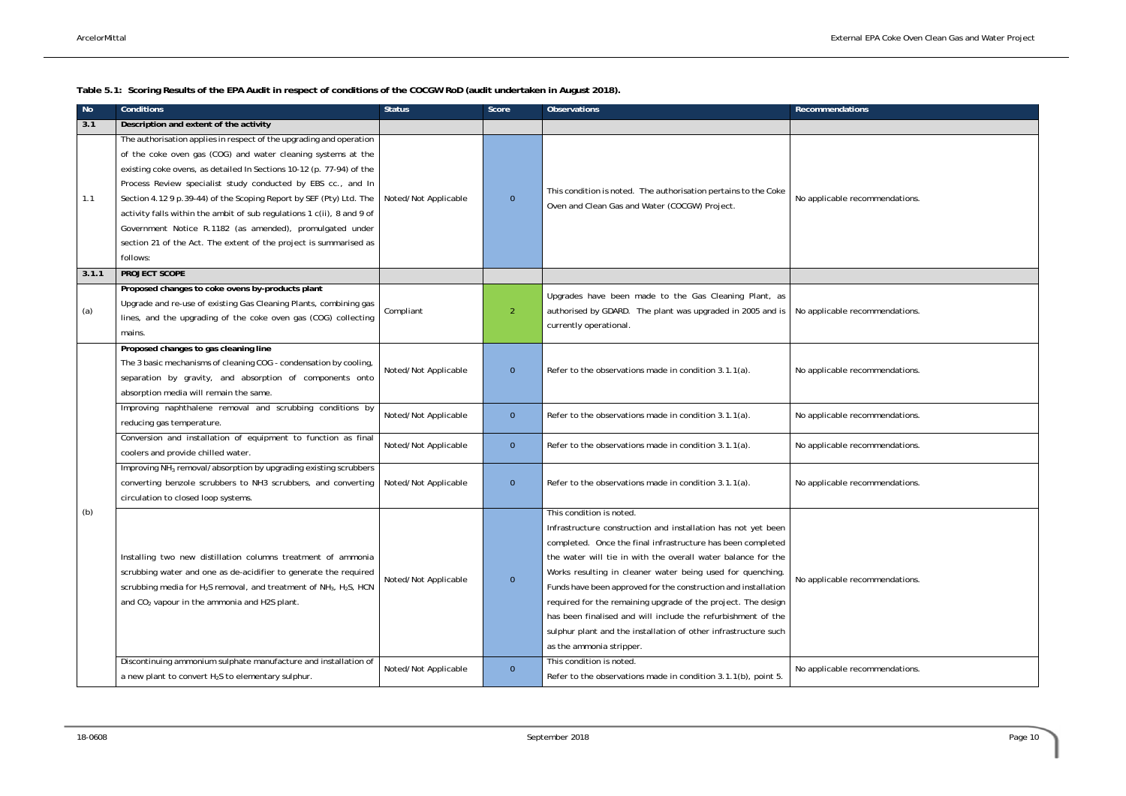**Table 5.1: Scoring Results of the EPA Audit in respect of conditions of the COCGW RoD (audit undertaken in August 2018).** 

| <b>No</b>    | <b>Conditions</b>                                                                                                                                                                                                                                                                                                                                                                                                                                                                                                                                                                                 | <b>Status</b>        | Score          | <b>Observations</b>                                                                                                                                                                                                                                                                                                                                                                                                                                                                                                                                                                      | <b>Recommendations</b>         |
|--------------|---------------------------------------------------------------------------------------------------------------------------------------------------------------------------------------------------------------------------------------------------------------------------------------------------------------------------------------------------------------------------------------------------------------------------------------------------------------------------------------------------------------------------------------------------------------------------------------------------|----------------------|----------------|------------------------------------------------------------------------------------------------------------------------------------------------------------------------------------------------------------------------------------------------------------------------------------------------------------------------------------------------------------------------------------------------------------------------------------------------------------------------------------------------------------------------------------------------------------------------------------------|--------------------------------|
| 3.1          | Description and extent of the activity                                                                                                                                                                                                                                                                                                                                                                                                                                                                                                                                                            |                      |                |                                                                                                                                                                                                                                                                                                                                                                                                                                                                                                                                                                                          |                                |
| 1.1<br>3.1.1 | The authorisation applies in respect of the upgrading and operation<br>of the coke oven gas (COG) and water cleaning systems at the<br>existing coke ovens, as detailed In Sections 10-12 (p. 77-94) of the<br>Process Review specialist study conducted by EBS cc., and In<br>Section 4.12 9 p.39-44) of the Scoping Report by SEF (Pty) Ltd. The<br>activity falls within the ambit of sub regulations 1 c(ii), 8 and 9 of<br>Government Notice R.1182 (as amended), promulgated under<br>section 21 of the Act. The extent of the project is summarised as<br>follows:<br><b>PROJECT SCOPE</b> | Noted/Not Applicable | $\overline{0}$ | This condition is noted. The authorisation pertains to the Coke<br>Oven and Clean Gas and Water (COCGW) Project.                                                                                                                                                                                                                                                                                                                                                                                                                                                                         | No applicable recommendations. |
|              | Proposed changes to coke ovens by-products plant                                                                                                                                                                                                                                                                                                                                                                                                                                                                                                                                                  |                      |                |                                                                                                                                                                                                                                                                                                                                                                                                                                                                                                                                                                                          |                                |
| (a)          | Upgrade and re-use of existing Gas Cleaning Plants, combining gas<br>lines, and the upgrading of the coke oven gas (COG) collecting<br>mains.                                                                                                                                                                                                                                                                                                                                                                                                                                                     | Compliant            | $\overline{2}$ | Upgrades have been made to the Gas Cleaning Plant, as<br>authorised by GDARD. The plant was upgraded in 2005 and is<br>currently operational.                                                                                                                                                                                                                                                                                                                                                                                                                                            | No applicable recommendations. |
|              | Proposed changes to gas cleaning line<br>The 3 basic mechanisms of cleaning COG - condensation by cooling,<br>separation by gravity, and absorption of components onto<br>absorption media will remain the same.                                                                                                                                                                                                                                                                                                                                                                                  | Noted/Not Applicable | $\overline{0}$ | Refer to the observations made in condition 3.1.1(a).                                                                                                                                                                                                                                                                                                                                                                                                                                                                                                                                    | No applicable recommendations. |
|              | Improving naphthalene removal and scrubbing conditions by<br>reducing gas temperature.                                                                                                                                                                                                                                                                                                                                                                                                                                                                                                            | Noted/Not Applicable | $\overline{0}$ | Refer to the observations made in condition 3.1.1(a).                                                                                                                                                                                                                                                                                                                                                                                                                                                                                                                                    | No applicable recommendations. |
|              | Conversion and installation of equipment to function as final<br>coolers and provide chilled water.                                                                                                                                                                                                                                                                                                                                                                                                                                                                                               | Noted/Not Applicable | $\overline{0}$ | Refer to the observations made in condition 3.1.1(a).                                                                                                                                                                                                                                                                                                                                                                                                                                                                                                                                    | No applicable recommendations. |
|              | Improving NH <sub>3</sub> removal/absorption by upgrading existing scrubbers<br>converting benzole scrubbers to NH3 scrubbers, and converting<br>circulation to closed loop systems.                                                                                                                                                                                                                                                                                                                                                                                                              | Noted/Not Applicable | $\overline{0}$ | Refer to the observations made in condition 3.1.1(a).                                                                                                                                                                                                                                                                                                                                                                                                                                                                                                                                    | No applicable recommendations. |
| (b)          | Installing two new distillation columns treatment of ammonia<br>scrubbing water and one as de-acidifier to generate the required<br>scrubbing media for H <sub>2</sub> S removal, and treatment of NH <sub>3</sub> , H <sub>2</sub> S, HCN<br>and CO <sub>2</sub> vapour in the ammonia and H2S plant.                                                                                                                                                                                                                                                                                            | Noted/Not Applicable | $\mathbf 0$    | This condition is noted.<br>Infrastructure construction and installation has not yet been<br>completed. Once the final infrastructure has been completed<br>the water will tie in with the overall water balance for the<br>Works resulting in cleaner water being used for quenching.<br>Funds have been approved for the construction and installation<br>required for the remaining upgrade of the project. The design<br>has been finalised and will include the refurbishment of the<br>sulphur plant and the installation of other infrastructure such<br>as the ammonia stripper. | No applicable recommendations. |
|              | Discontinuing ammonium sulphate manufacture and installation of<br>a new plant to convert H <sub>2</sub> S to elementary sulphur.                                                                                                                                                                                                                                                                                                                                                                                                                                                                 | Noted/Not Applicable | $\overline{0}$ | This condition is noted.<br>Refer to the observations made in condition 3.1.1(b), point 5.                                                                                                                                                                                                                                                                                                                                                                                                                                                                                               | No applicable recommendations. |

| <b>Recommendations</b>         |
|--------------------------------|
|                                |
|                                |
| No applicable recommendations. |
|                                |
|                                |
| No applicable recommendations. |
| No applicable recommendations. |
|                                |
| No applicable recommendations. |
| No applicable recommendations. |
| No applicable recommendations. |
| No applicable recommendations. |
| No applicable recommendations. |
|                                |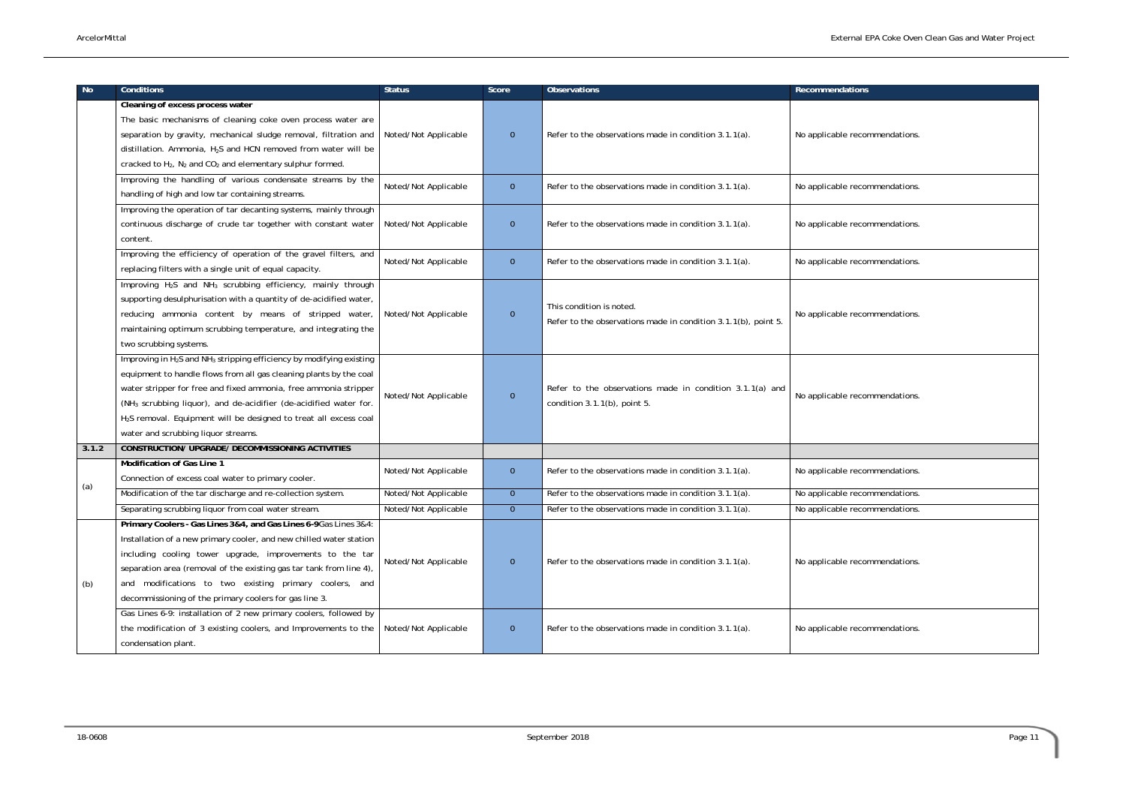| recommendations.                                                             |
|------------------------------------------------------------------------------|
| recommendations.<br>recommendations.<br>recommendations.<br>recommendations. |
|                                                                              |
|                                                                              |
|                                                                              |
|                                                                              |
| recommendations.                                                             |
|                                                                              |
| recommendations.                                                             |
| recommendations.                                                             |
| recommendations.                                                             |
|                                                                              |
|                                                                              |
| recommendations.<br>recommendations.                                         |

| No.   | <b>Conditions</b>                                                                            | <b>Status</b>        | Score          | <b>Observations</b>                                                                        | <b>Recommendations</b>         |
|-------|----------------------------------------------------------------------------------------------|----------------------|----------------|--------------------------------------------------------------------------------------------|--------------------------------|
|       | Cleaning of excess process water                                                             |                      |                |                                                                                            |                                |
|       | The basic mechanisms of cleaning coke oven process water are                                 |                      |                |                                                                                            |                                |
|       | separation by gravity, mechanical sludge removal, filtration and                             | Noted/Not Applicable | $\mathbf{0}$   | Refer to the observations made in condition 3.1.1(a).                                      | No applicable recommendations. |
|       | distillation. Ammonia, H <sub>2</sub> S and HCN removed from water will be                   |                      |                |                                                                                            |                                |
|       | cracked to $H_2$ , $N_2$ and $CO_2$ and elementary sulphur formed.                           |                      |                |                                                                                            |                                |
|       | Improving the handling of various condensate streams by the                                  |                      |                |                                                                                            |                                |
|       | handling of high and low tar containing streams.                                             | Noted/Not Applicable | $\mathbf{0}$   | Refer to the observations made in condition 3.1.1(a).                                      | No applicable recommendations. |
|       | Improving the operation of tar decanting systems, mainly through                             |                      |                |                                                                                            |                                |
|       | continuous discharge of crude tar together with constant water                               | Noted/Not Applicable | $\mathbf{0}$   | Refer to the observations made in condition 3.1.1(a).                                      | No applicable recommendations. |
|       | content.                                                                                     |                      |                |                                                                                            |                                |
|       | Improving the efficiency of operation of the gravel filters, and                             | Noted/Not Applicable | $\mathbf{0}$   | Refer to the observations made in condition 3.1.1(a).                                      | No applicable recommendations. |
|       | replacing filters with a single unit of equal capacity.                                      |                      |                |                                                                                            |                                |
|       | Improving H <sub>2</sub> S and NH <sub>3</sub> scrubbing efficiency, mainly through          | Noted/Not Applicable | $\mathbf{0}$   | This condition is noted.<br>Refer to the observations made in condition 3.1.1(b), point 5. | No applicable recommendations. |
|       | supporting desulphurisation with a quantity of de-acidified water,                           |                      |                |                                                                                            |                                |
|       | reducing ammonia content by means of stripped water,                                         |                      |                |                                                                                            |                                |
|       | maintaining optimum scrubbing temperature, and integrating the                               |                      |                |                                                                                            |                                |
|       | two scrubbing systems.                                                                       |                      |                |                                                                                            |                                |
|       | Improving in H <sub>2</sub> S and NH <sub>3</sub> stripping efficiency by modifying existing |                      |                |                                                                                            |                                |
|       | equipment to handle flows from all gas cleaning plants by the coal                           | Noted/Not Applicable | $\overline{0}$ | Refer to the observations made in condition 3.1.1(a) and<br>condition 3.1.1(b), point 5.   |                                |
|       | water stripper for free and fixed ammonia, free ammonia stripper                             |                      |                |                                                                                            | No applicable recommendations. |
|       | (NH <sub>3</sub> scrubbing liquor), and de-acidifier (de-acidified water for.                |                      |                |                                                                                            |                                |
|       | H <sub>2</sub> S removal. Equipment will be designed to treat all excess coal                |                      |                |                                                                                            |                                |
|       | water and scrubbing liquor streams.                                                          |                      |                |                                                                                            |                                |
| 3.1.2 | <b>CONSTRUCTION/ UPGRADE/ DECOMMISSIONING ACTIVITIES</b>                                     |                      |                |                                                                                            |                                |
|       | Modification of Gas Line 1                                                                   | Noted/Not Applicable | $\mathbf 0$    | Refer to the observations made in condition 3.1.1(a).                                      | No applicable recommendations. |
| (a)   | Connection of excess coal water to primary cooler.                                           |                      |                |                                                                                            |                                |
|       | Modification of the tar discharge and re-collection system.                                  | Noted/Not Applicable | $\overline{0}$ | Refer to the observations made in condition 3.1.1(a).                                      | No applicable recommendations. |
|       | Separating scrubbing liquor from coal water stream.                                          | Noted/Not Applicable | $\overline{0}$ | Refer to the observations made in condition 3.1.1(a).                                      | No applicable recommendations. |
|       | Primary Coolers - Gas Lines 3&4, and Gas Lines 6-9Gas Lines 3&4:                             |                      |                |                                                                                            |                                |
|       | Installation of a new primary cooler, and new chilled water station                          |                      |                |                                                                                            |                                |
|       | including cooling tower upgrade, improvements to the tar                                     | Noted/Not Applicable | $\mathbf{0}$   | Refer to the observations made in condition 3.1.1(a).                                      | No applicable recommendations. |
|       | separation area (removal of the existing gas tar tank from line 4),                          |                      |                |                                                                                            |                                |
| (b)   | and modifications to two existing primary coolers, and                                       |                      |                |                                                                                            |                                |
|       | decommissioning of the primary coolers for gas line 3.                                       |                      |                |                                                                                            |                                |
|       | Gas Lines 6-9: installation of 2 new primary coolers, followed by                            |                      |                |                                                                                            |                                |
|       | the modification of 3 existing coolers, and Improvements to the                              | Noted/Not Applicable | $\mathbf{0}$   | Refer to the observations made in condition 3.1.1(a).                                      | No applicable recommendations. |
|       | condensation plant.                                                                          |                      |                |                                                                                            |                                |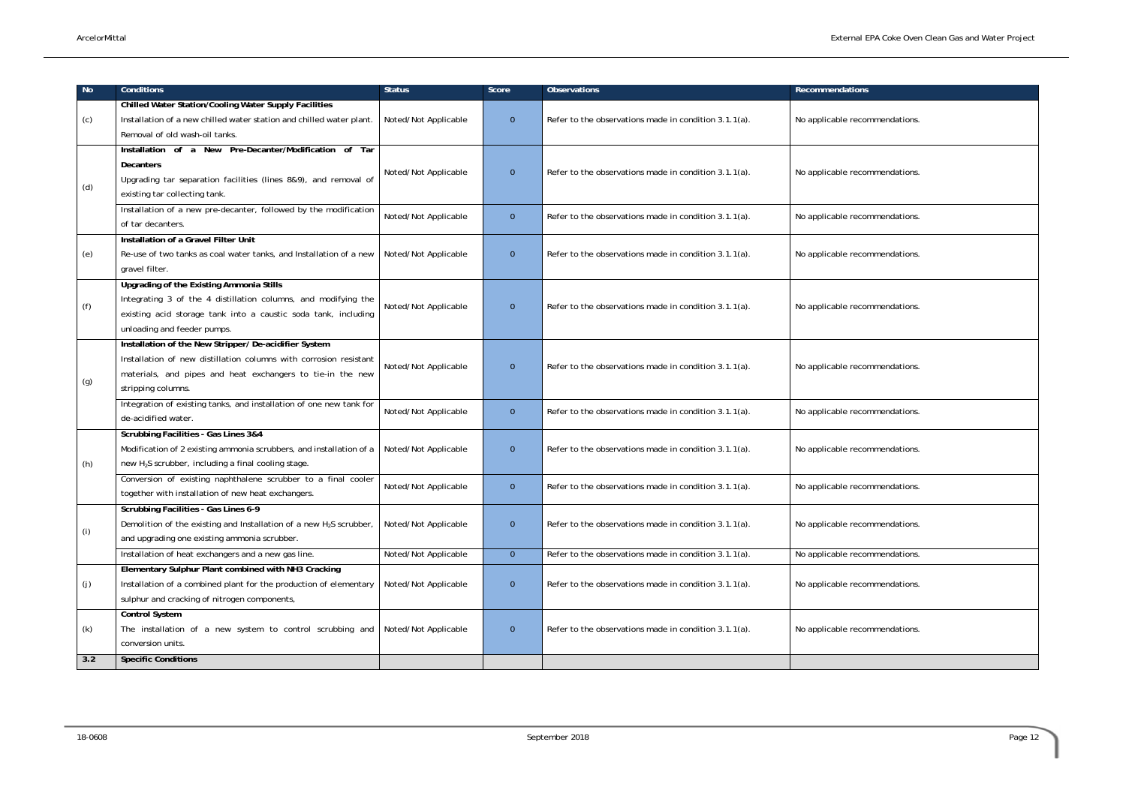| No  | <b>Conditions</b>                                                                          | <b>Status</b>        | Score          | <b>Observations</b>                                   | <b>Recommendations</b>         |
|-----|--------------------------------------------------------------------------------------------|----------------------|----------------|-------------------------------------------------------|--------------------------------|
|     | <b>Chilled Water Station/Cooling Water Supply Facilities</b>                               |                      |                |                                                       |                                |
| (c) | Installation of a new chilled water station and chilled water plant.                       | Noted/Not Applicable | $\overline{0}$ | Refer to the observations made in condition 3.1.1(a). | No applicable recommendations. |
|     | Removal of old wash-oil tanks.                                                             |                      |                |                                                       |                                |
|     | Installation of a New Pre-Decanter/Modification of Tar                                     |                      |                |                                                       |                                |
| (d) | <b>Decanters</b>                                                                           | Noted/Not Applicable | $\overline{0}$ | Refer to the observations made in condition 3.1.1(a). | No applicable recommendations. |
|     | Upgrading tar separation facilities (lines 8&9), and removal of                            |                      |                |                                                       |                                |
|     | existing tar collecting tank.                                                              |                      |                |                                                       |                                |
|     | Installation of a new pre-decanter, followed by the modification                           | Noted/Not Applicable | $\overline{0}$ | Refer to the observations made in condition 3.1.1(a). | No applicable recommendations. |
|     | of tar decanters.                                                                          |                      |                |                                                       |                                |
|     | Installation of a Gravel Filter Unit                                                       |                      |                |                                                       |                                |
| (e) | Re-use of two tanks as coal water tanks, and Installation of a new                         | Noted/Not Applicable | $\overline{0}$ | Refer to the observations made in condition 3.1.1(a). | No applicable recommendations. |
|     | gravel filter.                                                                             |                      |                |                                                       |                                |
| (f) | Upgrading of the Existing Ammonia Stills                                                   |                      |                |                                                       |                                |
|     | Integrating 3 of the 4 distillation columns, and modifying the                             | Noted/Not Applicable | $\overline{0}$ | Refer to the observations made in condition 3.1.1(a). | No applicable recommendations. |
|     | existing acid storage tank into a caustic soda tank, including                             |                      |                |                                                       |                                |
|     | unloading and feeder pumps.                                                                |                      |                |                                                       |                                |
| (g) | Installation of the New Stripper/ De-acidifier System                                      |                      |                |                                                       |                                |
|     | Installation of new distillation columns with corrosion resistant                          | Noted/Not Applicable | $\overline{0}$ | Refer to the observations made in condition 3.1.1(a). | No applicable recommendations. |
|     | materials, and pipes and heat exchangers to tie-in the new                                 |                      |                |                                                       |                                |
|     | stripping columns.                                                                         |                      |                |                                                       |                                |
|     | Integration of existing tanks, and installation of one new tank for                        | Noted/Not Applicable | $\overline{0}$ | Refer to the observations made in condition 3.1.1(a). | No applicable recommendations. |
|     | de-acidified water.                                                                        |                      |                |                                                       |                                |
|     | Scrubbing Facilities - Gas Lines 3&4                                                       |                      |                |                                                       |                                |
|     | Modification of 2 existing ammonia scrubbers, and installation of a   Noted/Not Applicable |                      | $\overline{0}$ | Refer to the observations made in condition 3.1.1(a). | No applicable recommendations. |
| (h) | new H <sub>2</sub> S scrubber, including a final cooling stage.                            |                      |                |                                                       |                                |
|     | Conversion of existing naphthalene scrubber to a final cooler                              | Noted/Not Applicable | $\overline{0}$ | Refer to the observations made in condition 3.1.1(a). | No applicable recommendations. |
|     | together with installation of new heat exchangers.                                         |                      |                |                                                       |                                |
|     | Scrubbing Facilities - Gas Lines 6-9                                                       |                      |                |                                                       |                                |
| (i) | Demolition of the existing and Installation of a new H <sub>2</sub> S scrubber,            | Noted/Not Applicable | $\overline{0}$ | Refer to the observations made in condition 3.1.1(a). | No applicable recommendations. |
|     | and upgrading one existing ammonia scrubber.                                               |                      |                |                                                       |                                |
|     | Installation of heat exchangers and a new gas line.                                        | Noted/Not Applicable | $\overline{0}$ | Refer to the observations made in condition 3.1.1(a). | No applicable recommendations. |
|     | Elementary Sulphur Plant combined with NH3 Cracking                                        |                      |                |                                                       |                                |
| (j) | Installation of a combined plant for the production of elementary                          | Noted/Not Applicable | $\overline{0}$ | Refer to the observations made in condition 3.1.1(a). | No applicable recommendations. |
|     | sulphur and cracking of nitrogen components,                                               |                      |                |                                                       |                                |
|     | <b>Control System</b>                                                                      |                      |                |                                                       |                                |
| (k) | The installation of a new system to control scrubbing and Noted/Not Applicable             |                      | $\overline{0}$ | Refer to the observations made in condition 3.1.1(a). | No applicable recommendations. |
|     | conversion units.                                                                          |                      |                |                                                       |                                |
| 3.2 | <b>Specific Conditions</b>                                                                 |                      |                |                                                       |                                |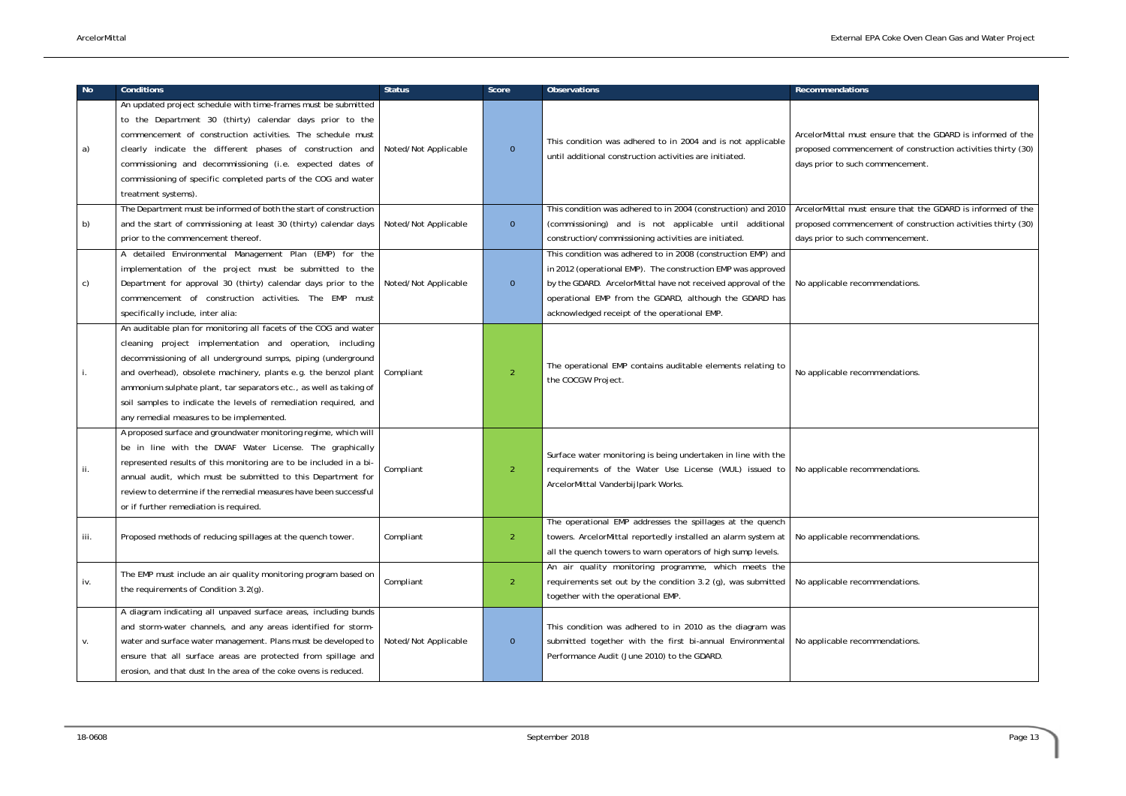ArcelorMittal must ensure that the GDARD is informed of the encement of construction activities thirty (30) ch commencement.

ArcelorMittal must ensure that the GDARD is informed of the encement of construction activities thirty (30) ch commencement.

| No.  | <b>Conditions</b>                                                                                                                                                                                                                                                                                                                                                                                                                                      | <b>Status</b>        | Score          | <b>Observations</b>                                                                                                                                                                                                                                                                                     | <b>Recommendations</b>                                                                               |
|------|--------------------------------------------------------------------------------------------------------------------------------------------------------------------------------------------------------------------------------------------------------------------------------------------------------------------------------------------------------------------------------------------------------------------------------------------------------|----------------------|----------------|---------------------------------------------------------------------------------------------------------------------------------------------------------------------------------------------------------------------------------------------------------------------------------------------------------|------------------------------------------------------------------------------------------------------|
| a)   | An updated project schedule with time-frames must be submitted<br>to the Department 30 (thirty) calendar days prior to the<br>commencement of construction activities. The schedule must<br>clearly indicate the different phases of construction and<br>commissioning and decommissioning (i.e. expected dates of<br>commissioning of specific completed parts of the COG and water<br>treatment systems).                                            | Noted/Not Applicable | $\mathbf{0}$   | This condition was adhered to in 2004 and is not applicable<br>until additional construction activities are initiated.                                                                                                                                                                                  | ArcelorMittal must ensure that tl<br>proposed commencement of cons<br>days prior to such commencemen |
| b)   | The Department must be informed of both the start of construction<br>and the start of commissioning at least 30 (thirty) calendar days<br>prior to the commencement thereof.                                                                                                                                                                                                                                                                           | Noted/Not Applicable | $\overline{0}$ | This condition was adhered to in 2004 (construction) and 2010<br>(commissioning) and is not applicable until additional<br>construction/commissioning activities are initiated.                                                                                                                         | ArcelorMittal must ensure that th<br>proposed commencement of cons<br>days prior to such commencemen |
| C)   | A detailed Environmental Management Plan (EMP) for the<br>implementation of the project must be submitted to the<br>Department for approval 30 (thirty) calendar days prior to the<br>commencement of construction activities. The EMP must<br>specifically include, inter alia:                                                                                                                                                                       | Noted/Not Applicable | $\overline{0}$ | This condition was adhered to in 2008 (construction EMP) and<br>in 2012 (operational EMP). The construction EMP was approved<br>by the GDARD. ArcelorMittal have not received approval of the<br>operational EMP from the GDARD, although the GDARD has<br>acknowledged receipt of the operational EMP. | No applicable recommendations.                                                                       |
| п.   | An auditable plan for monitoring all facets of the COG and water<br>cleaning project implementation and operation, including<br>decommissioning of all underground sumps, piping (underground<br>and overhead), obsolete machinery, plants e.g. the benzol plant<br>ammonium sulphate plant, tar separators etc., as well as taking of<br>soil samples to indicate the levels of remediation required, and<br>any remedial measures to be implemented. | Compliant            | $\overline{2}$ | The operational EMP contains auditable elements relating to<br>the COCGW Project.                                                                                                                                                                                                                       | No applicable recommendations.                                                                       |
| ii.  | A proposed surface and groundwater monitoring regime, which will<br>be in line with the DWAF Water License. The graphically<br>represented results of this monitoring are to be included in a bi-<br>annual audit, which must be submitted to this Department for<br>review to determine if the remedial measures have been successful<br>or if further remediation is required.                                                                       | Compliant            | 2              | Surface water monitoring is being undertaken in line with the<br>requirements of the Water Use License (WUL) issued to<br>ArcelorMittal Vanderbijlpark Works.                                                                                                                                           | No applicable recommendations.                                                                       |
| iii. | Proposed methods of reducing spillages at the quench tower.                                                                                                                                                                                                                                                                                                                                                                                            | Compliant            | $\overline{2}$ | The operational EMP addresses the spillages at the quench<br>towers. ArcelorMittal reportedly installed an alarm system at<br>all the quench towers to warn operators of high sump levels.                                                                                                              | No applicable recommendations.                                                                       |
| iv.  | The EMP must include an air quality monitoring program based on<br>the requirements of Condition 3.2(g).                                                                                                                                                                                                                                                                                                                                               | Compliant            | $\overline{2}$ | An air quality monitoring programme, which meets the<br>requirements set out by the condition 3.2 (g), was submitted<br>together with the operational EMP.                                                                                                                                              | No applicable recommendations.                                                                       |
| V.   | A diagram indicating all unpaved surface areas, including bunds<br>and storm-water channels, and any areas identified for storm-<br>water and surface water management. Plans must be developed to<br>ensure that all surface areas are protected from spillage and<br>erosion, and that dust In the area of the coke ovens is reduced.                                                                                                                | Noted/Not Applicable | $\overline{0}$ | This condition was adhered to in 2010 as the diagram was<br>submitted together with the first bi-annual Environmental<br>Performance Audit (June 2010) to the GDARD.                                                                                                                                    | No applicable recommendations.                                                                       |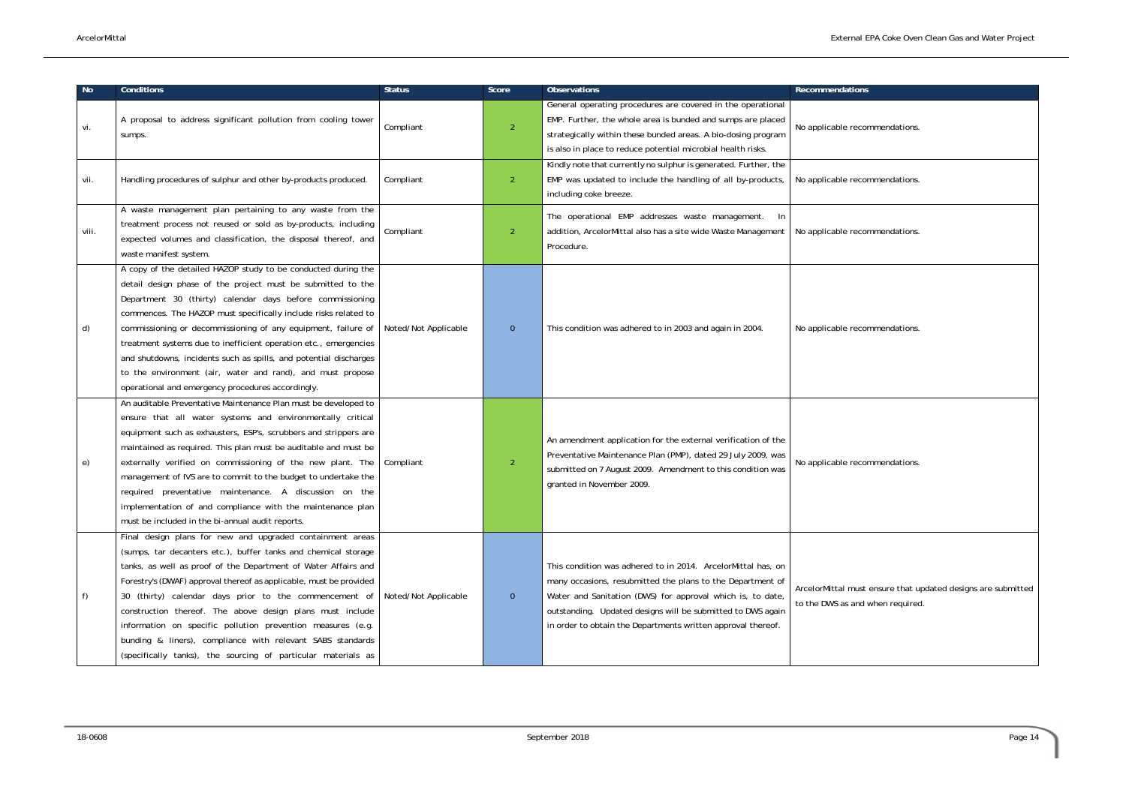| No    | <b>Conditions</b>                                                                                                                                                                                                                                                                                                                                                                                                                                                                                                                                                                         | <b>Status</b>        | Score          | <b>Observations</b>                                                                                                                                                                                                                                                                                                     | <b>Recommendations</b>                                               |
|-------|-------------------------------------------------------------------------------------------------------------------------------------------------------------------------------------------------------------------------------------------------------------------------------------------------------------------------------------------------------------------------------------------------------------------------------------------------------------------------------------------------------------------------------------------------------------------------------------------|----------------------|----------------|-------------------------------------------------------------------------------------------------------------------------------------------------------------------------------------------------------------------------------------------------------------------------------------------------------------------------|----------------------------------------------------------------------|
| vi.   | A proposal to address significant pollution from cooling tower<br>sumps.                                                                                                                                                                                                                                                                                                                                                                                                                                                                                                                  | Compliant            | $\overline{2}$ | General operating procedures are covered in the operational<br>EMP. Further, the whole area is bunded and sumps are placed<br>strategically within these bunded areas. A bio-dosing program<br>is also in place to reduce potential microbial health risks.                                                             | No applicable recommendations.                                       |
| vii.  | Handling procedures of sulphur and other by-products produced.                                                                                                                                                                                                                                                                                                                                                                                                                                                                                                                            | Compliant            | $\overline{2}$ | Kindly note that currently no sulphur is generated. Further, the<br>EMP was updated to include the handling of all by-products,<br>including coke breeze.                                                                                                                                                               | No applicable recommendations.                                       |
| viii. | A waste management plan pertaining to any waste from the<br>treatment process not reused or sold as by-products, including<br>expected volumes and classification, the disposal thereof, and<br>waste manifest system.                                                                                                                                                                                                                                                                                                                                                                    | Compliant            | $\overline{2}$ | The operational EMP addresses waste management.<br>In<br>addition, ArcelorMittal also has a site wide Waste Management<br>Procedure.                                                                                                                                                                                    | No applicable recommendations.                                       |
| d)    | A copy of the detailed HAZOP study to be conducted during the<br>detail design phase of the project must be submitted to the<br>Department 30 (thirty) calendar days before commissioning<br>commences. The HAZOP must specifically include risks related to<br>commissioning or decommissioning of any equipment, failure of<br>treatment systems due to inefficient operation etc., emergencies<br>and shutdowns, incidents such as spills, and potential discharges<br>to the environment (air, water and rand), and must propose<br>operational and emergency procedures accordingly. | Noted/Not Applicable | $\overline{0}$ | This condition was adhered to in 2003 and again in 2004.                                                                                                                                                                                                                                                                | No applicable recommendations.                                       |
| e)    | An auditable Preventative Maintenance Plan must be developed to<br>ensure that all water systems and environmentally critical<br>equipment such as exhausters, ESP's, scrubbers and strippers are<br>maintained as required. This plan must be auditable and must be<br>externally verified on commissioning of the new plant. The<br>management of IVS are to commit to the budget to undertake the<br>required preventative maintenance. A discussion on the<br>implementation of and compliance with the maintenance plan<br>must be included in the bi-annual audit reports.          | Compliant            | $\overline{2}$ | An amendment application for the external verification of the<br>Preventative Maintenance Plan (PMP), dated 29 July 2009, was<br>submitted on 7 August 2009. Amendment to this condition was<br>granted in November 2009.                                                                                               | No applicable recommendations.                                       |
| f)    | Final design plans for new and upgraded containment areas<br>(sumps, tar decanters etc.), buffer tanks and chemical storage<br>tanks, as well as proof of the Department of Water Affairs and<br>Forestry's (DWAF) approval thereof as applicable, must be provided<br>30 (thirty) calendar days prior to the commencement of<br>construction thereof. The above design plans must include<br>information on specific pollution prevention measures (e.g.<br>bunding & liners), compliance with relevant SABS standards<br>(specifically tanks), the sourcing of particular materials as  | Noted/Not Applicable | $\mathbf{0}$   | This condition was adhered to in 2014. ArcelorMittal has, on<br>many occasions, resubmitted the plans to the Department of<br>Water and Sanitation (DWS) for approval which is, to date,<br>outstanding. Updated designs will be submitted to DWS again<br>in order to obtain the Departments written approval thereof. | ArcelorMittal must ensure that up<br>to the DWS as and when required |

| Recommendations                                                                                  |
|--------------------------------------------------------------------------------------------------|
| No applicable recommendations.                                                                   |
| No applicable recommendations.                                                                   |
| No applicable recommendations.                                                                   |
| No applicable recommendations.                                                                   |
| No applicable recommendations.                                                                   |
| ArcelorMittal must ensure that updated designs are submitted<br>to the DWS as and when required. |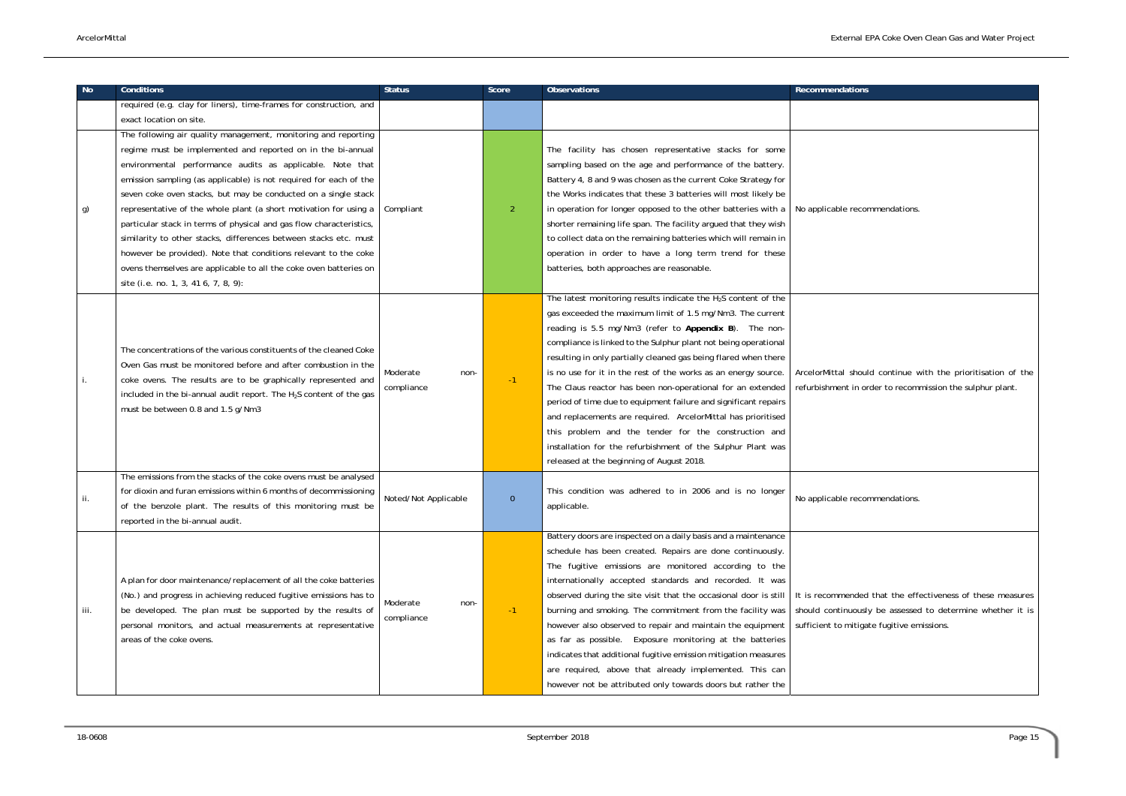| <b>No</b> | <b>Conditions</b>                                                                                                                     | <b>Status</b>        | Score    | <b>Observations</b>                                              | <b>Recommendations</b>             |
|-----------|---------------------------------------------------------------------------------------------------------------------------------------|----------------------|----------|------------------------------------------------------------------|------------------------------------|
|           | required (e.g. clay for liners), time-frames for construction, and                                                                    |                      |          |                                                                  |                                    |
|           | exact location on site.                                                                                                               |                      |          |                                                                  |                                    |
|           | The following air quality management, monitoring and reporting                                                                        |                      |          |                                                                  |                                    |
|           | regime must be implemented and reported on in the bi-annual                                                                           | Compliant            |          | The facility has chosen representative stacks for some           |                                    |
|           | environmental performance audits as applicable. Note that                                                                             |                      |          | sampling based on the age and performance of the battery.        |                                    |
|           | emission sampling (as applicable) is not required for each of the                                                                     |                      |          | Battery 4, 8 and 9 was chosen as the current Coke Strategy for   |                                    |
| g)        | seven coke oven stacks, but may be conducted on a single stack                                                                        |                      |          | the Works indicates that these 3 batteries will most likely be   |                                    |
|           | representative of the whole plant (a short motivation for using a                                                                     |                      | 2        | in operation for longer opposed to the other batteries with a    | No applicable recommendations.     |
|           | particular stack in terms of physical and gas flow characteristics,                                                                   |                      |          | shorter remaining life span. The facility argued that they wish  |                                    |
|           | similarity to other stacks, differences between stacks etc. must                                                                      |                      |          | to collect data on the remaining batteries which will remain in  |                                    |
|           | however be provided). Note that conditions relevant to the coke                                                                       |                      |          | operation in order to have a long term trend for these           |                                    |
|           | ovens themselves are applicable to all the coke oven batteries on                                                                     |                      |          | batteries, both approaches are reasonable.                       |                                    |
|           | site (i.e. no. 1, 3, 41 6, 7, 8, 9):                                                                                                  |                      |          |                                                                  |                                    |
|           |                                                                                                                                       |                      |          | The latest monitoring results indicate the $H_2S$ content of the |                                    |
|           | The concentrations of the various constituents of the cleaned Coke                                                                    |                      |          | gas exceeded the maximum limit of 1.5 mg/Nm3. The current        |                                    |
|           |                                                                                                                                       |                      | $-1$     | reading is 5.5 mg/Nm3 (refer to Appendix B). The non-            |                                    |
|           |                                                                                                                                       |                      |          | compliance is linked to the Sulphur plant not being operational  |                                    |
|           | Oven Gas must be monitored before and after combustion in the                                                                         |                      |          | resulting in only partially cleaned gas being flared when there  |                                    |
|           | coke ovens. The results are to be graphically represented and                                                                         | Moderate<br>non-     |          | is no use for it in the rest of the works as an energy source.   | ArcelorMittal should continue w    |
|           | included in the bi-annual audit report. The H <sub>2</sub> S content of the gas                                                       | compliance           |          | The Claus reactor has been non-operational for an extended       | refurbishment in order to recomn   |
|           | must be between 0.8 and 1.5 g/Nm3                                                                                                     |                      |          | period of time due to equipment failure and significant repairs  |                                    |
|           |                                                                                                                                       |                      |          | and replacements are required. ArcelorMittal has prioritised     |                                    |
|           |                                                                                                                                       |                      |          | this problem and the tender for the construction and             |                                    |
|           |                                                                                                                                       |                      |          | installation for the refurbishment of the Sulphur Plant was      |                                    |
|           |                                                                                                                                       |                      |          | released at the beginning of August 2018.                        |                                    |
|           | The emissions from the stacks of the coke ovens must be analysed<br>for dioxin and furan emissions within 6 months of decommissioning |                      |          | This condition was adhered to in 2006 and is no longer           |                                    |
| .         | of the benzole plant. The results of this monitoring must be                                                                          | Noted/Not Applicable | $\Omega$ | applicable.                                                      | No applicable recommendations.     |
|           | reported in the bi-annual audit.                                                                                                      |                      |          |                                                                  |                                    |
|           |                                                                                                                                       |                      |          | Battery doors are inspected on a daily basis and a maintenance   |                                    |
|           |                                                                                                                                       |                      |          | schedule has been created. Repairs are done continuously.        |                                    |
|           |                                                                                                                                       |                      |          | The fugitive emissions are monitored according to the            |                                    |
|           | A plan for door maintenance/replacement of all the coke batteries                                                                     |                      |          | internationally accepted standards and recorded. It was          |                                    |
|           | (No.) and progress in achieving reduced fugitive emissions has to                                                                     |                      |          | observed during the site visit that the occasional door is still | It is recommended that the effe    |
| iii.      | be developed. The plan must be supported by the results of                                                                            | Moderate<br>non-     | $-1$     | burning and smoking. The commitment from the facility was        | should continuously be assessed    |
|           | personal monitors, and actual measurements at representative                                                                          | compliance           |          | however also observed to repair and maintain the equipment       | sufficient to mitigate fugitive em |
|           | areas of the coke ovens.                                                                                                              |                      |          | as far as possible. Exposure monitoring at the batteries         |                                    |
|           |                                                                                                                                       |                      |          | indicates that additional fugitive emission mitigation measures  |                                    |
|           |                                                                                                                                       |                      |          | are required, above that already implemented. This can           |                                    |
|           |                                                                                                                                       |                      |          | however not be attributed only towards doors but rather the      |                                    |
|           |                                                                                                                                       |                      |          |                                                                  |                                    |

| <b>Recommendations</b>                                                                                                                                                 |
|------------------------------------------------------------------------------------------------------------------------------------------------------------------------|
|                                                                                                                                                                        |
| No applicable recommendations.                                                                                                                                         |
| ArcelorMittal should continue with the prioritisation of the<br>refurbishment in order to recommission the sulphur plant.                                              |
| No applicable recommendations.                                                                                                                                         |
| It is recommended that the effectiveness of these measures<br>should continuously be assessed to determine whether it is<br>sufficient to mitigate fugitive emissions. |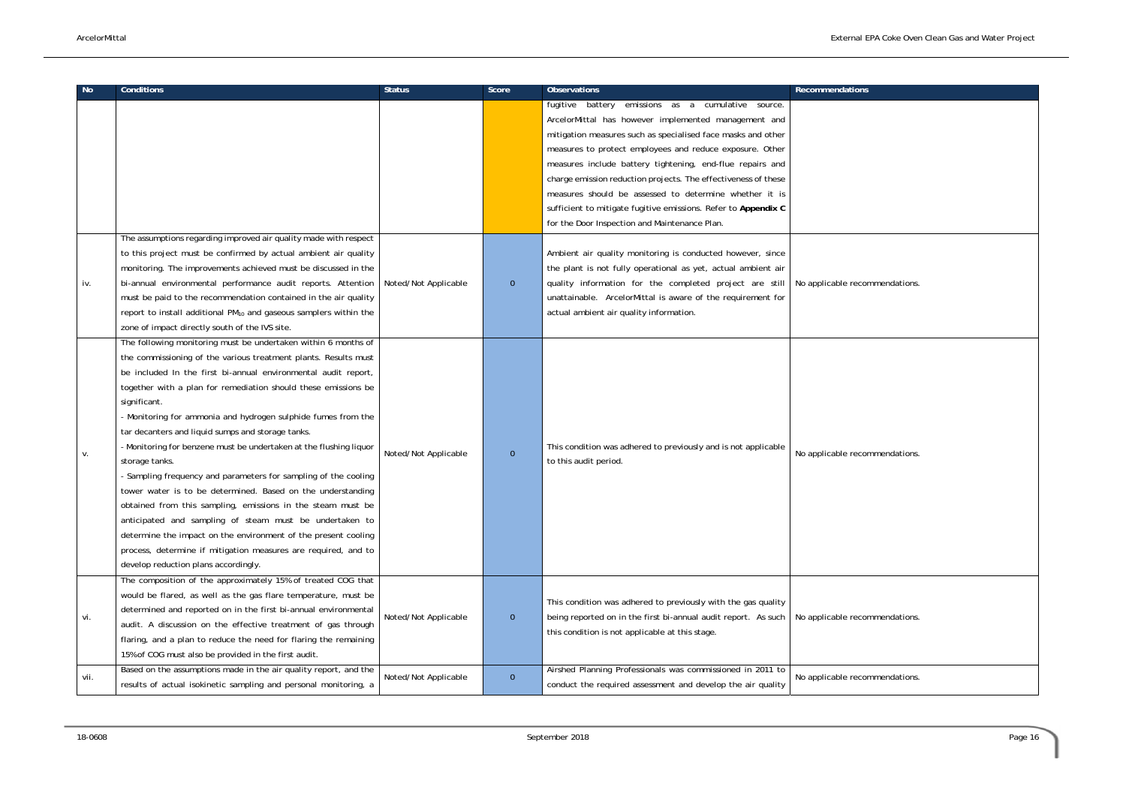| <b>No</b> | <b>Conditions</b>                                                                                                                                                                                                                                                                                                                                                                                                                                                                                                                                                                                                                                                                                                                                                                                                                                                                                                                           | <b>Status</b>        | Score          | <b>Observations</b>                                                                                                                                                                                                                                                                                                                                                                                                                                                                                                                                                                                                                                                                  | <b>Recommendations</b>         |
|-----------|---------------------------------------------------------------------------------------------------------------------------------------------------------------------------------------------------------------------------------------------------------------------------------------------------------------------------------------------------------------------------------------------------------------------------------------------------------------------------------------------------------------------------------------------------------------------------------------------------------------------------------------------------------------------------------------------------------------------------------------------------------------------------------------------------------------------------------------------------------------------------------------------------------------------------------------------|----------------------|----------------|--------------------------------------------------------------------------------------------------------------------------------------------------------------------------------------------------------------------------------------------------------------------------------------------------------------------------------------------------------------------------------------------------------------------------------------------------------------------------------------------------------------------------------------------------------------------------------------------------------------------------------------------------------------------------------------|--------------------------------|
|           | The assumptions regarding improved air quality made with respect<br>to this project must be confirmed by actual ambient air quality<br>monitoring. The improvements achieved must be discussed in the                                                                                                                                                                                                                                                                                                                                                                                                                                                                                                                                                                                                                                                                                                                                       |                      |                | emissions as a cumulative source.<br>fugitive battery<br>ArcelorMittal has however implemented management and<br>mitigation measures such as specialised face masks and other<br>measures to protect employees and reduce exposure. Other<br>measures include battery tightening, end-flue repairs and<br>charge emission reduction projects. The effectiveness of these<br>measures should be assessed to determine whether it is<br>sufficient to mitigate fugitive emissions. Refer to Appendix C<br>for the Door Inspection and Maintenance Plan.<br>Ambient air quality monitoring is conducted however, since<br>the plant is not fully operational as yet, actual ambient air |                                |
| iv.       | bi-annual environmental performance audit reports. Attention<br>must be paid to the recommendation contained in the air quality<br>report to install additional PM <sub>10</sub> and gaseous samplers within the<br>zone of impact directly south of the IVS site.                                                                                                                                                                                                                                                                                                                                                                                                                                                                                                                                                                                                                                                                          | Noted/Not Applicable | $\mathbf{0}$   | quality information for the completed project are still<br>unattainable. ArcelorMittal is aware of the requirement for<br>actual ambient air quality information.                                                                                                                                                                                                                                                                                                                                                                                                                                                                                                                    | No applicable recommendations. |
| v.        | The following monitoring must be undertaken within 6 months of<br>the commissioning of the various treatment plants. Results must<br>be included In the first bi-annual environmental audit report,<br>together with a plan for remediation should these emissions be<br>significant.<br>- Monitoring for ammonia and hydrogen sulphide fumes from the<br>tar decanters and liquid sumps and storage tanks.<br>- Monitoring for benzene must be undertaken at the flushing liquor<br>storage tanks.<br>- Sampling frequency and parameters for sampling of the cooling<br>tower water is to be determined. Based on the understanding<br>obtained from this sampling, emissions in the steam must be<br>anticipated and sampling of steam must be undertaken to<br>determine the impact on the environment of the present cooling<br>process, determine if mitigation measures are required, and to<br>develop reduction plans accordingly. | Noted/Not Applicable | $\mathbf{0}$   | This condition was adhered to previously and is not applicable<br>to this audit period.                                                                                                                                                                                                                                                                                                                                                                                                                                                                                                                                                                                              | No applicable recommendations. |
| vi.       | The composition of the approximately 15% of treated COG that<br>would be flared, as well as the gas flare temperature, must be<br>determined and reported on in the first bi-annual environmental<br>audit. A discussion on the effective treatment of gas through<br>flaring, and a plan to reduce the need for flaring the remaining<br>15% of COG must also be provided in the first audit.                                                                                                                                                                                                                                                                                                                                                                                                                                                                                                                                              | Noted/Not Applicable | $\overline{0}$ | This condition was adhered to previously with the gas quality<br>being reported on in the first bi-annual audit report. As such<br>this condition is not applicable at this stage.                                                                                                                                                                                                                                                                                                                                                                                                                                                                                                   | No applicable recommendations. |
| vii.      | Based on the assumptions made in the air quality report, and the<br>results of actual isokinetic sampling and personal monitoring, a                                                                                                                                                                                                                                                                                                                                                                                                                                                                                                                                                                                                                                                                                                                                                                                                        | Noted/Not Applicable | $\overline{0}$ | Airshed Planning Professionals was commissioned in 2011 to<br>conduct the required assessment and develop the air quality                                                                                                                                                                                                                                                                                                                                                                                                                                                                                                                                                            | No applicable recommendations. |

| Recommendations                |
|--------------------------------|
|                                |
|                                |
|                                |
|                                |
|                                |
|                                |
|                                |
|                                |
|                                |
| No applicable recommendations. |
|                                |
|                                |
|                                |
|                                |
|                                |
|                                |
|                                |
|                                |
|                                |
| No applicable recommendations. |
|                                |
|                                |
|                                |
|                                |
|                                |
|                                |
|                                |
|                                |
| No applicable recommendations. |
|                                |
|                                |
| No applicable recommendations. |
|                                |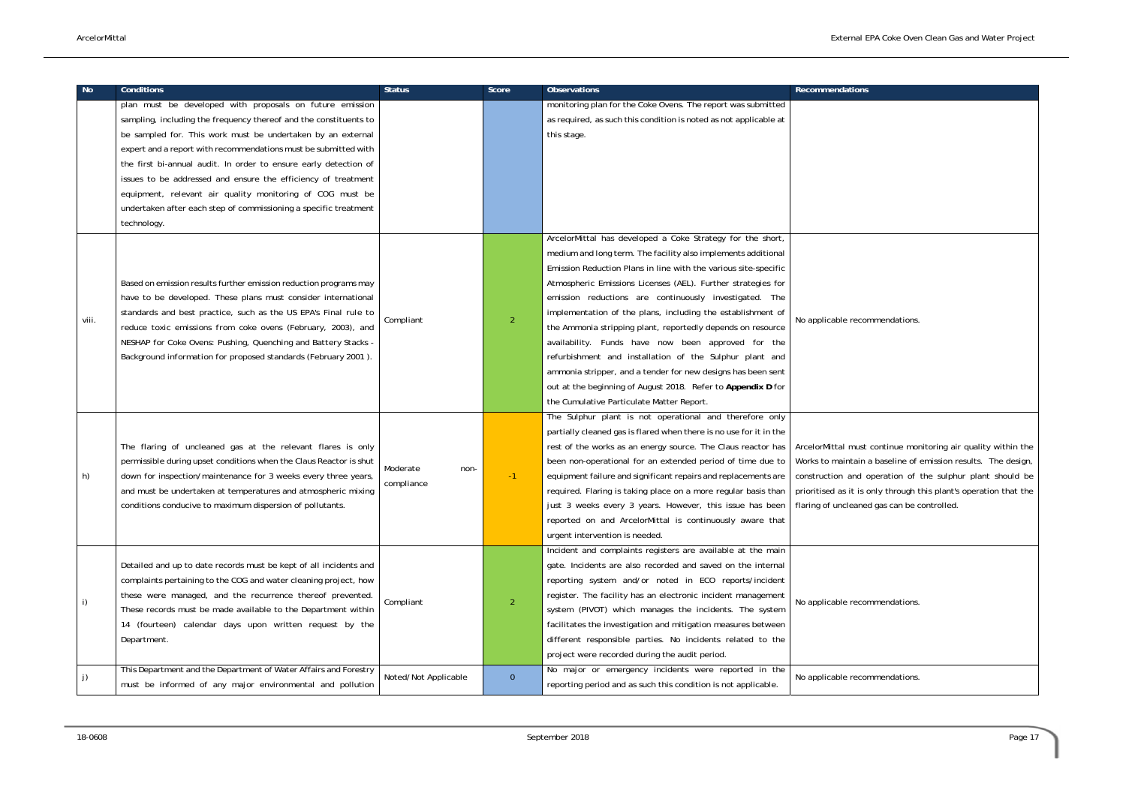

lust continue monitoring air quality within the ain a baseline of emission results. The design, nd operation of the sulphur plant should be t is only through this plant's operation that the aned gas can be controlled.

| No.   | <b>Conditions</b>                                                  | <b>Status</b>        | Score          | Observations                                                                                  | <b>Recommendations</b>               |
|-------|--------------------------------------------------------------------|----------------------|----------------|-----------------------------------------------------------------------------------------------|--------------------------------------|
|       | plan must be developed with proposals on future emission           |                      |                | monitoring plan for the Coke Ovens. The report was submitted                                  |                                      |
|       | sampling, including the frequency thereof and the constituents to  |                      |                | as required, as such this condition is noted as not applicable at                             |                                      |
|       | be sampled for. This work must be undertaken by an external        |                      |                | this stage.                                                                                   |                                      |
|       | expert and a report with recommendations must be submitted with    |                      |                |                                                                                               |                                      |
|       | the first bi-annual audit. In order to ensure early detection of   |                      |                |                                                                                               |                                      |
|       | issues to be addressed and ensure the efficiency of treatment      |                      |                |                                                                                               |                                      |
|       | equipment, relevant air quality monitoring of COG must be          |                      |                |                                                                                               |                                      |
|       | undertaken after each step of commissioning a specific treatment   |                      |                |                                                                                               |                                      |
|       | technology.                                                        |                      |                |                                                                                               |                                      |
|       |                                                                    |                      |                | ArcelorMittal has developed a Coke Strategy for the short,                                    |                                      |
|       |                                                                    |                      |                | medium and long term. The facility also implements additional                                 |                                      |
|       |                                                                    |                      |                | Emission Reduction Plans in line with the various site-specific                               |                                      |
|       | Based on emission results further emission reduction programs may  |                      |                | Atmospheric Emissions Licenses (AEL). Further strategies for                                  |                                      |
|       | have to be developed. These plans must consider international      |                      |                | emission reductions are continuously investigated. The                                        |                                      |
|       | standards and best practice, such as the US EPA's Final rule to    | Compliant            | $\overline{2}$ | implementation of the plans, including the establishment of                                   | No applicable recommendations.       |
| viii. | reduce toxic emissions from coke ovens (February, 2003), and       |                      |                | the Ammonia stripping plant, reportedly depends on resource                                   |                                      |
|       | NESHAP for Coke Ovens: Pushing, Quenching and Battery Stacks -     |                      |                | availability. Funds have now been approved for the                                            |                                      |
|       | Background information for proposed standards (February 2001).     |                      |                | refurbishment and installation of the Sulphur plant and                                       |                                      |
|       |                                                                    |                      |                | ammonia stripper, and a tender for new designs has been sent                                  |                                      |
|       |                                                                    |                      |                | out at the beginning of August 2018. Refer to Appendix D for                                  |                                      |
|       |                                                                    |                      |                | the Cumulative Particulate Matter Report.                                                     |                                      |
|       |                                                                    |                      |                | The Sulphur plant is not operational and therefore only                                       |                                      |
|       |                                                                    |                      |                | partially cleaned gas is flared when there is no use for it in the                            |                                      |
|       | The flaring of uncleaned gas at the relevant flares is only        |                      |                | rest of the works as an energy source. The Claus reactor has                                  | ArcelorMittal must continue mon      |
|       | permissible during upset conditions when the Claus Reactor is shut | Moderate             |                | been non-operational for an extended period of time due to                                    | Works to maintain a baseline of e    |
| h)    | down for inspection/maintenance for 3 weeks every three years,     | non-<br>compliance   | $-1$           | equipment failure and significant repairs and replacements are                                | construction and operation of t      |
|       | and must be undertaken at temperatures and atmospheric mixing      |                      |                | required. Flaring is taking place on a more regular basis than                                | prioritised as it is only through tl |
|       | conditions conducive to maximum dispersion of pollutants.          |                      |                | just 3 weeks every 3 years. However, this issue has been   flaring of uncleaned gas can be co |                                      |
|       |                                                                    |                      |                | reported on and ArcelorMittal is continuously aware that                                      |                                      |
|       |                                                                    |                      |                | urgent intervention is needed.                                                                |                                      |
|       |                                                                    |                      |                | Incident and complaints registers are available at the main                                   |                                      |
|       | Detailed and up to date records must be kept of all incidents and  |                      |                | gate. Incidents are also recorded and saved on the internal                                   |                                      |
|       | complaints pertaining to the COG and water cleaning project, how   |                      |                | reporting system and/or noted in ECO reports/incident                                         |                                      |
| i)    | these were managed, and the recurrence thereof prevented.          | Compliant            | $\overline{2}$ | register. The facility has an electronic incident management                                  | No applicable recommendations.       |
|       | These records must be made available to the Department within      |                      |                | system (PIVOT) which manages the incidents. The system                                        |                                      |
|       | 14 (fourteen) calendar days upon written request by the            |                      |                | facilitates the investigation and mitigation measures between                                 |                                      |
|       | Department.                                                        |                      |                | different responsible parties. No incidents related to the                                    |                                      |
|       |                                                                    |                      |                | project were recorded during the audit period.                                                |                                      |
| j)    | This Department and the Department of Water Affairs and Forestry   | Noted/Not Applicable | $\overline{0}$ | No major or emergency incidents were reported in the                                          | No applicable recommendations.       |
|       | must be informed of any major environmental and pollution          |                      |                | reporting period and as such this condition is not applicable.                                |                                      |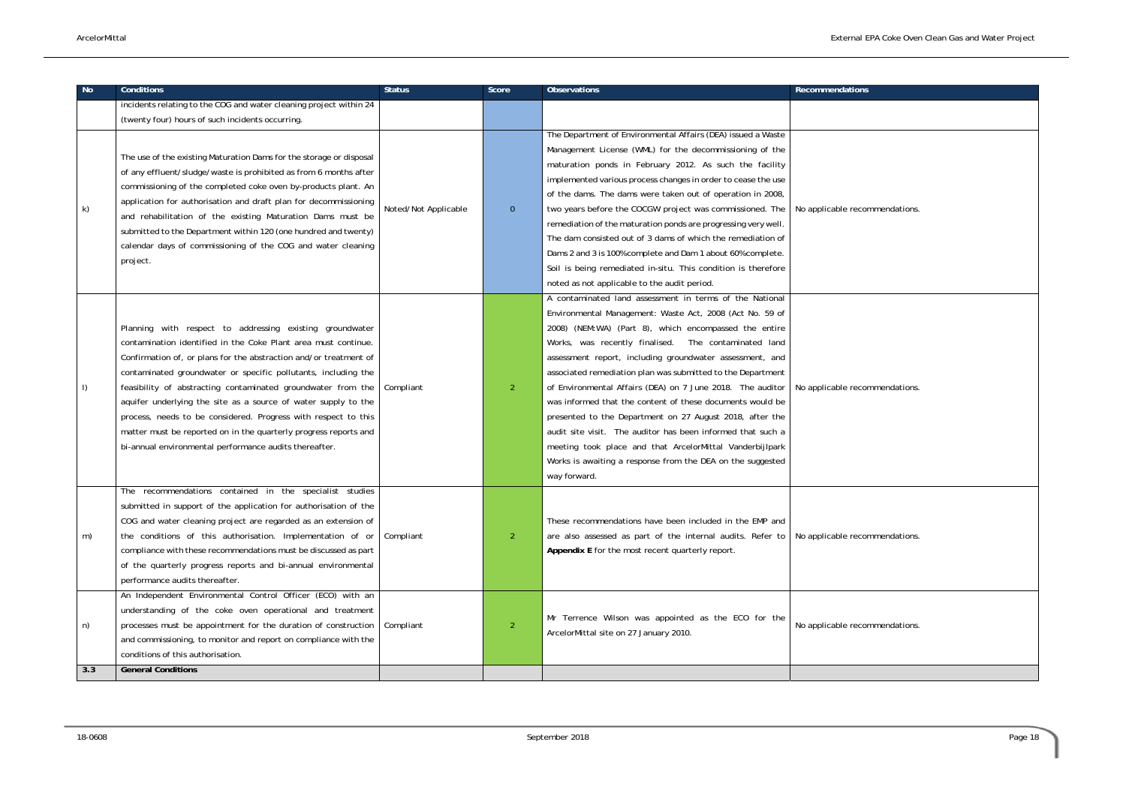| <b>No</b> | <b>Conditions</b>                                                                                                                                                                                                                                                                                                                                                                                                                                                                                                                                                                                   | <b>Status</b>        | Score          | <b>Observations</b>                                                                                                                                                                                                                                                                                                                                                                                                                                                                                                                                                                                                                                                                                                                                             | <b>Recommendations</b>         |
|-----------|-----------------------------------------------------------------------------------------------------------------------------------------------------------------------------------------------------------------------------------------------------------------------------------------------------------------------------------------------------------------------------------------------------------------------------------------------------------------------------------------------------------------------------------------------------------------------------------------------------|----------------------|----------------|-----------------------------------------------------------------------------------------------------------------------------------------------------------------------------------------------------------------------------------------------------------------------------------------------------------------------------------------------------------------------------------------------------------------------------------------------------------------------------------------------------------------------------------------------------------------------------------------------------------------------------------------------------------------------------------------------------------------------------------------------------------------|--------------------------------|
|           | incidents relating to the COG and water cleaning project within 24                                                                                                                                                                                                                                                                                                                                                                                                                                                                                                                                  |                      |                |                                                                                                                                                                                                                                                                                                                                                                                                                                                                                                                                                                                                                                                                                                                                                                 |                                |
|           | (twenty four) hours of such incidents occurring.                                                                                                                                                                                                                                                                                                                                                                                                                                                                                                                                                    |                      |                |                                                                                                                                                                                                                                                                                                                                                                                                                                                                                                                                                                                                                                                                                                                                                                 |                                |
| k)        | The use of the existing Maturation Dams for the storage or disposal<br>of any effluent/sludge/waste is prohibited as from 6 months after<br>commissioning of the completed coke oven by-products plant. An<br>application for authorisation and draft plan for decommissioning<br>and rehabilitation of the existing Maturation Dams must be<br>submitted to the Department within 120 (one hundred and twenty)<br>calendar days of commissioning of the COG and water cleaning<br>project.                                                                                                         | Noted/Not Applicable | $\overline{0}$ | The Department of Environmental Affairs (DEA) issued a Waste<br>Management License (WML) for the decommissioning of the<br>maturation ponds in February 2012. As such the facility<br>implemented various process changes in order to cease the use<br>of the dams. The dams were taken out of operation in 2008,<br>two years before the COCGW project was commissioned. The<br>remediation of the maturation ponds are progressing very well.<br>The dam consisted out of 3 dams of which the remediation of<br>Dams 2 and 3 is 100% complete and Dam 1 about 60% complete.<br>Soil is being remediated in-situ. This condition is therefore<br>noted as not applicable to the audit period.                                                                  | No applicable recommendations. |
| I)        | Planning with respect to addressing existing groundwater<br>contamination identified in the Coke Plant area must continue.<br>Confirmation of, or plans for the abstraction and/or treatment of<br>contaminated groundwater or specific pollutants, including the<br>feasibility of abstracting contaminated groundwater from the<br>aquifer underlying the site as a source of water supply to the<br>process, needs to be considered. Progress with respect to this<br>matter must be reported on in the quarterly progress reports and<br>bi-annual environmental performance audits thereafter. | Compliant            | $\overline{2}$ | A contaminated land assessment in terms of the National<br>Environmental Management: Waste Act, 2008 (Act No. 59 of<br>2008) (NEM:WA) (Part 8), which encompassed the entire<br>Works, was recently finalised. The contaminated land<br>assessment report, including groundwater assessment, and<br>associated remediation plan was submitted to the Department<br>of Environmental Affairs (DEA) on 7 June 2018. The auditor<br>was informed that the content of these documents would be<br>presented to the Department on 27 August 2018, after the<br>audit site visit. The auditor has been informed that such a<br>meeting took place and that ArcelorMittal Vanderbijlpark<br>Works is awaiting a response from the DEA on the suggested<br>way forward. | No applicable recommendations. |
| m)        | The recommendations contained in the specialist studies<br>submitted in support of the application for authorisation of the<br>COG and water cleaning project are regarded as an extension of<br>the conditions of this authorisation. Implementation of or<br>compliance with these recommendations must be discussed as part<br>of the quarterly progress reports and bi-annual environmental<br>performance audits thereafter.                                                                                                                                                                   | Compliant            | $\overline{2}$ | These recommendations have been included in the EMP and<br>are also assessed as part of the internal audits. Refer to<br>Appendix E for the most recent quarterly report.                                                                                                                                                                                                                                                                                                                                                                                                                                                                                                                                                                                       | No applicable recommendations. |
| n)        | An Independent Environmental Control Officer (ECO) with an<br>understanding of the coke oven operational and treatment<br>processes must be appointment for the duration of construction<br>and commissioning, to monitor and report on compliance with the<br>conditions of this authorisation.<br><b>General Conditions</b>                                                                                                                                                                                                                                                                       | Compliant            | 2              | Mr Terrence Wilson was appointed as the ECO for the<br>ArcelorMittal site on 27 January 2010.                                                                                                                                                                                                                                                                                                                                                                                                                                                                                                                                                                                                                                                                   | No applicable recommendations. |
| 3.3       |                                                                                                                                                                                                                                                                                                                                                                                                                                                                                                                                                                                                     |                      |                |                                                                                                                                                                                                                                                                                                                                                                                                                                                                                                                                                                                                                                                                                                                                                                 |                                |

| Recommendations                |  |
|--------------------------------|--|
|                                |  |
| No applicable recommendations. |  |
| No applicable recommendations. |  |
| No applicable recommendations. |  |
| No applicable recommendations. |  |
|                                |  |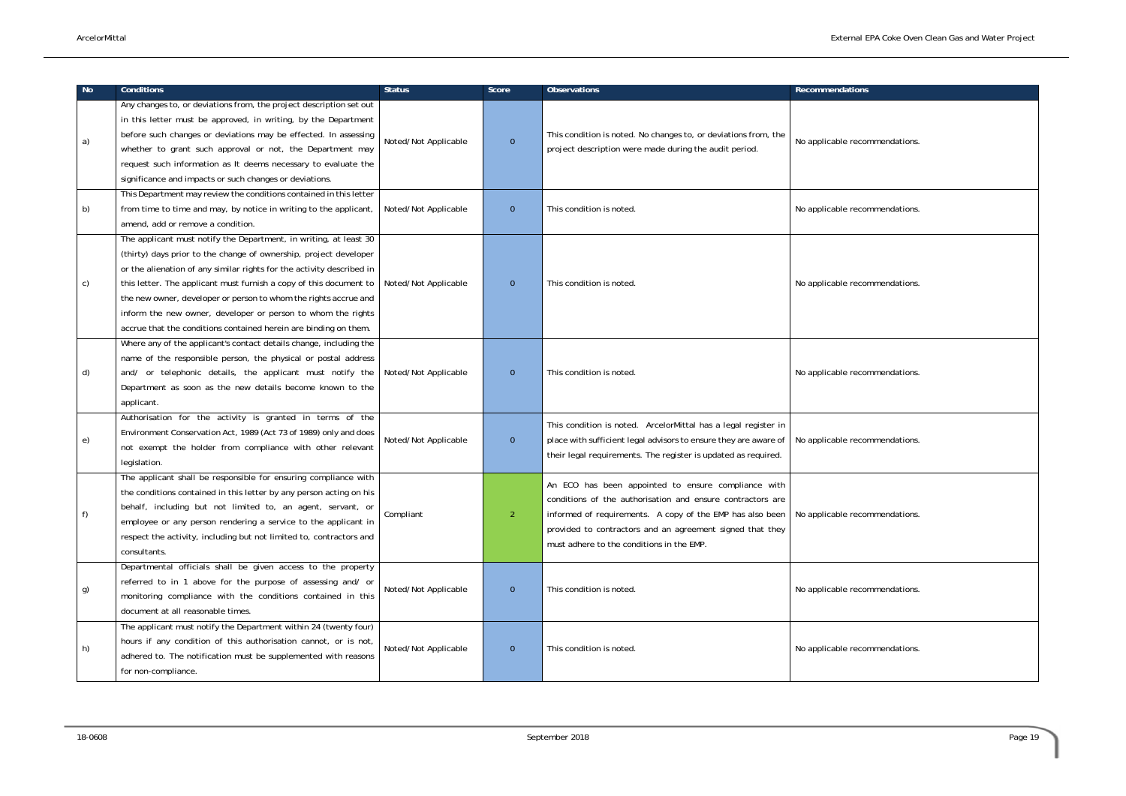| <b>No</b> | <b>Conditions</b>                                                                                                                                                                                                                                                                                                                                                                                                                                                                             | <b>Status</b>        | Score          | <b>Observations</b>                                                                                                                                                                                                                                                                      | <b>Recommendations</b>         |
|-----------|-----------------------------------------------------------------------------------------------------------------------------------------------------------------------------------------------------------------------------------------------------------------------------------------------------------------------------------------------------------------------------------------------------------------------------------------------------------------------------------------------|----------------------|----------------|------------------------------------------------------------------------------------------------------------------------------------------------------------------------------------------------------------------------------------------------------------------------------------------|--------------------------------|
| a)        | Any changes to, or deviations from, the project description set out<br>in this letter must be approved, in writing, by the Department<br>before such changes or deviations may be effected. In assessing<br>whether to grant such approval or not, the Department may                                                                                                                                                                                                                         | Noted/Not Applicable | $\overline{0}$ | This condition is noted. No changes to, or deviations from, the<br>project description were made during the audit period.                                                                                                                                                                | No applicable recommendations. |
|           | request such information as It deems necessary to evaluate the<br>significance and impacts or such changes or deviations.<br>This Department may review the conditions contained in this letter                                                                                                                                                                                                                                                                                               |                      |                |                                                                                                                                                                                                                                                                                          |                                |
| b)        | from time to time and may, by notice in writing to the applicant,<br>amend, add or remove a condition.                                                                                                                                                                                                                                                                                                                                                                                        | Noted/Not Applicable | $\overline{0}$ | This condition is noted.                                                                                                                                                                                                                                                                 | No applicable recommendations. |
| C)        | The applicant must notify the Department, in writing, at least 30<br>(thirty) days prior to the change of ownership, project developer<br>or the alienation of any similar rights for the activity described in<br>this letter. The applicant must furnish a copy of this document to<br>the new owner, developer or person to whom the rights accrue and<br>inform the new owner, developer or person to whom the rights<br>accrue that the conditions contained herein are binding on them. | Noted/Not Applicable | $\mathbf{0}$   | This condition is noted.                                                                                                                                                                                                                                                                 | No applicable recommendations. |
| d)        | Where any of the applicant's contact details change, including the<br>name of the responsible person, the physical or postal address<br>and/ or telephonic details, the applicant must notify the<br>Department as soon as the new details become known to the<br>applicant.                                                                                                                                                                                                                  | Noted/Not Applicable | $\overline{0}$ | This condition is noted.                                                                                                                                                                                                                                                                 | No applicable recommendations. |
| e)        | Authorisation for the activity is granted in terms of the<br>Environment Conservation Act, 1989 (Act 73 of 1989) only and does<br>not exempt the holder from compliance with other relevant<br>legislation.                                                                                                                                                                                                                                                                                   | Noted/Not Applicable | $\overline{0}$ | This condition is noted. ArcelorMittal has a legal register in<br>place with sufficient legal advisors to ensure they are aware of<br>their legal requirements. The register is updated as required.                                                                                     | No applicable recommendations. |
| f)        | The applicant shall be responsible for ensuring compliance with<br>the conditions contained in this letter by any person acting on his<br>behalf, including but not limited to, an agent, servant, or<br>employee or any person rendering a service to the applicant in<br>respect the activity, including but not limited to, contractors and<br>consultants.                                                                                                                                | Compliant            | 2              | An ECO has been appointed to ensure compliance with<br>conditions of the authorisation and ensure contractors are<br>informed of requirements. A copy of the EMP has also been<br>provided to contractors and an agreement signed that they<br>must adhere to the conditions in the EMP. | No applicable recommendations. |
| g)        | Departmental officials shall be given access to the property<br>referred to in 1 above for the purpose of assessing and/ or<br>monitoring compliance with the conditions contained in this<br>document at all reasonable times.                                                                                                                                                                                                                                                               | Noted/Not Applicable | $\overline{0}$ | This condition is noted.                                                                                                                                                                                                                                                                 | No applicable recommendations. |
| h)        | The applicant must notify the Department within 24 (twenty four)<br>hours if any condition of this authorisation cannot, or is not,<br>adhered to. The notification must be supplemented with reasons<br>for non-compliance.                                                                                                                                                                                                                                                                  | Noted/Not Applicable | $\mathbf{0}$   | This condition is noted.                                                                                                                                                                                                                                                                 | No applicable recommendations. |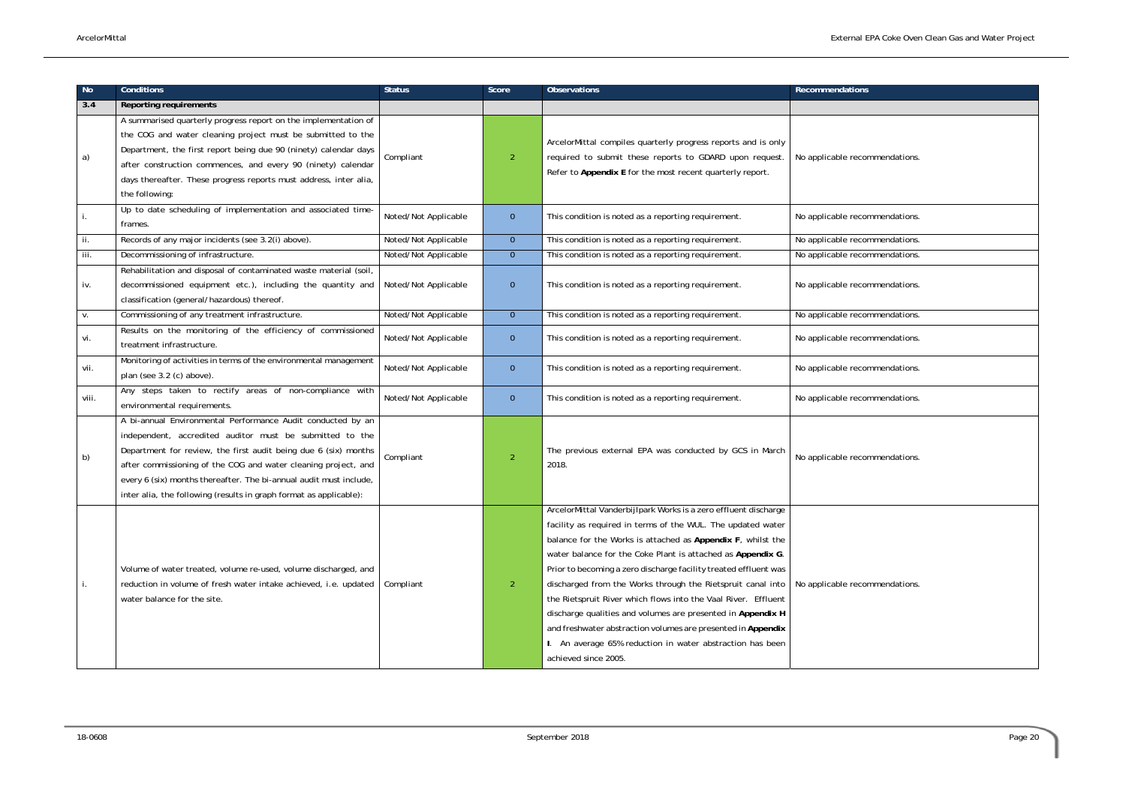| <b>No</b> | <b>Conditions</b>                                                                                                                                                                                                                                                                                                                                                                                        | <b>Status</b>        | Score          | <b>Observations</b>                                                                                                                                                                                                                                                                                                                                                                                                                                                                                                                                                                                                                                                                   | <b>Recommendations</b>         |
|-----------|----------------------------------------------------------------------------------------------------------------------------------------------------------------------------------------------------------------------------------------------------------------------------------------------------------------------------------------------------------------------------------------------------------|----------------------|----------------|---------------------------------------------------------------------------------------------------------------------------------------------------------------------------------------------------------------------------------------------------------------------------------------------------------------------------------------------------------------------------------------------------------------------------------------------------------------------------------------------------------------------------------------------------------------------------------------------------------------------------------------------------------------------------------------|--------------------------------|
| 3.4       | <b>Reporting requirements</b>                                                                                                                                                                                                                                                                                                                                                                            |                      |                |                                                                                                                                                                                                                                                                                                                                                                                                                                                                                                                                                                                                                                                                                       |                                |
| a)        | A summarised quarterly progress report on the implementation of<br>the COG and water cleaning project must be submitted to the<br>Department, the first report being due 90 (ninety) calendar days<br>after construction commences, and every 90 (ninety) calendar<br>days thereafter. These progress reports must address, inter alia,<br>the following:                                                | Compliant            | $\overline{2}$ | ArcelorMittal compiles quarterly progress reports and is only<br>required to submit these reports to GDARD upon request.<br>Refer to Appendix E for the most recent quarterly report.                                                                                                                                                                                                                                                                                                                                                                                                                                                                                                 | No applicable recommendations. |
|           | Up to date scheduling of implementation and associated time-<br>frames.                                                                                                                                                                                                                                                                                                                                  | Noted/Not Applicable | $\overline{0}$ | This condition is noted as a reporting requirement.                                                                                                                                                                                                                                                                                                                                                                                                                                                                                                                                                                                                                                   | No applicable recommendations. |
| ii.       | Records of any major incidents (see 3.2(i) above).                                                                                                                                                                                                                                                                                                                                                       | Noted/Not Applicable | $\overline{0}$ | This condition is noted as a reporting requirement.                                                                                                                                                                                                                                                                                                                                                                                                                                                                                                                                                                                                                                   | No applicable recommendations. |
| iii.      | Decommissioning of infrastructure.                                                                                                                                                                                                                                                                                                                                                                       | Noted/Not Applicable | $\mathbf{0}$   | This condition is noted as a reporting requirement.                                                                                                                                                                                                                                                                                                                                                                                                                                                                                                                                                                                                                                   | No applicable recommendations. |
| iv.       | Rehabilitation and disposal of contaminated waste material (soil,<br>decommissioned equipment etc.), including the quantity and<br>classification (general/hazardous) thereof.                                                                                                                                                                                                                           | Noted/Not Applicable | $\mathbf{0}$   | This condition is noted as a reporting requirement.                                                                                                                                                                                                                                                                                                                                                                                                                                                                                                                                                                                                                                   | No applicable recommendations. |
| V.        | Commissioning of any treatment infrastructure.                                                                                                                                                                                                                                                                                                                                                           | Noted/Not Applicable | $\overline{0}$ | This condition is noted as a reporting requirement.                                                                                                                                                                                                                                                                                                                                                                                                                                                                                                                                                                                                                                   | No applicable recommendations. |
| vi.       | Results on the monitoring of the efficiency of commissioned<br>treatment infrastructure.                                                                                                                                                                                                                                                                                                                 | Noted/Not Applicable | $\overline{0}$ | This condition is noted as a reporting requirement.                                                                                                                                                                                                                                                                                                                                                                                                                                                                                                                                                                                                                                   | No applicable recommendations. |
| vii.      | Monitoring of activities in terms of the environmental management<br>plan (see 3.2 (c) above).                                                                                                                                                                                                                                                                                                           | Noted/Not Applicable | $\overline{0}$ | This condition is noted as a reporting requirement.                                                                                                                                                                                                                                                                                                                                                                                                                                                                                                                                                                                                                                   | No applicable recommendations. |
| viii.     | Any steps taken to rectify areas of non-compliance with<br>environmental requirements.                                                                                                                                                                                                                                                                                                                   | Noted/Not Applicable | $\overline{0}$ | This condition is noted as a reporting requirement.                                                                                                                                                                                                                                                                                                                                                                                                                                                                                                                                                                                                                                   | No applicable recommendations. |
| b)        | A bi-annual Environmental Performance Audit conducted by an<br>independent, accredited auditor must be submitted to the<br>Department for review, the first audit being due 6 (six) months<br>after commissioning of the COG and water cleaning project, and<br>every 6 (six) months thereafter. The bi-annual audit must include,<br>inter alia, the following (results in graph format as applicable): | Compliant            | $\overline{2}$ | The previous external EPA was conducted by GCS in March<br>2018.                                                                                                                                                                                                                                                                                                                                                                                                                                                                                                                                                                                                                      | No applicable recommendations. |
|           | Volume of water treated, volume re-used, volume discharged, and<br>reduction in volume of fresh water intake achieved, i.e. updated<br>water balance for the site.                                                                                                                                                                                                                                       | Compliant            | $\overline{2}$ | ArcelorMittal Vanderbijlpark Works is a zero effluent discharge<br>facility as required in terms of the WUL. The updated water<br>balance for the Works is attached as Appendix F, whilst the<br>water balance for the Coke Plant is attached as Appendix G.<br>Prior to becoming a zero discharge facility treated effluent was<br>discharged from the Works through the Rietspruit canal into<br>the Rietspruit River which flows into the Vaal River. Effluent<br>discharge qualities and volumes are presented in Appendix H<br>and freshwater abstraction volumes are presented in Appendix<br>I. An average 65% reduction in water abstraction has been<br>achieved since 2005. | No applicable recommendations. |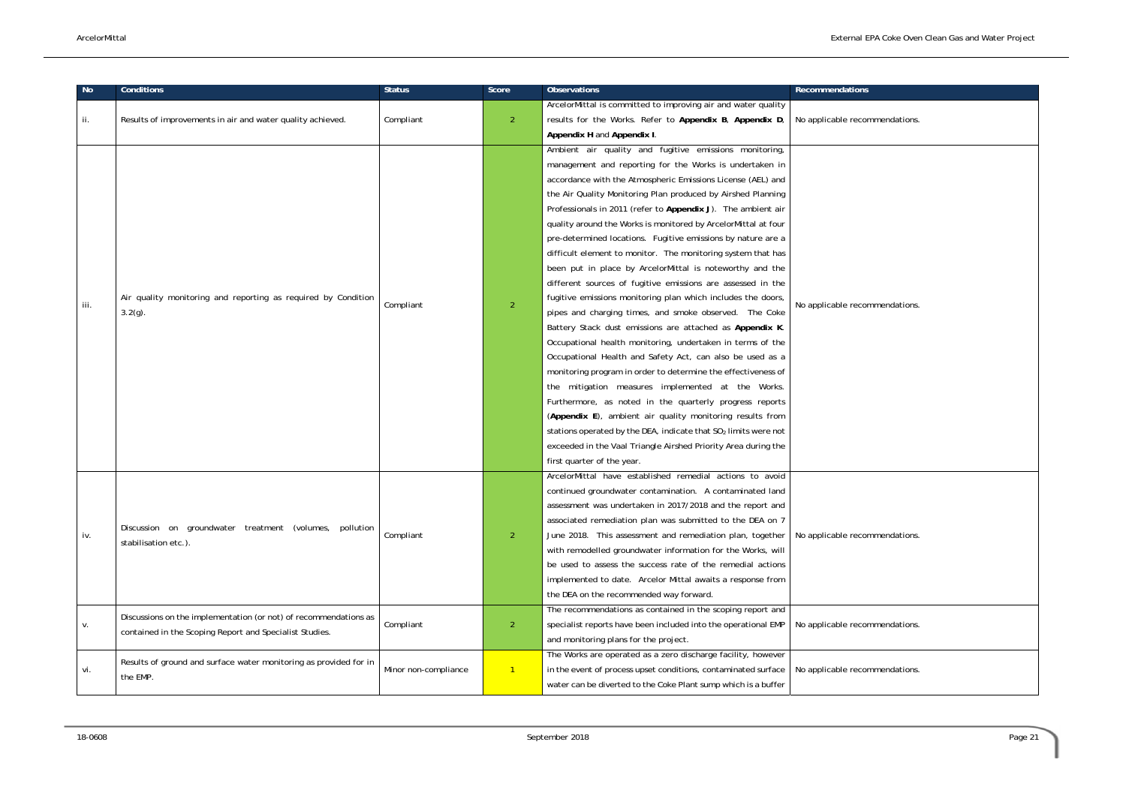commendations.

commendations.

commendations.

commendations.

commendations.

| No   | Conditions                                                                                                                  | <b>Status</b>        | Score          | Observations                                                                                                                                                                                                                                                                                                                                                                                                                                                                                                                                                                                                                                                                                                                                                                                                                                                                                                                                                                                                                                                                                                                                                                                                                                                                                                                                                                                | Recommendations     |
|------|-----------------------------------------------------------------------------------------------------------------------------|----------------------|----------------|---------------------------------------------------------------------------------------------------------------------------------------------------------------------------------------------------------------------------------------------------------------------------------------------------------------------------------------------------------------------------------------------------------------------------------------------------------------------------------------------------------------------------------------------------------------------------------------------------------------------------------------------------------------------------------------------------------------------------------------------------------------------------------------------------------------------------------------------------------------------------------------------------------------------------------------------------------------------------------------------------------------------------------------------------------------------------------------------------------------------------------------------------------------------------------------------------------------------------------------------------------------------------------------------------------------------------------------------------------------------------------------------|---------------------|
| ii.  | Results of improvements in air and water quality achieved.                                                                  | Compliant            | $\overline{2}$ | ArcelorMittal is committed to improving air and water quality<br>results for the Works. Refer to Appendix B, Appendix D,<br>Appendix H and Appendix I.                                                                                                                                                                                                                                                                                                                                                                                                                                                                                                                                                                                                                                                                                                                                                                                                                                                                                                                                                                                                                                                                                                                                                                                                                                      | No applicable recon |
| iii. | Air quality monitoring and reporting as required by Condition<br>3.2(g).                                                    | Compliant            | $\overline{2}$ | Ambient air quality and fugitive emissions monitoring,<br>management and reporting for the Works is undertaken in<br>accordance with the Atmospheric Emissions License (AEL) and<br>the Air Quality Monitoring Plan produced by Airshed Planning<br>Professionals in 2011 (refer to Appendix J). The ambient air<br>quality around the Works is monitored by ArcelorMittal at four<br>pre-determined locations. Fugitive emissions by nature are a<br>difficult element to monitor. The monitoring system that has<br>been put in place by ArcelorMittal is noteworthy and the<br>different sources of fugitive emissions are assessed in the<br>fugitive emissions monitoring plan which includes the doors,<br>pipes and charging times, and smoke observed. The Coke<br>Battery Stack dust emissions are attached as Appendix K.<br>Occupational health monitoring, undertaken in terms of the<br>Occupational Health and Safety Act, can also be used as a<br>monitoring program in order to determine the effectiveness of<br>the mitigation measures implemented at the Works.<br>Furthermore, as noted in the quarterly progress reports<br>(Appendix E), ambient air quality monitoring results from<br>stations operated by the DEA, indicate that SO <sub>2</sub> limits were not<br>exceeded in the Vaal Triangle Airshed Priority Area during the<br>first quarter of the year. | No applicable recon |
| iv.  | Discussion on groundwater treatment (volumes, pollution<br>stabilisation etc.).                                             | Compliant            | $\overline{2}$ | ArcelorMittal have established remedial actions to avoid<br>continued groundwater contamination. A contaminated land<br>assessment was undertaken in 2017/2018 and the report and<br>associated remediation plan was submitted to the DEA on 7<br>June 2018. This assessment and remediation plan, together<br>with remodelled groundwater information for the Works, will<br>be used to assess the success rate of the remedial actions<br>implemented to date. Arcelor Mittal awaits a response from<br>the DEA on the recommended way forward.<br>The recommendations as contained in the scoping report and                                                                                                                                                                                                                                                                                                                                                                                                                                                                                                                                                                                                                                                                                                                                                                             | No applicable recon |
| v.   | Discussions on the implementation (or not) of recommendations as<br>contained in the Scoping Report and Specialist Studies. | Compliant            | $\overline{2}$ | specialist reports have been included into the operational EMP<br>and monitoring plans for the project.                                                                                                                                                                                                                                                                                                                                                                                                                                                                                                                                                                                                                                                                                                                                                                                                                                                                                                                                                                                                                                                                                                                                                                                                                                                                                     | No applicable recon |
| vi.  | Results of ground and surface water monitoring as provided for in<br>the EMP.                                               | Minor non-compliance | $\mathbf{1}$   | The Works are operated as a zero discharge facility, however<br>in the event of process upset conditions, contaminated surface<br>water can be diverted to the Coke Plant sump which is a buffer                                                                                                                                                                                                                                                                                                                                                                                                                                                                                                                                                                                                                                                                                                                                                                                                                                                                                                                                                                                                                                                                                                                                                                                            | No applicable recon |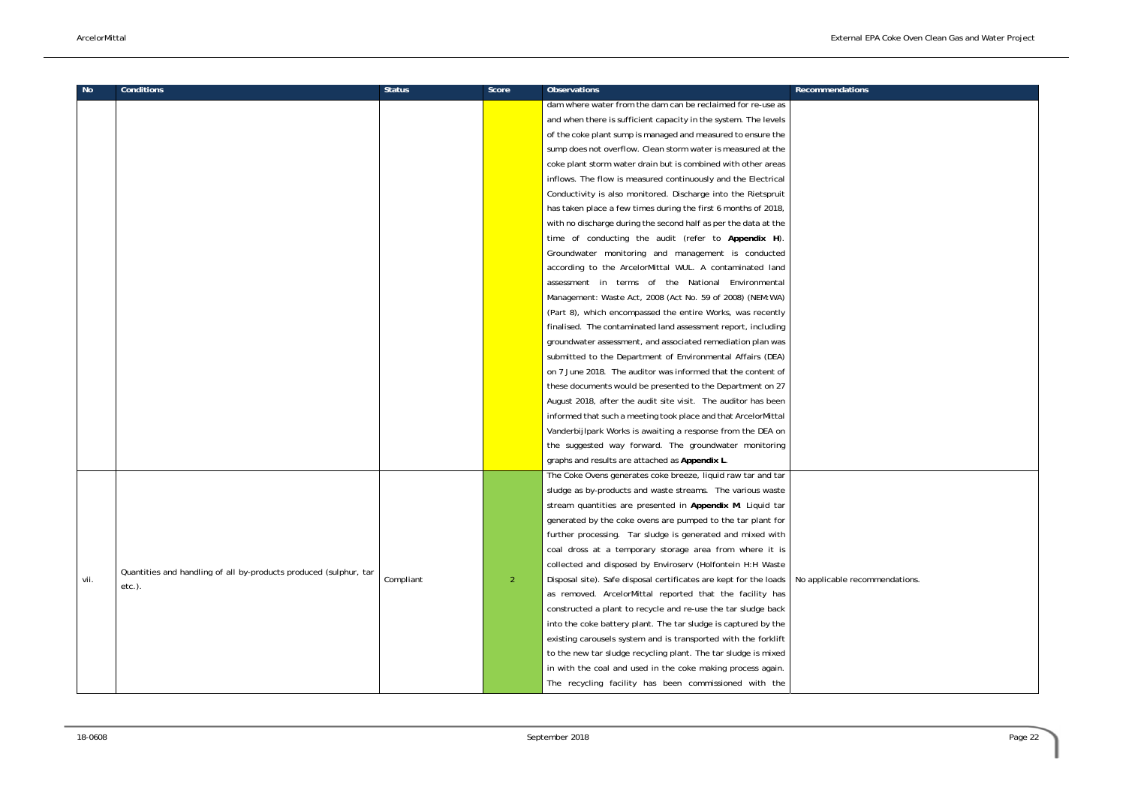necommendations.

| No   | <b>Conditions</b>                                                 | <b>Status</b> | Score          | <b>Observations</b>                                               | <b>Recommendations</b> |
|------|-------------------------------------------------------------------|---------------|----------------|-------------------------------------------------------------------|------------------------|
|      |                                                                   |               |                | dam where water from the dam can be reclaimed for re-use as       |                        |
|      |                                                                   |               |                | and when there is sufficient capacity in the system. The levels   |                        |
|      |                                                                   |               |                | of the coke plant sump is managed and measured to ensure the      |                        |
|      |                                                                   |               |                | sump does not overflow. Clean storm water is measured at the      |                        |
|      |                                                                   |               |                | coke plant storm water drain but is combined with other areas     |                        |
|      |                                                                   |               |                | inflows. The flow is measured continuously and the Electrical     |                        |
|      |                                                                   |               |                | Conductivity is also monitored. Discharge into the Rietspruit     |                        |
|      |                                                                   |               |                | has taken place a few times during the first 6 months of 2018,    |                        |
|      |                                                                   |               |                | with no discharge during the second half as per the data at the   |                        |
|      |                                                                   |               |                | time of conducting the audit (refer to Appendix H).               |                        |
|      |                                                                   |               |                | Groundwater monitoring and management is conducted                |                        |
|      |                                                                   |               |                | according to the ArcelorMittal WUL. A contaminated land           |                        |
|      |                                                                   |               |                | assessment in terms of the National Environmental                 |                        |
|      |                                                                   |               |                | Management: Waste Act, 2008 (Act No. 59 of 2008) (NEM:WA)         |                        |
|      |                                                                   |               |                | (Part 8), which encompassed the entire Works, was recently        |                        |
|      |                                                                   |               |                | finalised. The contaminated land assessment report, including     |                        |
|      |                                                                   |               |                | groundwater assessment, and associated remediation plan was       |                        |
|      |                                                                   |               |                | submitted to the Department of Environmental Affairs (DEA)        |                        |
|      |                                                                   |               |                | on 7 June 2018. The auditor was informed that the content of      |                        |
|      |                                                                   |               |                | these documents would be presented to the Department on 27        |                        |
|      |                                                                   |               |                | August 2018, after the audit site visit. The auditor has been     |                        |
|      |                                                                   |               |                | informed that such a meeting took place and that ArcelorMittal    |                        |
|      |                                                                   |               |                | Vanderbijlpark Works is awaiting a response from the DEA on       |                        |
|      |                                                                   |               |                | the suggested way forward. The groundwater monitoring             |                        |
|      |                                                                   |               |                | graphs and results are attached as Appendix L.                    |                        |
|      |                                                                   |               |                | The Coke Ovens generates coke breeze, liquid raw tar and tar      |                        |
|      |                                                                   |               |                | sludge as by-products and waste streams. The various waste        |                        |
|      |                                                                   |               |                | stream quantities are presented in Appendix M. Liquid tar         |                        |
|      |                                                                   |               |                | generated by the coke ovens are pumped to the tar plant for       |                        |
|      |                                                                   |               |                | further processing. Tar sludge is generated and mixed with        |                        |
|      |                                                                   |               |                | coal dross at a temporary storage area from where it is           |                        |
|      |                                                                   |               |                | collected and disposed by Enviroserv (Holfontein H:H Waste        |                        |
|      | Quantities and handling of all by-products produced (sulphur, tar | Compliant     | $\overline{2}$ | Disposal site). Safe disposal certificates are kept for the loads | No applicable recon    |
| vii. | $etc.$ ).                                                         |               |                | as removed. ArcelorMittal reported that the facility has          |                        |
|      |                                                                   |               |                | constructed a plant to recycle and re-use the tar sludge back     |                        |
|      |                                                                   |               |                |                                                                   |                        |
|      |                                                                   |               |                | into the coke battery plant. The tar sludge is captured by the    |                        |
|      |                                                                   |               |                | existing carousels system and is transported with the forklift    |                        |
|      |                                                                   |               |                | to the new tar sludge recycling plant. The tar sludge is mixed    |                        |
|      |                                                                   |               |                | in with the coal and used in the coke making process again.       |                        |
|      |                                                                   |               |                | The recycling facility has been commissioned with the             |                        |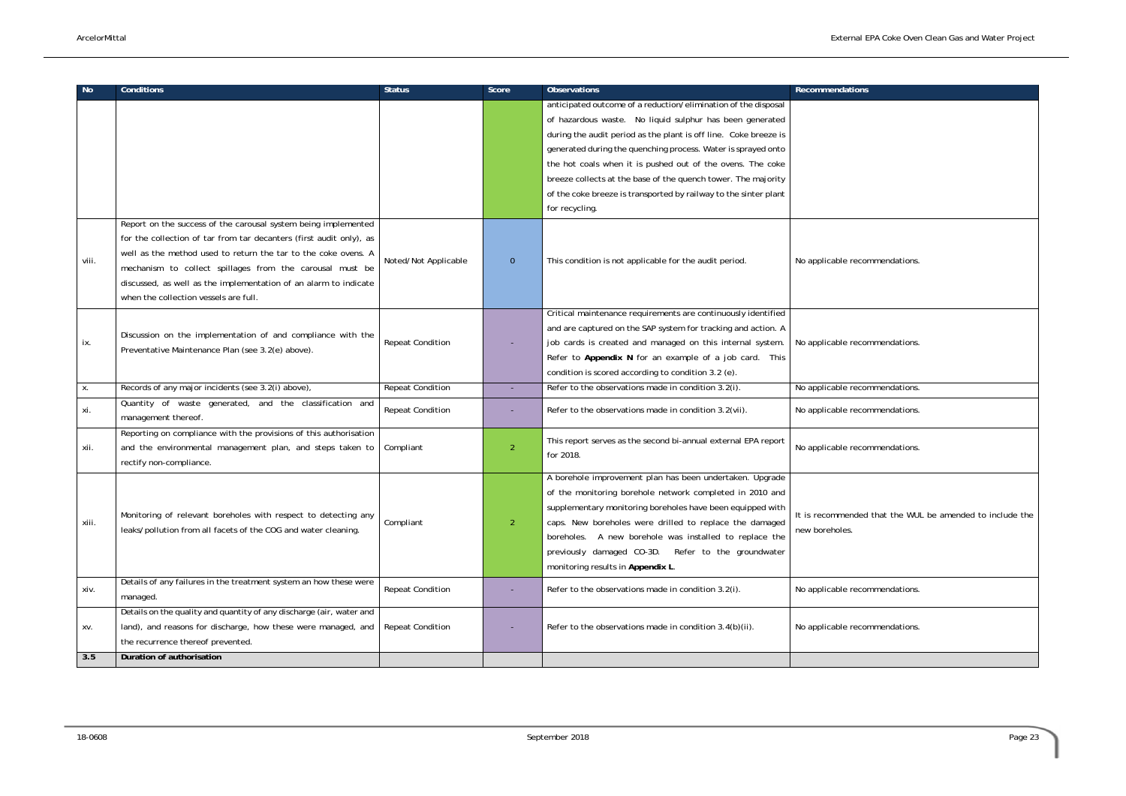| No.   | <b>Conditions</b>                                                                                                                                                                                                                                                                                                                                                                | <b>Status</b>           | Score          | <b>Observations</b>                                                                                                                                                                                                                                                                                                                                                                                                                                                                  | <b>Recommendations</b>                           |
|-------|----------------------------------------------------------------------------------------------------------------------------------------------------------------------------------------------------------------------------------------------------------------------------------------------------------------------------------------------------------------------------------|-------------------------|----------------|--------------------------------------------------------------------------------------------------------------------------------------------------------------------------------------------------------------------------------------------------------------------------------------------------------------------------------------------------------------------------------------------------------------------------------------------------------------------------------------|--------------------------------------------------|
|       |                                                                                                                                                                                                                                                                                                                                                                                  |                         |                | anticipated outcome of a reduction/elimination of the disposal<br>of hazardous waste. No liquid sulphur has been generated<br>during the audit period as the plant is off line. Coke breeze is<br>generated during the quenching process. Water is sprayed onto<br>the hot coals when it is pushed out of the ovens. The coke<br>breeze collects at the base of the quench tower. The majority<br>of the coke breeze is transported by railway to the sinter plant<br>for recycling. |                                                  |
| viii. | Report on the success of the carousal system being implemented<br>for the collection of tar from tar decanters (first audit only), as<br>well as the method used to return the tar to the coke ovens. A<br>mechanism to collect spillages from the carousal must be<br>discussed, as well as the implementation of an alarm to indicate<br>when the collection vessels are full. | Noted/Not Applicable    | $\overline{0}$ | This condition is not applicable for the audit period.                                                                                                                                                                                                                                                                                                                                                                                                                               | No applicable recommendations.                   |
| ix.   | Discussion on the implementation of and compliance with the<br>Preventative Maintenance Plan (see 3.2(e) above).                                                                                                                                                                                                                                                                 | <b>Repeat Condition</b> |                | Critical maintenance requirements are continuously identified<br>and are captured on the SAP system for tracking and action. A<br>job cards is created and managed on this internal system.<br>Refer to Appendix N for an example of a job card. This<br>condition is scored according to condition 3.2 (e).                                                                                                                                                                         | No applicable recommendations.                   |
| Х.    | Records of any major incidents (see 3.2(i) above),                                                                                                                                                                                                                                                                                                                               | <b>Repeat Condition</b> |                | Refer to the observations made in condition 3.2(i).                                                                                                                                                                                                                                                                                                                                                                                                                                  | No applicable recommendations.                   |
| xi.   | Quantity of waste generated, and the classification and<br>management thereof.                                                                                                                                                                                                                                                                                                   | <b>Repeat Condition</b> |                | Refer to the observations made in condition 3.2(vii).                                                                                                                                                                                                                                                                                                                                                                                                                                | No applicable recommendations.                   |
| xii.  | Reporting on compliance with the provisions of this authorisation<br>and the environmental management plan, and steps taken to<br>rectify non-compliance.                                                                                                                                                                                                                        | Compliant               | $\overline{2}$ | This report serves as the second bi-annual external EPA report<br>for 2018.                                                                                                                                                                                                                                                                                                                                                                                                          | No applicable recommendations.                   |
| xiii. | Monitoring of relevant boreholes with respect to detecting any<br>leaks/pollution from all facets of the COG and water cleaning.                                                                                                                                                                                                                                                 | Compliant               | $\overline{2}$ | A borehole improvement plan has been undertaken. Upgrade<br>of the monitoring borehole network completed in 2010 and<br>supplementary monitoring boreholes have been equipped with<br>caps. New boreholes were drilled to replace the damaged<br>boreholes. A new borehole was installed to replace the<br>previously damaged CO-3D. Refer to the groundwater<br>monitoring results in Appendix L.                                                                                   | It is recommended that the WUL<br>new boreholes. |
| xiv.  | Details of any failures in the treatment system an how these were<br>managed.                                                                                                                                                                                                                                                                                                    | <b>Repeat Condition</b> |                | Refer to the observations made in condition 3.2(i).                                                                                                                                                                                                                                                                                                                                                                                                                                  | No applicable recommendations.                   |
| XV.   | Details on the quality and quantity of any discharge (air, water and<br>land), and reasons for discharge, how these were managed, and<br>the recurrence thereof prevented.                                                                                                                                                                                                       | <b>Repeat Condition</b> |                | Refer to the observations made in condition 3.4(b)(ii).                                                                                                                                                                                                                                                                                                                                                                                                                              | No applicable recommendations.                   |
| 3.5   | Duration of authorisation                                                                                                                                                                                                                                                                                                                                                        |                         |                |                                                                                                                                                                                                                                                                                                                                                                                                                                                                                      |                                                  |

| Recommendations                                          |
|----------------------------------------------------------|
|                                                          |
|                                                          |
|                                                          |
|                                                          |
|                                                          |
|                                                          |
|                                                          |
|                                                          |
|                                                          |
|                                                          |
| No applicable recommendations.                           |
|                                                          |
|                                                          |
|                                                          |
|                                                          |
|                                                          |
| No applicable recommendations.                           |
|                                                          |
|                                                          |
| No applicable recommendations.                           |
| No applicable recommendations.                           |
|                                                          |
|                                                          |
| No applicable recommendations.                           |
|                                                          |
|                                                          |
|                                                          |
| It is recommended that the WUL be amended to include the |
| new boreholes.                                           |
|                                                          |
|                                                          |
|                                                          |
| No applicable recommendations.                           |
|                                                          |
|                                                          |
| No applicable recommendations.                           |
|                                                          |
|                                                          |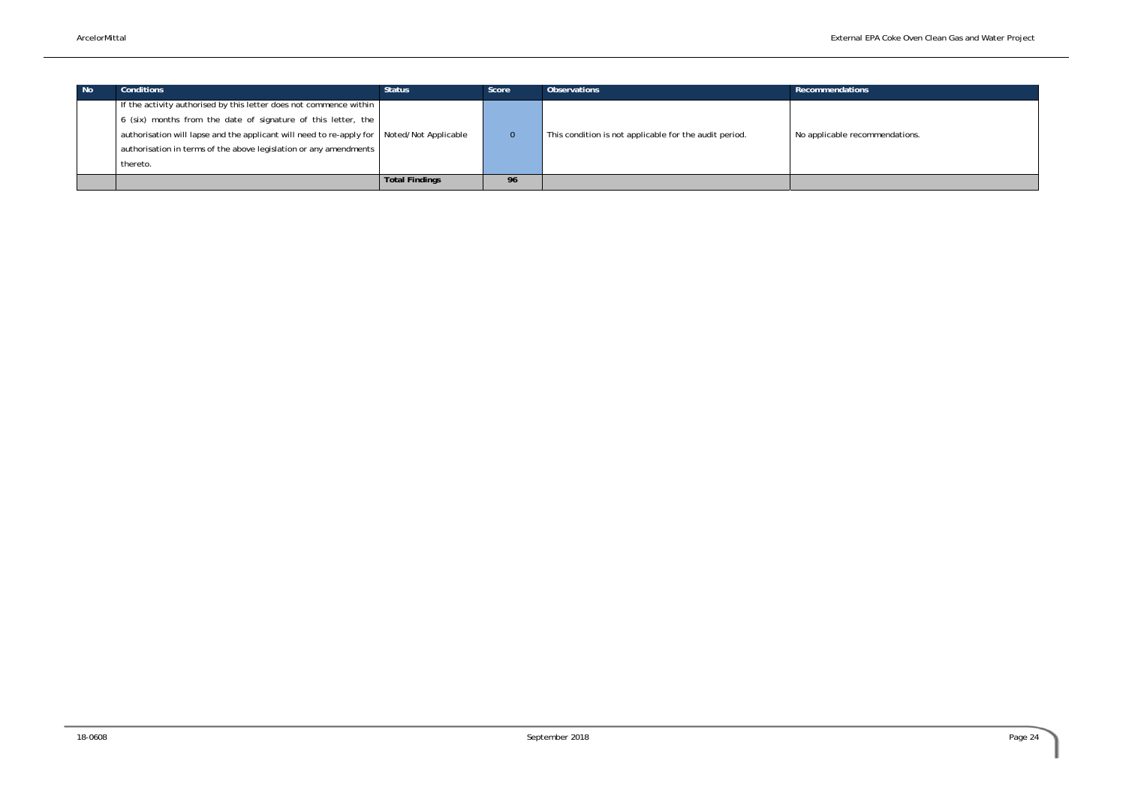recommendations.

| l No | <b>Conditions</b>                                                    | <b>Status</b>         | Score           | <b>Observations</b>                                    | Recommendations     |
|------|----------------------------------------------------------------------|-----------------------|-----------------|--------------------------------------------------------|---------------------|
|      | If the activity authorised by this letter does not commence within   |                       |                 |                                                        |                     |
|      | 6 (six) months from the date of signature of this letter, the        |                       |                 |                                                        |                     |
|      | authorisation will lapse and the applicant will need to re-apply for | Noted/Not Applicable  |                 | This condition is not applicable for the audit period. | No applicable recon |
|      | authorisation in terms of the above legislation or any amendments    |                       |                 |                                                        |                     |
|      | thereto.                                                             |                       |                 |                                                        |                     |
|      |                                                                      | <b>Total Findings</b> | 96 <sup>°</sup> |                                                        |                     |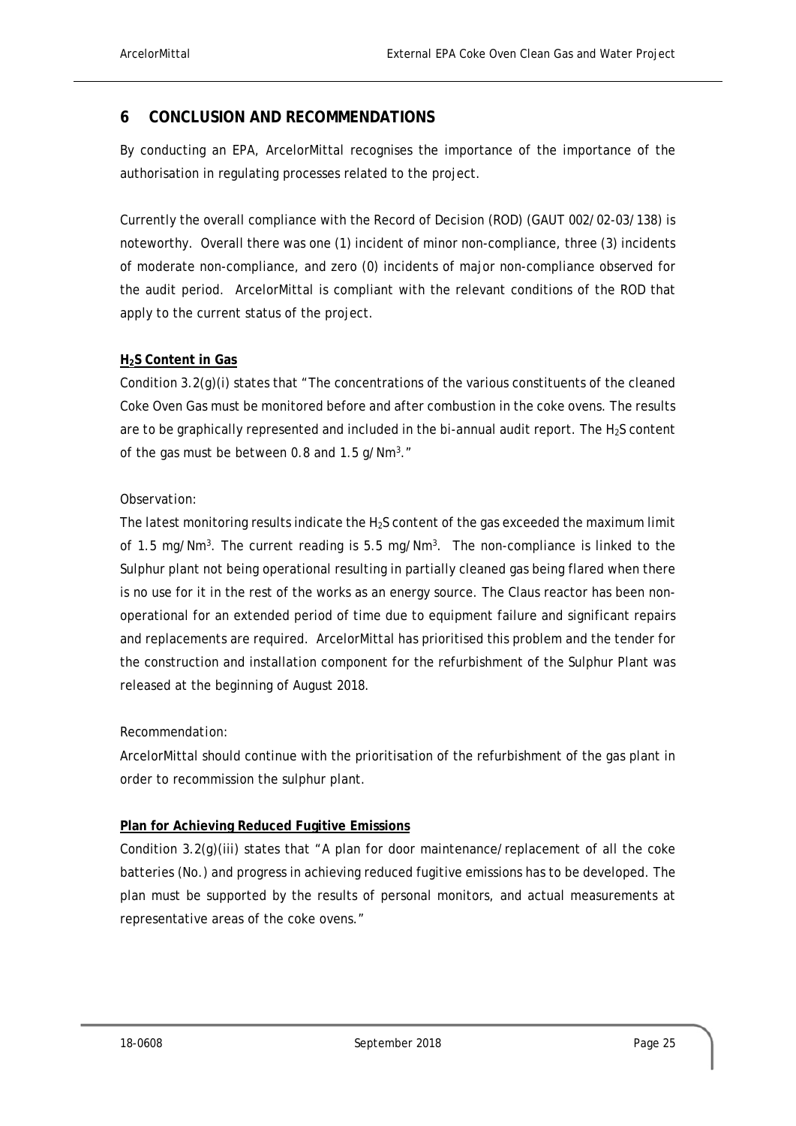### **6 CONCLUSION AND RECOMMENDATIONS**

By conducting an EPA, ArcelorMittal recognises the importance of the importance of the authorisation in regulating processes related to the project.

Currently the overall compliance with the Record of Decision (ROD) (GAUT 002/02-03/138) is noteworthy. Overall there was one (1) incident of minor non-compliance, three (3) incidents of moderate non-compliance, and zero (0) incidents of major non-compliance observed for the audit period. ArcelorMittal is compliant with the relevant conditions of the ROD that apply to the current status of the project.

#### **H2S Content in Gas**

Condition 3.2(g)(i) states that "The concentrations of the various constituents of the cleaned Coke Oven Gas must be monitored before and after combustion in the coke ovens. The results are to be graphically represented and included in the bi-annual audit report. The  $H_2S$  content of the gas must be between 0.8 and  $1.5$  g/Nm<sup>3</sup>."

#### *Observation:*

The latest monitoring results indicate the  $H_2S$  content of the gas exceeded the maximum limit of 1.5 mg/Nm<sup>3</sup>. The current reading is 5.5 mg/Nm<sup>3</sup>. The non-compliance is linked to the Sulphur plant not being operational resulting in partially cleaned gas being flared when there is no use for it in the rest of the works as an energy source. The Claus reactor has been nonoperational for an extended period of time due to equipment failure and significant repairs and replacements are required. ArcelorMittal has prioritised this problem and the tender for the construction and installation component for the refurbishment of the Sulphur Plant was released at the beginning of August 2018.

#### *Recommendation:*

ArcelorMittal should continue with the prioritisation of the refurbishment of the gas plant in order to recommission the sulphur plant.

### **Plan for Achieving Reduced Fugitive Emissions**

Condition 3.2(g)(iii) states that "A plan for door maintenance/replacement of all the coke batteries (No.) and progress in achieving reduced fugitive emissions has to be developed. The plan must be supported by the results of personal monitors, and actual measurements at representative areas of the coke ovens."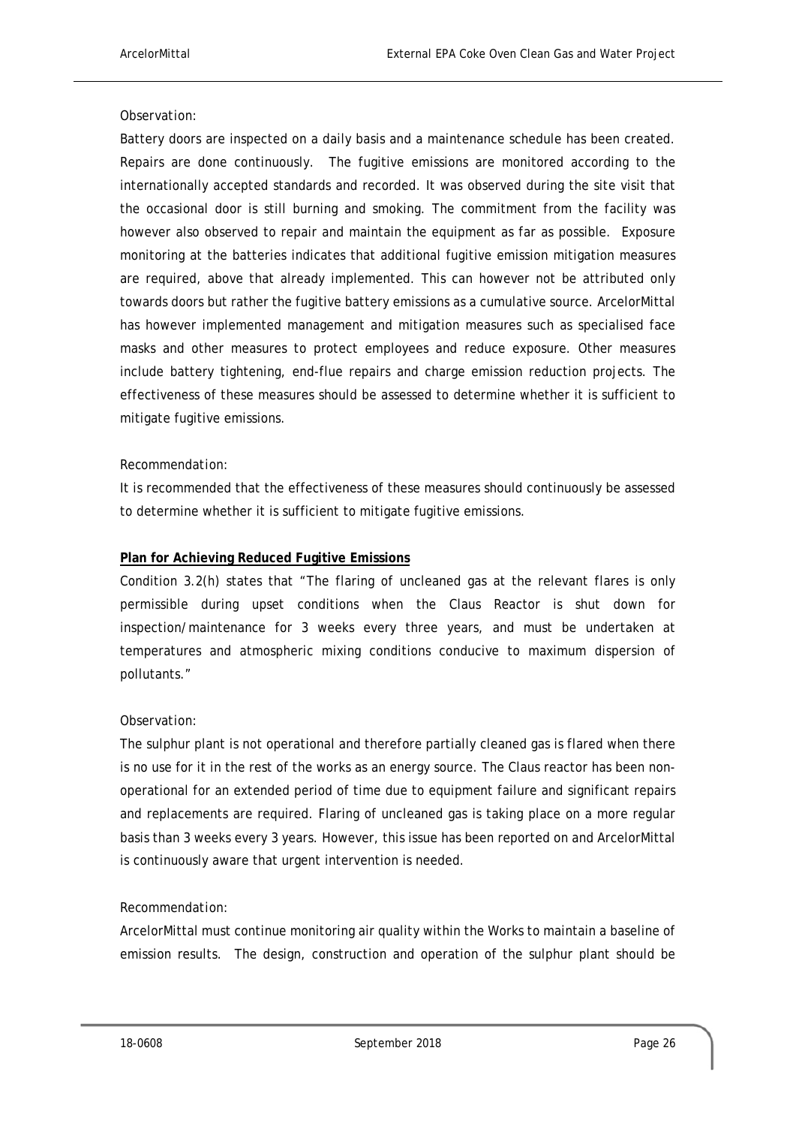#### *Observation:*

Battery doors are inspected on a daily basis and a maintenance schedule has been created. Repairs are done continuously. The fugitive emissions are monitored according to the internationally accepted standards and recorded. It was observed during the site visit that the occasional door is still burning and smoking. The commitment from the facility was however also observed to repair and maintain the equipment as far as possible. Exposure monitoring at the batteries indicates that additional fugitive emission mitigation measures are required, above that already implemented. This can however not be attributed only towards doors but rather the fugitive battery emissions as a cumulative source. ArcelorMittal has however implemented management and mitigation measures such as specialised face masks and other measures to protect employees and reduce exposure. Other measures include battery tightening, end-flue repairs and charge emission reduction projects. The effectiveness of these measures should be assessed to determine whether it is sufficient to mitigate fugitive emissions.

#### *Recommendation:*

It is recommended that the effectiveness of these measures should continuously be assessed to determine whether it is sufficient to mitigate fugitive emissions.

#### **Plan for Achieving Reduced Fugitive Emissions**

Condition 3.2(h) states that "The flaring of uncleaned gas at the relevant flares is only permissible during upset conditions when the Claus Reactor is shut down for inspection/maintenance for 3 weeks every three years, and must be undertaken at temperatures and atmospheric mixing conditions conducive to maximum dispersion of pollutants."

#### *Observation:*

The sulphur plant is not operational and therefore partially cleaned gas is flared when there is no use for it in the rest of the works as an energy source. The Claus reactor has been nonoperational for an extended period of time due to equipment failure and significant repairs and replacements are required. Flaring of uncleaned gas is taking place on a more regular basis than 3 weeks every 3 years. However, this issue has been reported on and ArcelorMittal is continuously aware that urgent intervention is needed.

#### *Recommendation:*

ArcelorMittal must continue monitoring air quality within the Works to maintain a baseline of emission results. The design, construction and operation of the sulphur plant should be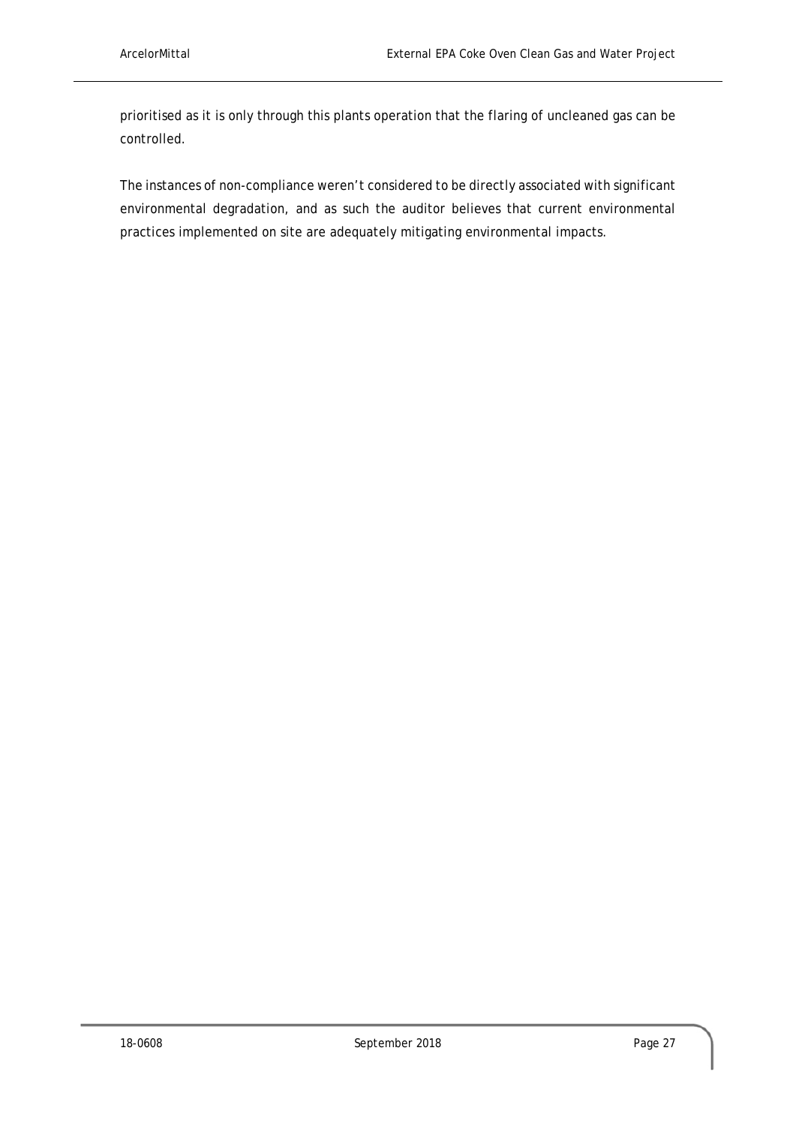prioritised as it is only through this plants operation that the flaring of uncleaned gas can be controlled.

The instances of non-compliance weren't considered to be directly associated with significant environmental degradation, and as such the auditor believes that current environmental practices implemented on site are adequately mitigating environmental impacts.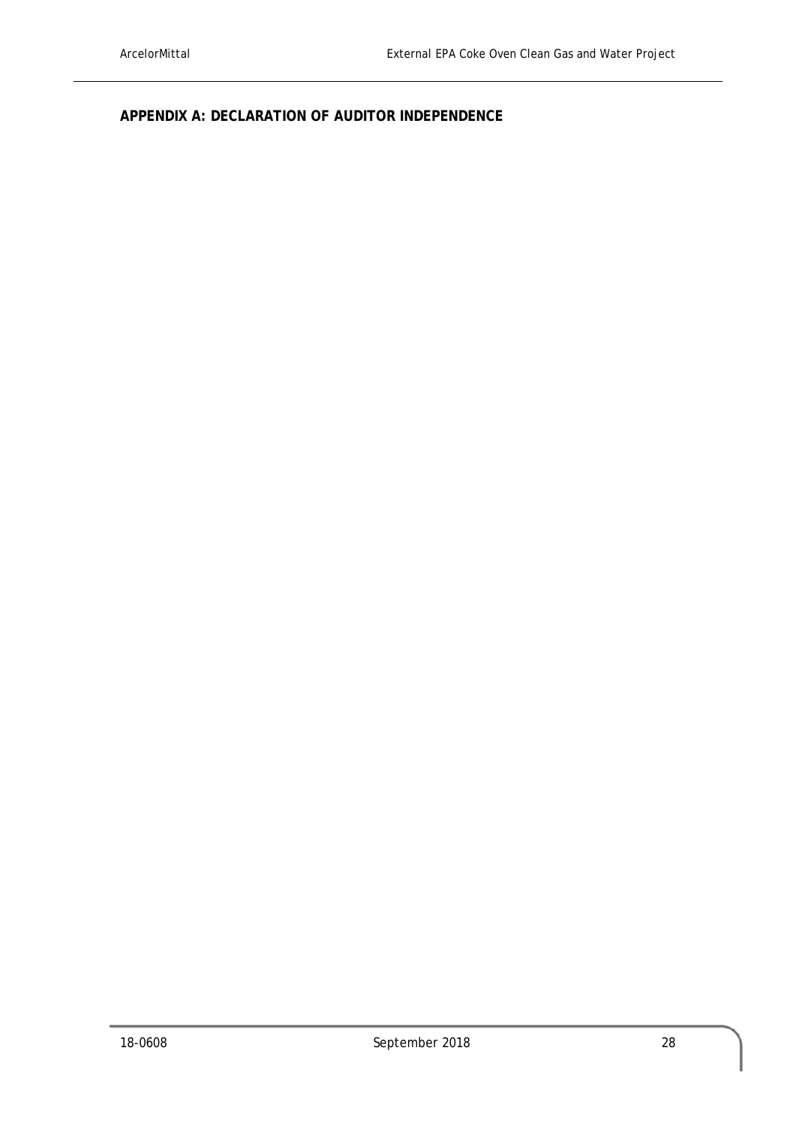**APPENDIX A: DECLARATION OF AUDITOR INDEPENDENCE**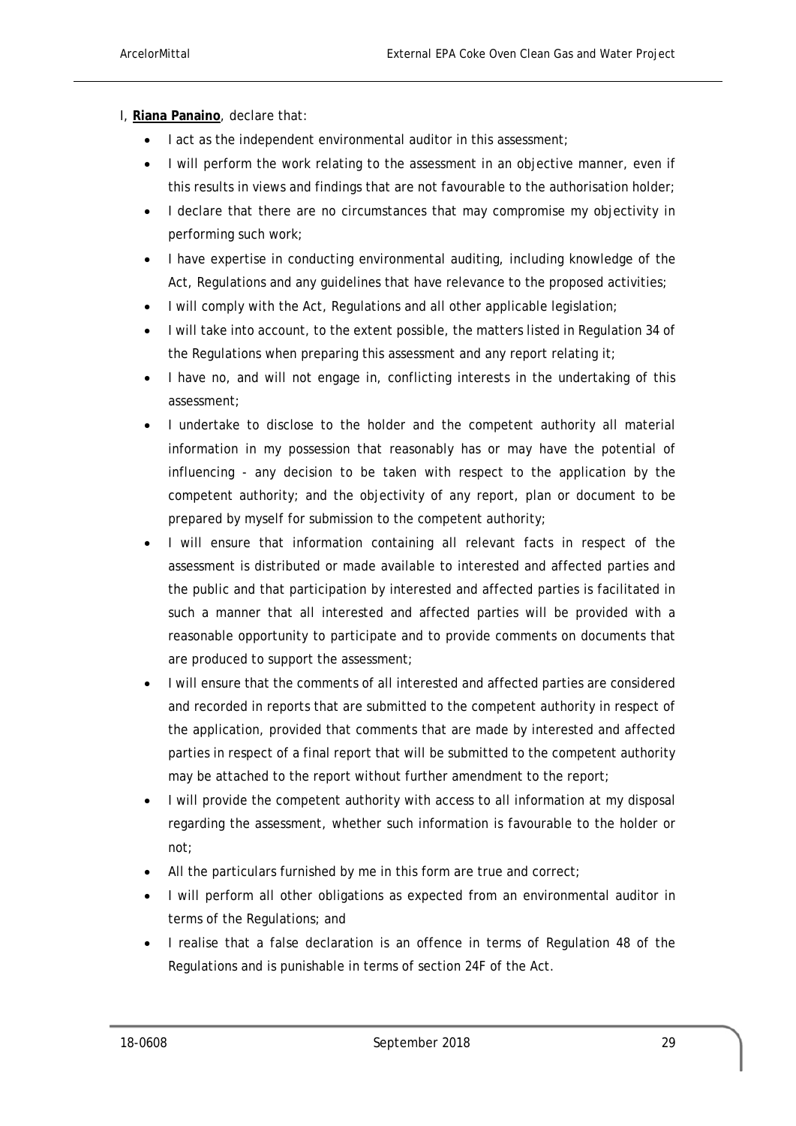- I, **Riana Panaino**, declare that:
	- I act as the independent environmental auditor in this assessment;
	- I will perform the work relating to the assessment in an objective manner, even if this results in views and findings that are not favourable to the authorisation holder;
	- I declare that there are no circumstances that may compromise my objectivity in performing such work;
	- I have expertise in conducting environmental auditing, including knowledge of the Act, Regulations and any guidelines that have relevance to the proposed activities;
	- I will comply with the Act, Regulations and all other applicable legislation;
	- I will take into account, to the extent possible, the matters listed in Regulation 34 of the Regulations when preparing this assessment and any report relating it;
	- I have no, and will not engage in, conflicting interests in the undertaking of this assessment;
	- I undertake to disclose to the holder and the competent authority all material information in my possession that reasonably has or may have the potential of influencing - any decision to be taken with respect to the application by the competent authority; and the objectivity of any report, plan or document to be prepared by myself for submission to the competent authority;
	- I will ensure that information containing all relevant facts in respect of the assessment is distributed or made available to interested and affected parties and the public and that participation by interested and affected parties is facilitated in such a manner that all interested and affected parties will be provided with a reasonable opportunity to participate and to provide comments on documents that are produced to support the assessment;
	- I will ensure that the comments of all interested and affected parties are considered and recorded in reports that are submitted to the competent authority in respect of the application, provided that comments that are made by interested and affected parties in respect of a final report that will be submitted to the competent authority may be attached to the report without further amendment to the report;
	- I will provide the competent authority with access to all information at my disposal regarding the assessment, whether such information is favourable to the holder or not;
	- All the particulars furnished by me in this form are true and correct;
	- I will perform all other obligations as expected from an environmental auditor in terms of the Regulations; and
	- I realise that a false declaration is an offence in terms of Regulation 48 of the Regulations and is punishable in terms of section 24F of the Act.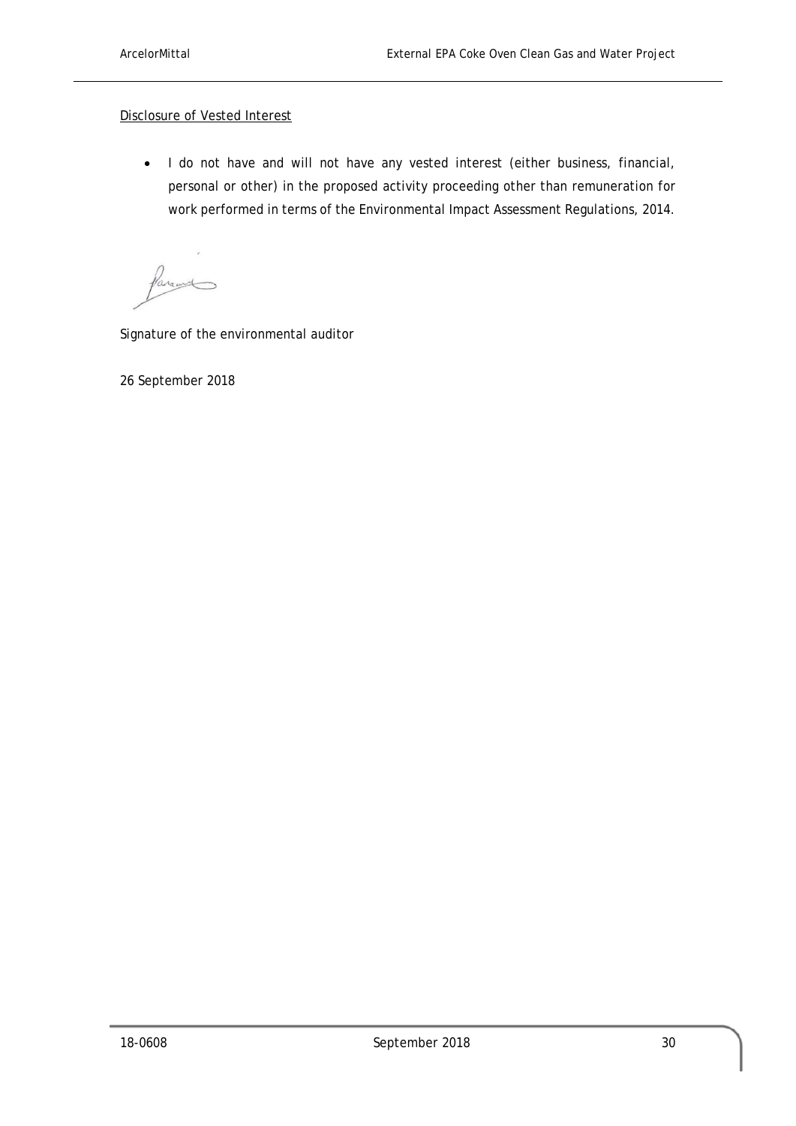#### Disclosure of Vested Interest

• I do not have and will not have any vested interest (either business, financial, personal or other) in the proposed activity proceeding other than remuneration for work performed in terms of the Environmental Impact Assessment Regulations, 2014.

Varant

Signature of the environmental auditor

26 September 2018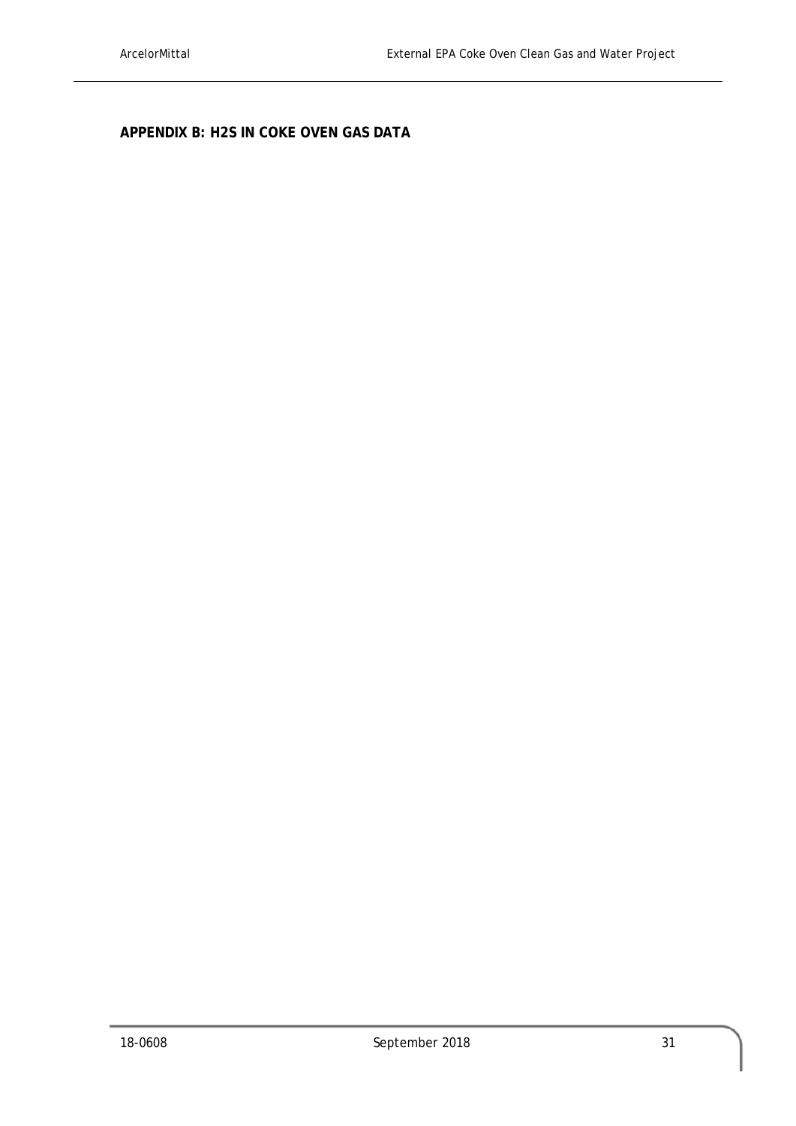**APPENDIX B: H2S IN COKE OVEN GAS DATA**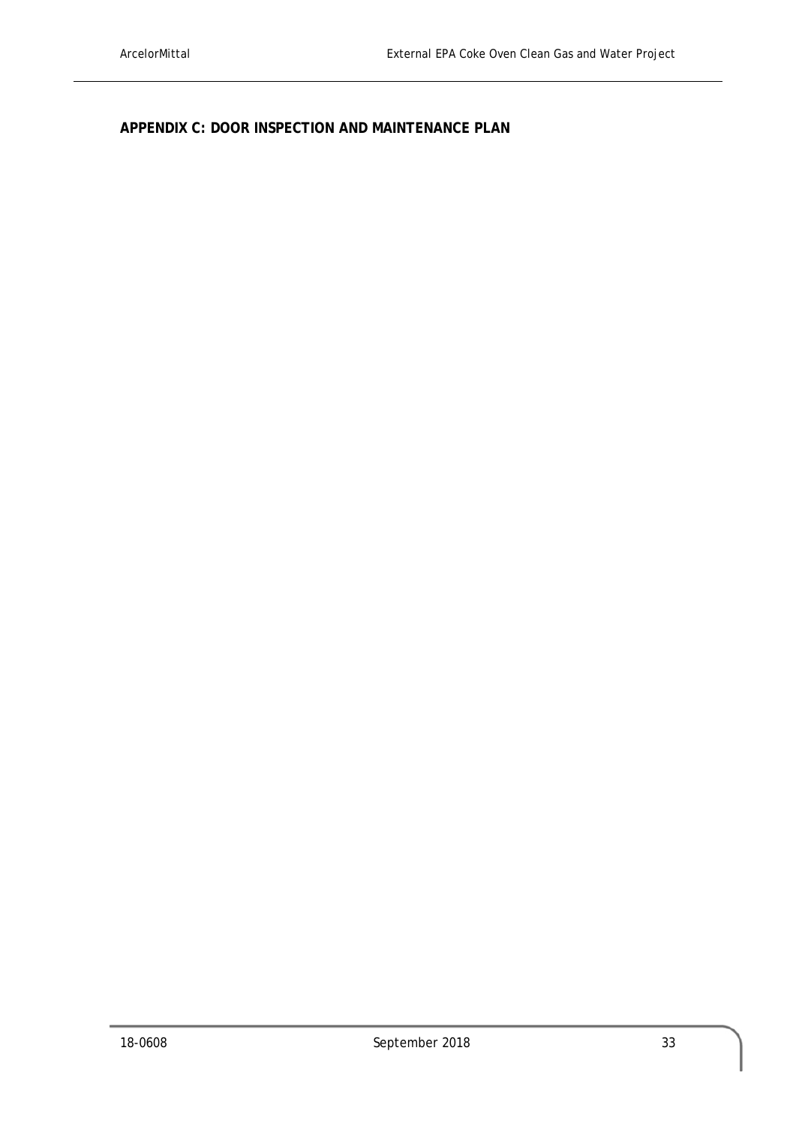**APPENDIX C: DOOR INSPECTION AND MAINTENANCE PLAN**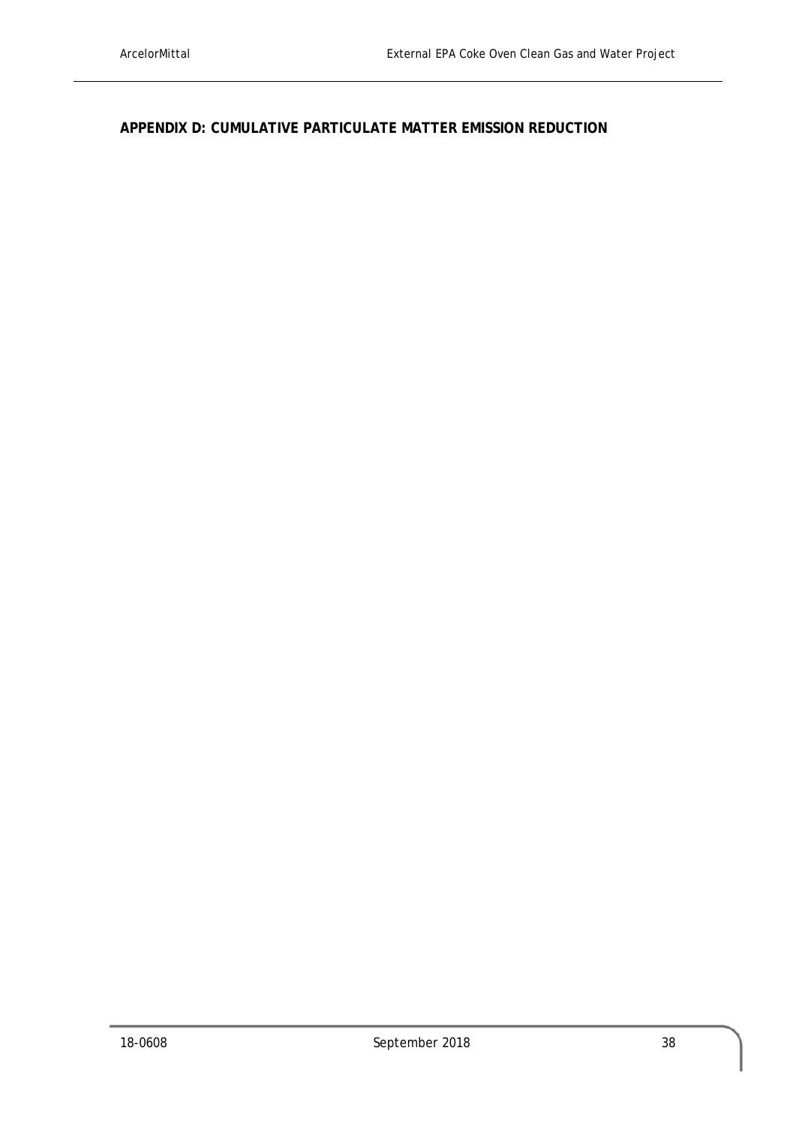## **APPENDIX D: CUMULATIVE PARTICULATE MATTER EMISSION REDUCTION**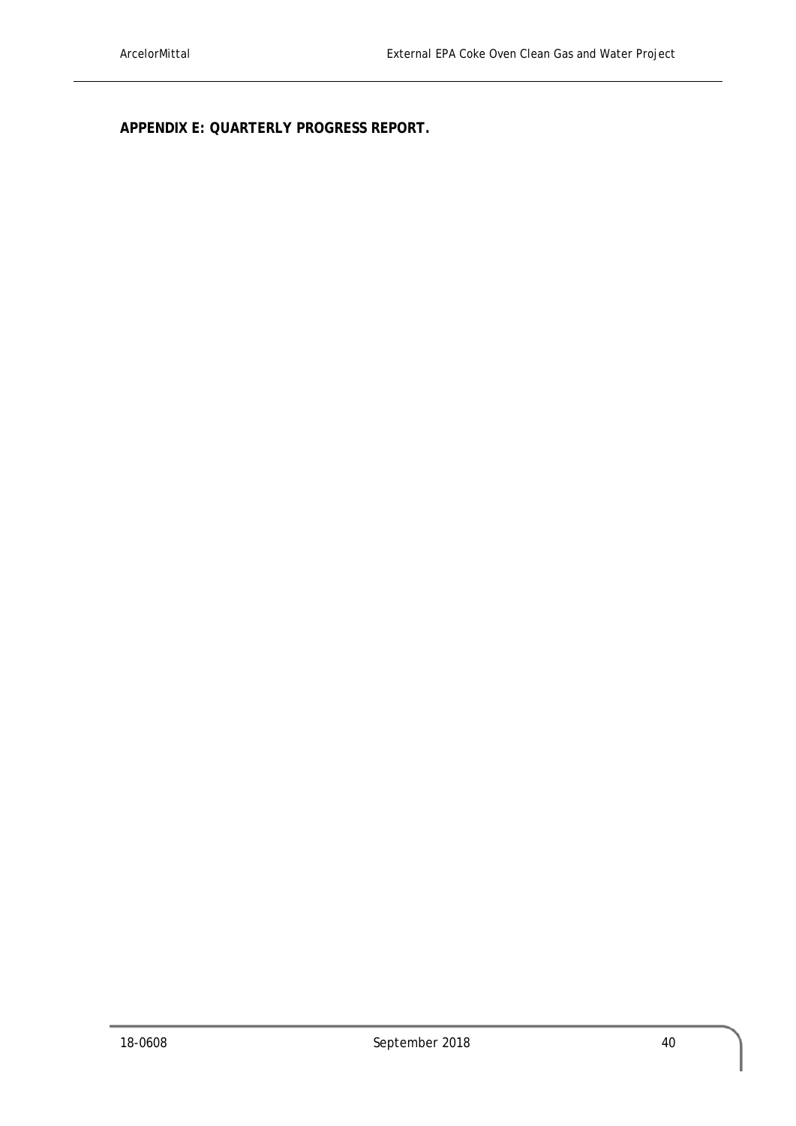**APPENDIX E: QUARTERLY PROGRESS REPORT.**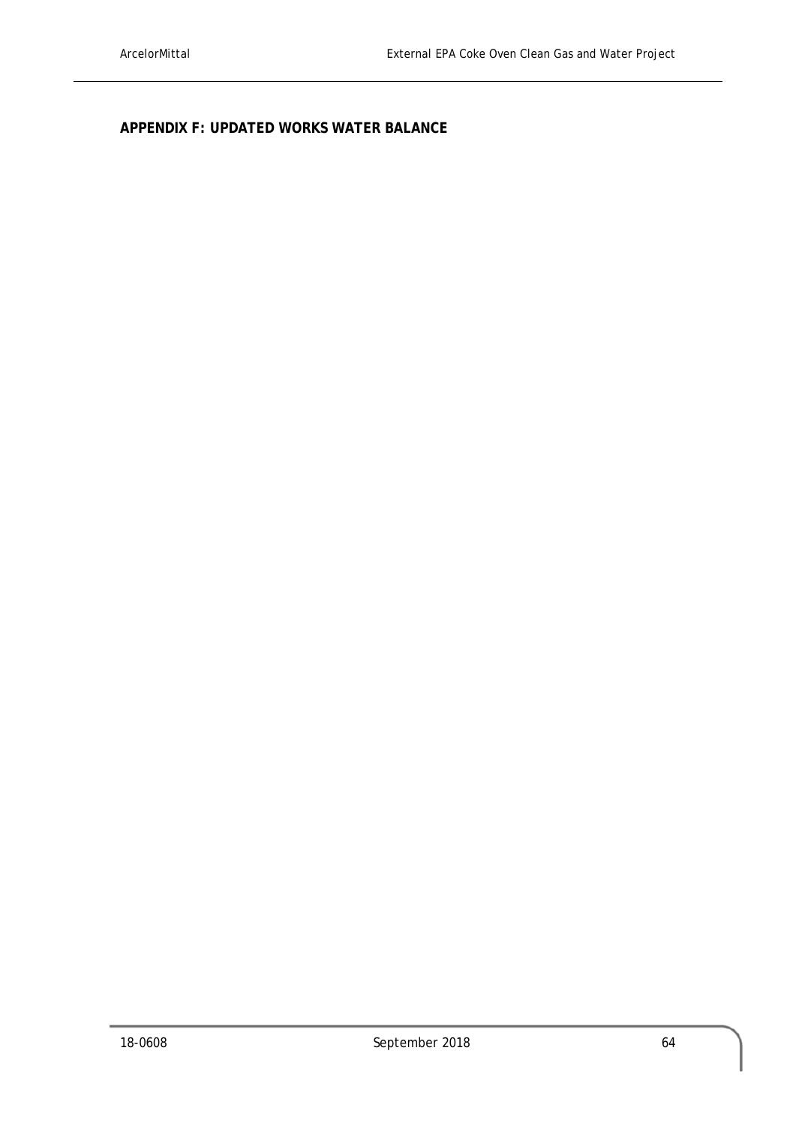**APPENDIX F: UPDATED WORKS WATER BALANCE**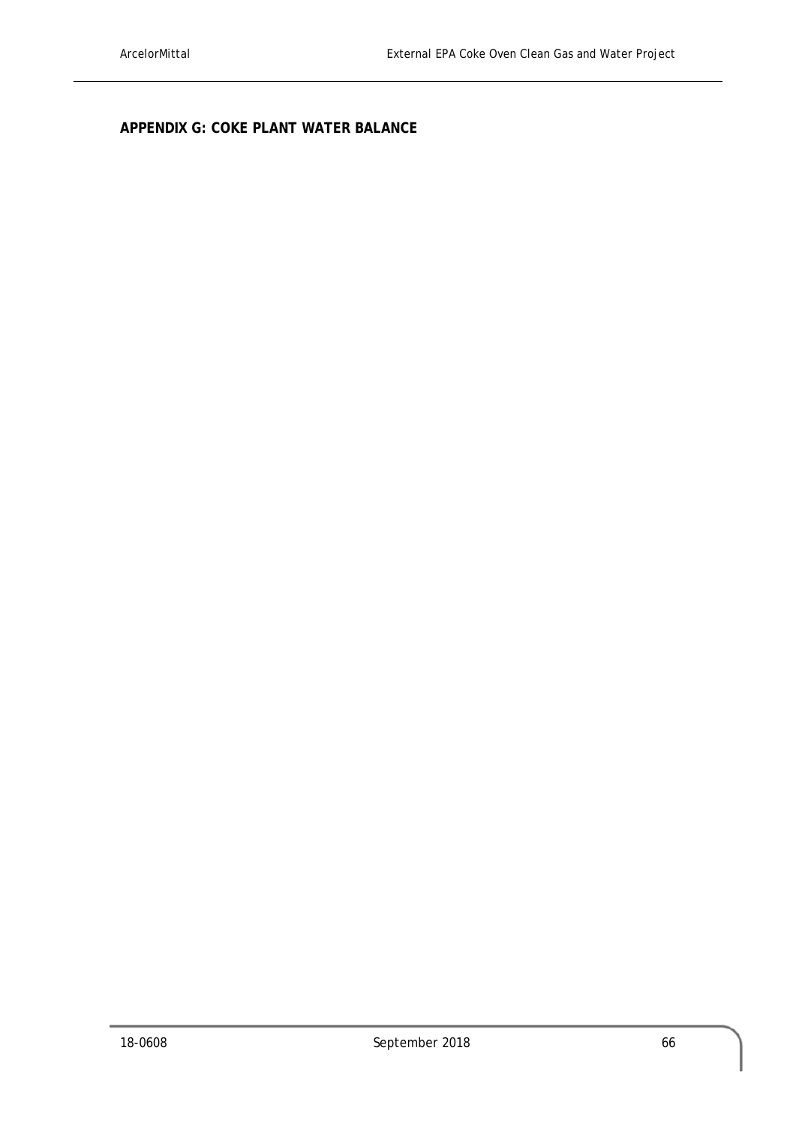**APPENDIX G: COKE PLANT WATER BALANCE**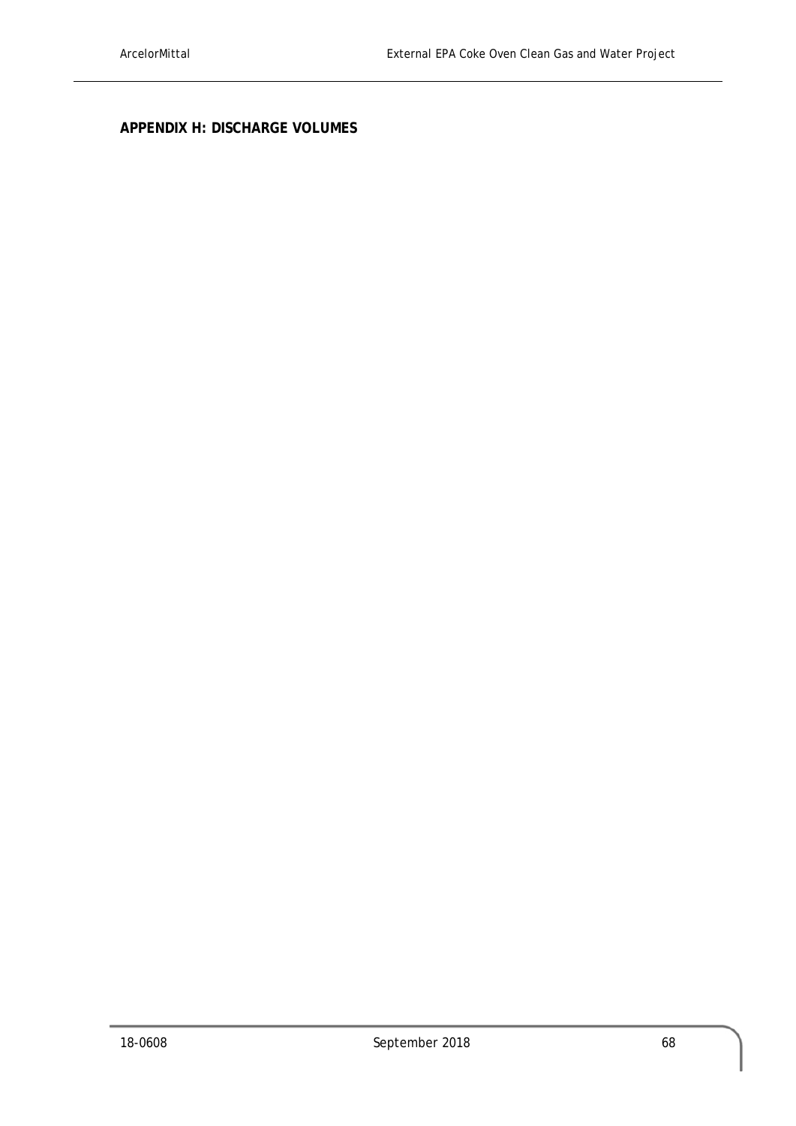**APPENDIX H: DISCHARGE VOLUMES**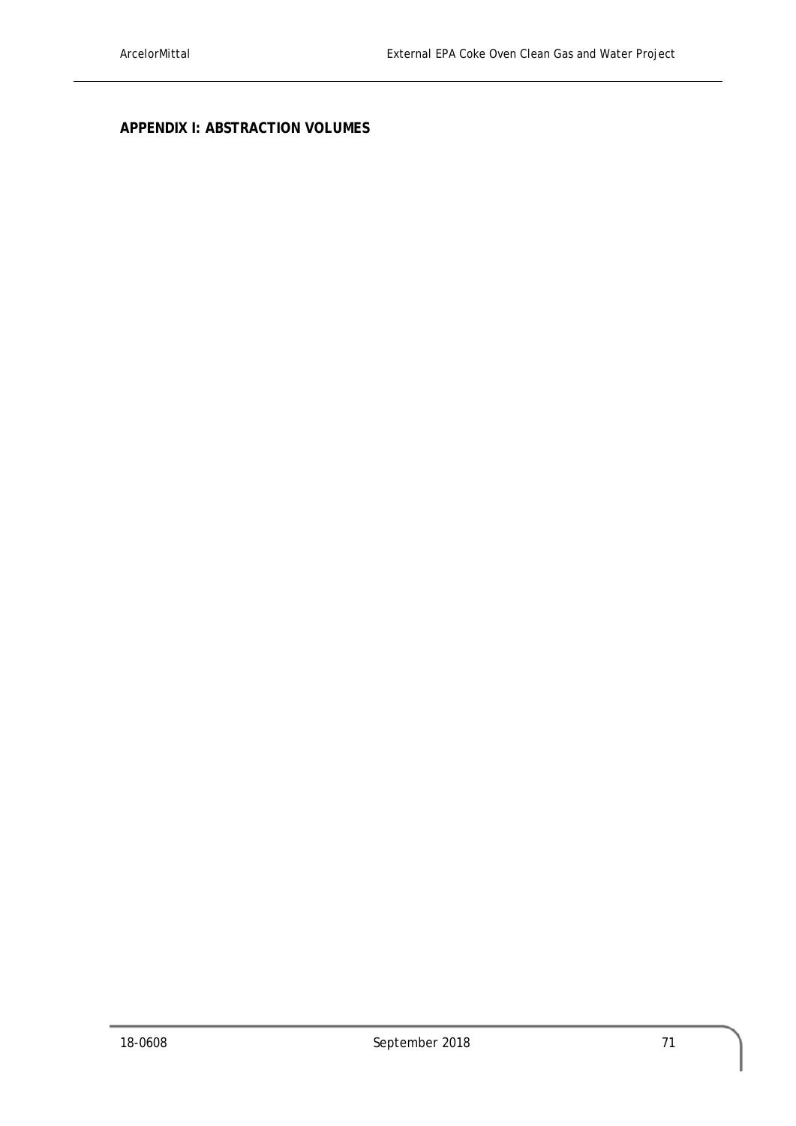## **APPENDIX I: ABSTRACTION VOLUMES**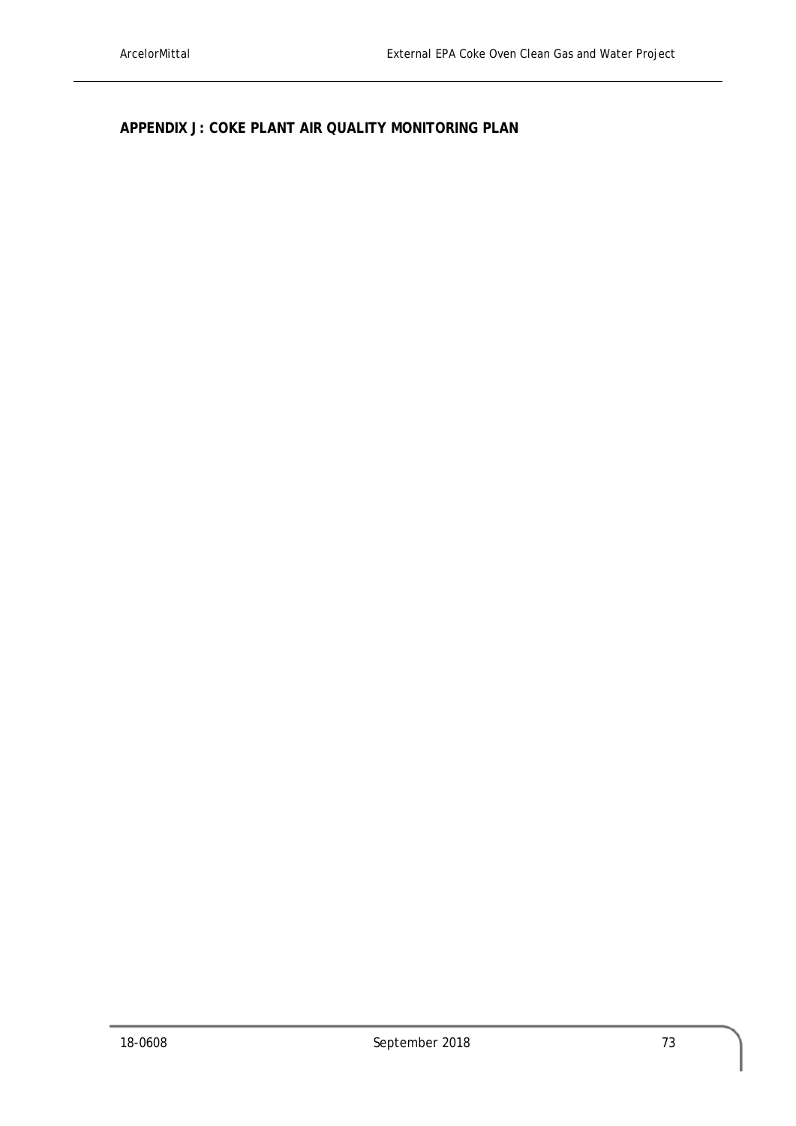**APPENDIX J: COKE PLANT AIR QUALITY MONITORING PLAN**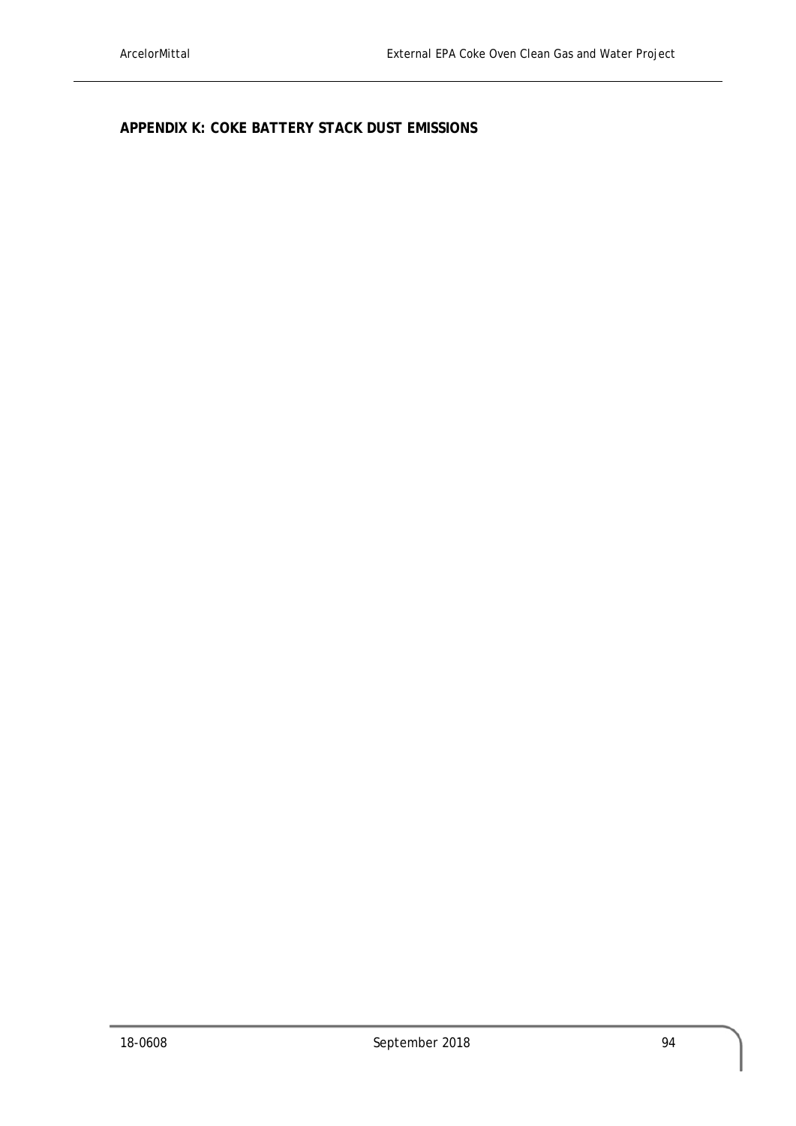**APPENDIX K: COKE BATTERY STACK DUST EMISSIONS**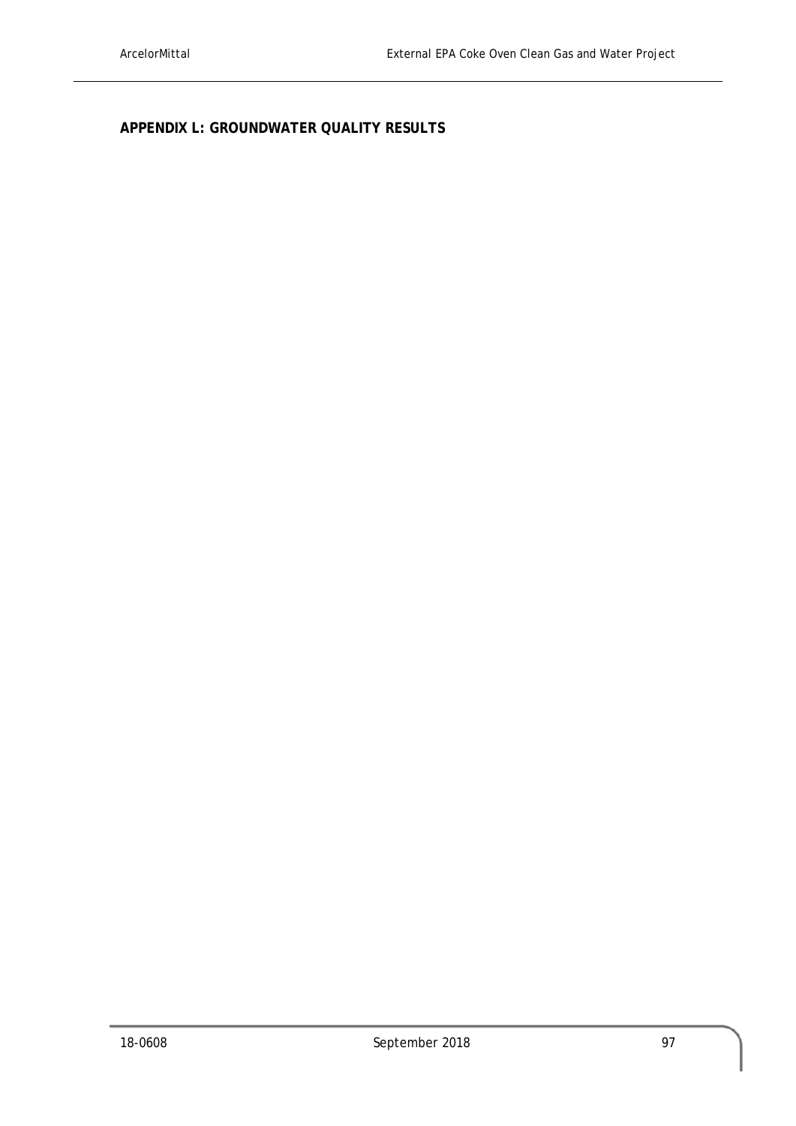**APPENDIX L: GROUNDWATER QUALITY RESULTS**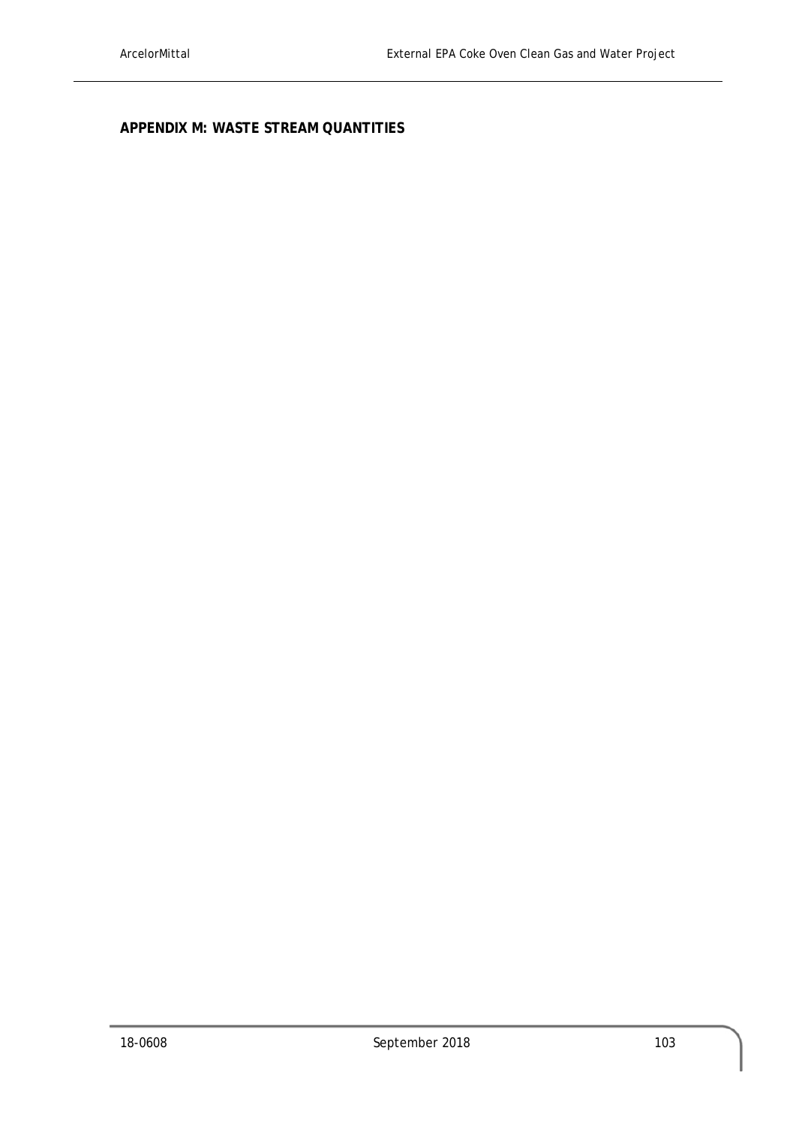**APPENDIX M: WASTE STREAM QUANTITIES**